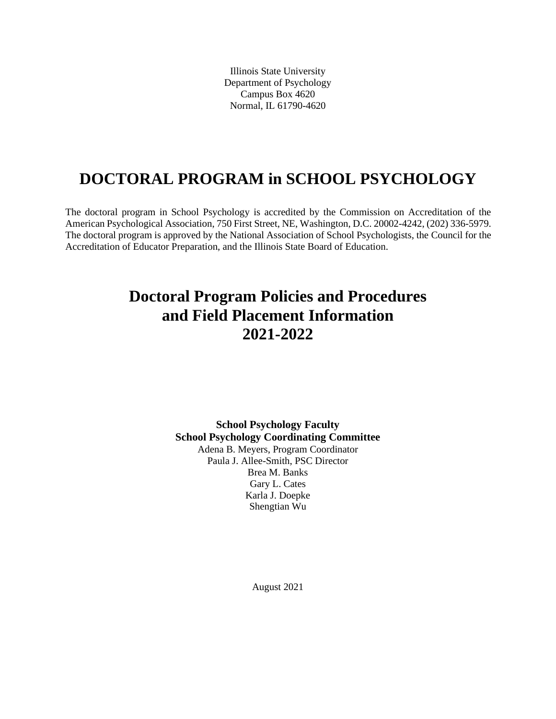Illinois State University Department of Psychology Campus Box 4620 Normal, IL 61790-4620

# **DOCTORAL PROGRAM in SCHOOL PSYCHOLOGY**

The doctoral program in School Psychology is accredited by the Commission on Accreditation of the American Psychological Association, 750 First Street, NE, Washington, D.C. 20002-4242, (202) 336-5979. The doctoral program is approved by the National Association of School Psychologists, the Council for the Accreditation of Educator Preparation, and the Illinois State Board of Education.

# **Doctoral Program Policies and Procedures and Field Placement Information 2021-2022**

**School Psychology Faculty School Psychology Coordinating Committee** Adena B. Meyers, Program Coordinator Paula J. Allee-Smith, PSC Director Brea M. Banks Gary L. Cates Karla J. Doepke Shengtian Wu

August 2021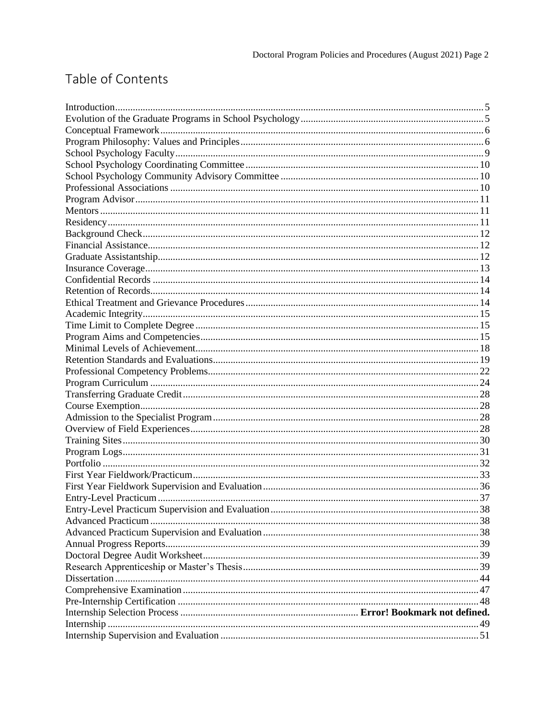# Table of Contents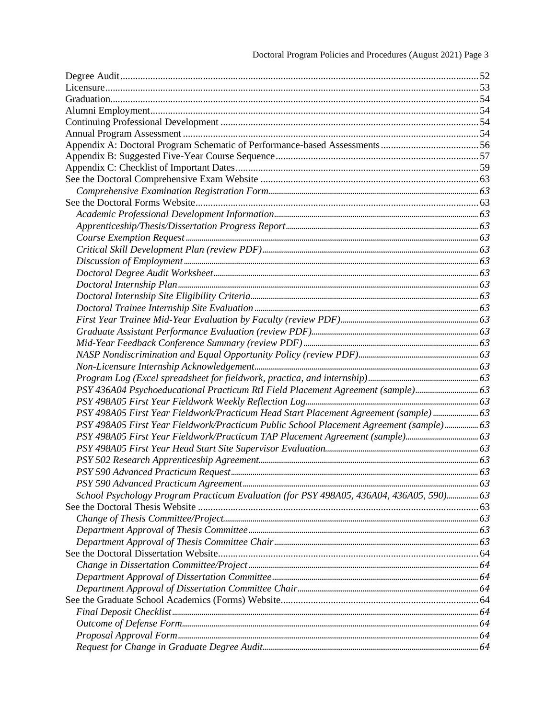| FSY 436A04 Psychoeducational Practicum RtI Field Placement Agreement (sample) 63                  |  |
|---------------------------------------------------------------------------------------------------|--|
|                                                                                                   |  |
|                                                                                                   |  |
| 63 meta 1988 PSY 498A05 First Year Fieldwork/Practicum Public School Placement Agreement (sample) |  |
|                                                                                                   |  |
|                                                                                                   |  |
|                                                                                                   |  |
|                                                                                                   |  |
|                                                                                                   |  |
|                                                                                                   |  |
|                                                                                                   |  |
|                                                                                                   |  |
|                                                                                                   |  |
|                                                                                                   |  |
|                                                                                                   |  |
|                                                                                                   |  |
|                                                                                                   |  |
|                                                                                                   |  |
|                                                                                                   |  |
|                                                                                                   |  |
|                                                                                                   |  |
|                                                                                                   |  |
|                                                                                                   |  |
|                                                                                                   |  |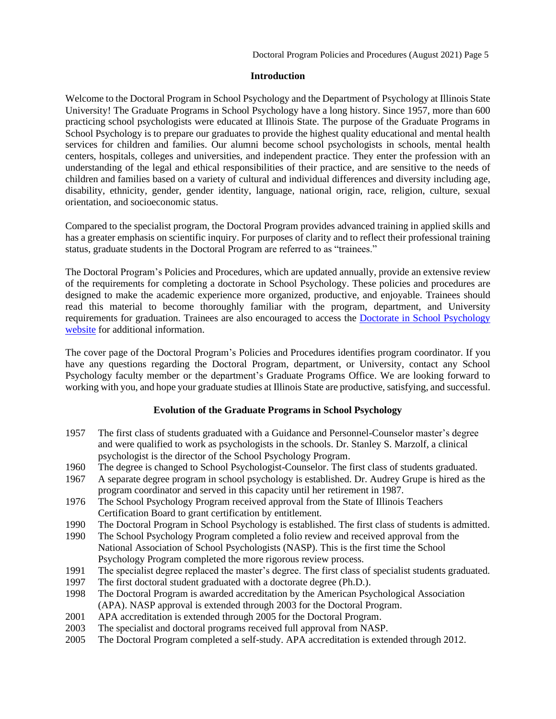#### <span id="page-4-0"></span>**[Introduction](#page-4-2)**

<span id="page-4-2"></span>Welcome to the Doctoral Program in School Psychology and the Department of Psychology at Illinois State University! The Graduate Programs in School Psychology have a long history. Since 1957, more than 600 practicing school psychologists were educated at Illinois State. The purpose of the Graduate Programs in School Psychology is to prepare our graduates to provide the highest quality educational and mental health services for children and families. Our alumni become school psychologists in schools, mental health centers, hospitals, colleges and universities, and independent practice. They enter the profession with an understanding of the legal and ethical responsibilities of their practice, and are sensitive to the needs of children and families based on a variety of cultural and individual differences and diversity including age, disability, ethnicity, gender, gender identity, language, national origin, race, religion, culture, sexual orientation, and socioeconomic status.

Compared to the specialist program, the Doctoral Program provides advanced training in applied skills and has a greater emphasis on scientific inquiry. For purposes of clarity and to reflect their professional training status, graduate students in the Doctoral Program are referred to as "trainees."

The Doctoral Program's Policies and Procedures, which are updated annually, provide an extensive review of the requirements for completing a doctorate in School Psychology. These policies and procedures are designed to make the academic experience more organized, productive, and enjoyable. Trainees should read this material to become thoroughly familiar with the program, department, and University requirements for graduation. Trainees are also encouraged to access the [Doctorate in School Psychology](https://psychology.illinoisstate.edu/graduate/school-psychology/doctorate-in-school-psychology/) [website](https://psychology.illinoisstate.edu/graduate/school-psychology/doctorate-in-school-psychology/) for additional information.

The cover page of the Doctoral Program's Policies and Procedures identifies program coordinator. If you have any questions regarding the Doctoral Program, department, or University, contact any School Psychology faculty member or the department's Graduate Programs Office. We are looking forward to working with you, and hope your graduate studies at Illinois State are productive, satisfying, and successful.

## <span id="page-4-1"></span>**[Evolution of the Graduate Programs in School Psychology](#page-4-3)**

- <span id="page-4-3"></span>1957 The first class of students graduated with a Guidance and Personnel-Counselor master's degree and were qualified to work as psychologists in the schools. Dr. Stanley S. Marzolf, a clinical psychologist is the director of the School Psychology Program.
- 1960 The degree is changed to School Psychologist-Counselor. The first class of students graduated.
- 1967 A separate degree program in school psychology is established. Dr. Audrey Grupe is hired as the program coordinator and served in this capacity until her retirement in 1987.
- 1976 The School Psychology Program received approval from the State of Illinois Teachers Certification Board to grant certification by entitlement.
- 1990 The Doctoral Program in School Psychology is established. The first class of students is admitted.
- 1990 The School Psychology Program completed a folio review and received approval from the National Association of School Psychologists (NASP). This is the first time the School Psychology Program completed the more rigorous review process.
- 1991 The specialist degree replaced the master's degree. The first class of specialist students graduated.
- 1997 The first doctoral student graduated with a doctorate degree (Ph.D.).
- 1998 The Doctoral Program is awarded accreditation by the American Psychological Association (APA). NASP approval is extended through 2003 for the Doctoral Program.
- 2001 APA accreditation is extended through 2005 for the Doctoral Program.
- 2003 The specialist and doctoral programs received full approval from NASP.
- 2005 The Doctoral Program completed a self-study. APA accreditation is extended through 2012.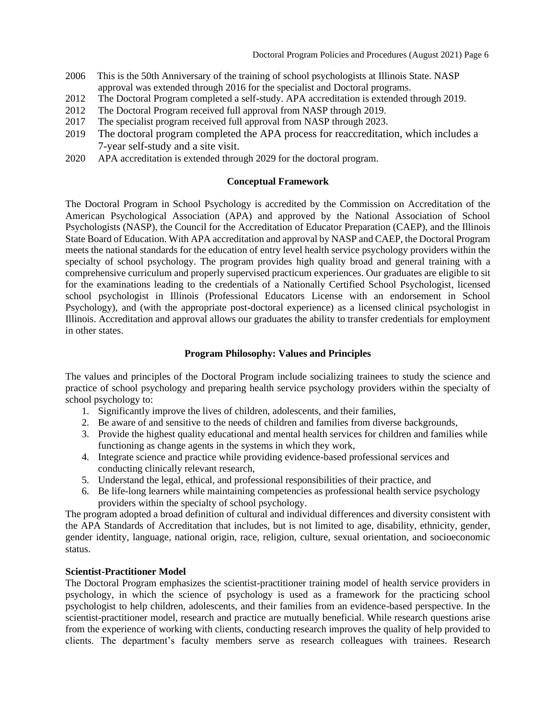- 2006 This is the 50th Anniversary of the training of school psychologists at Illinois State. NASP approval was extended through 2016 for the specialist and Doctoral programs.
- 2012 The Doctoral Program completed a self-study. APA accreditation is extended through 2019.
- 2012 The Doctoral Program received full approval from NASP through 2019.
- 2017 The specialist program received full approval from NASP through 2023.
- 2019 The doctoral program completed the APA process for reaccreditation, which includes a 7-year self-study and a site visit.
- 2020 APA accreditation is extended through 2029 for the doctoral program.

## <span id="page-5-0"></span>**[Conceptual Framework](#page-5-2)**

<span id="page-5-2"></span>The Doctoral Program in School Psychology is accredited by the Commission on Accreditation of the American Psychological Association (APA) and approved by the National Association of School Psychologists (NASP), the Council for the Accreditation of Educator Preparation (CAEP), and the Illinois State Board of Education. With APA accreditation and approval by NASP and CAEP, the Doctoral Program meets the national standards for the education of entry level health service psychology providers within the specialty of school psychology. The program provides high quality broad and general training with a comprehensive curriculum and properly supervised practicum experiences. Our graduates are eligible to sit for the examinations leading to the credentials of a Nationally Certified School Psychologist, licensed school psychologist in Illinois (Professional Educators License with an endorsement in School Psychology), and (with the appropriate post-doctoral experience) as a licensed clinical psychologist in Illinois. Accreditation and approval allows our graduates the ability to transfer credentials for employment in other states.

## **Program Philosophy: Values and Principles**

<span id="page-5-1"></span>The values and principles of the Doctoral Program include socializing trainees to study the science and practice of school psychology and preparing health service psychology providers within the specialty of school psychology to:

- 1. Significantly improve the lives of children, adolescents, and their families,
- 2. Be aware of and sensitive to the needs of children and families from diverse backgrounds,
- 3. Provide the highest quality educational and mental health services for children and families while functioning as change agents in the systems in which they work,
- 4. Integrate science and practice while providing evidence-based professional services and conducting clinically relevant research,
- 5. Understand the legal, ethical, and professional responsibilities of their practice, and
- 6. Be life-long learners while maintaining competencies as professional health service psychology providers within the specialty of school psychology.

The program adopted a broad definition of cultural and individual differences and diversity consistent with the APA Standards of Accreditation that includes, but is not limited to age, disability, ethnicity, gender, gender identity, language, national origin, race, religion, culture, sexual orientation, and socioeconomic status.

## **Scientist-Practitioner Model**

The Doctoral Program emphasizes the scientist-practitioner training model of health service providers in psychology, in which the science of psychology is used as a framework for the practicing school psychologist to help children, adolescents, and their families from an evidence-based perspective. In the scientist-practitioner model, research and practice are mutually beneficial. While research questions arise from the experience of working with clients, conducting research improves the quality of help provided to clients. The department's faculty members serve as research colleagues with trainees. Research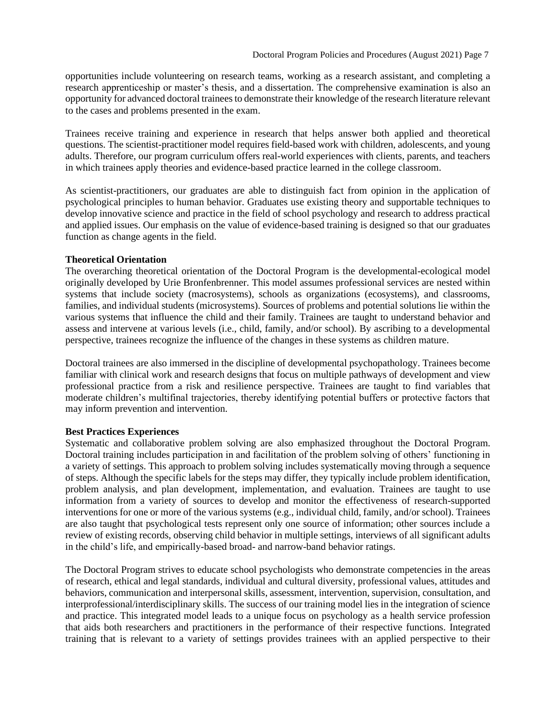opportunities include volunteering on research teams, working as a research assistant, and completing a research apprenticeship or master's thesis, and a dissertation. The comprehensive examination is also an opportunity for advanced doctoral trainees to demonstrate their knowledge of the research literature relevant to the cases and problems presented in the exam.

Trainees receive training and experience in research that helps answer both applied and theoretical questions. The scientist-practitioner model requires field-based work with children, adolescents, and young adults. Therefore, our program curriculum offers real-world experiences with clients, parents, and teachers in which trainees apply theories and evidence-based practice learned in the college classroom.

As scientist-practitioners, our graduates are able to distinguish fact from opinion in the application of psychological principles to human behavior. Graduates use existing theory and supportable techniques to develop innovative science and practice in the field of school psychology and research to address practical and applied issues. Our emphasis on the value of evidence-based training is designed so that our graduates function as change agents in the field.

#### **Theoretical Orientation**

The overarching theoretical orientation of the Doctoral Program is the developmental-ecological model originally developed by Urie Bronfenbrenner. This model assumes professional services are nested within systems that include society (macrosystems), schools as organizations (ecosystems), and classrooms, families, and individual students (microsystems). Sources of problems and potential solutions lie within the various systems that influence the child and their family. Trainees are taught to understand behavior and assess and intervene at various levels (i.e., child, family, and/or school). By ascribing to a developmental perspective, trainees recognize the influence of the changes in these systems as children mature.

Doctoral trainees are also immersed in the discipline of developmental psychopathology. Trainees become familiar with clinical work and research designs that focus on multiple pathways of development and view professional practice from a risk and resilience perspective. Trainees are taught to find variables that moderate children's multifinal trajectories, thereby identifying potential buffers or protective factors that may inform prevention and intervention.

#### **Best Practices Experiences**

Systematic and collaborative problem solving are also emphasized throughout the Doctoral Program. Doctoral training includes participation in and facilitation of the problem solving of others' functioning in a variety of settings. This approach to problem solving includes systematically moving through a sequence of steps. Although the specific labels for the steps may differ, they typically include problem identification, problem analysis, and plan development, implementation, and evaluation. Trainees are taught to use information from a variety of sources to develop and monitor the effectiveness of research-supported interventions for one or more of the various systems (e.g., individual child, family, and/or school). Trainees are also taught that psychological tests represent only one source of information; other sources include a review of existing records, observing child behavior in multiple settings, interviews of all significant adults in the child's life, and empirically-based broad- and narrow-band behavior ratings.

The Doctoral Program strives to educate school psychologists who demonstrate competencies in the areas of research, ethical and legal standards, individual and cultural diversity, professional values, attitudes and behaviors, communication and interpersonal skills, assessment, intervention, supervision, consultation, and interprofessional/interdisciplinary skills. The success of our training model lies in the integration of science and practice. This integrated model leads to a unique focus on psychology as a health service profession that aids both researchers and practitioners in the performance of their respective functions. Integrated training that is relevant to a variety of settings provides trainees with an applied perspective to their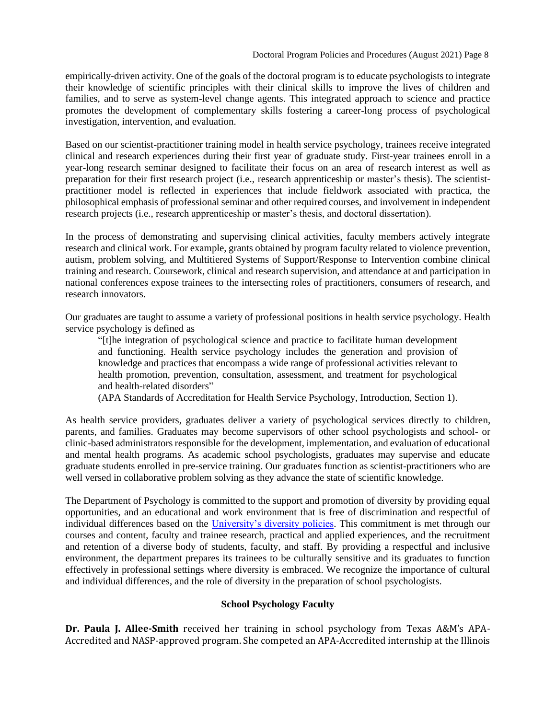empirically-driven activity. One of the goals of the doctoral program is to educate psychologists to integrate their knowledge of scientific principles with their clinical skills to improve the lives of children and families, and to serve as system-level change agents. This integrated approach to science and practice promotes the development of complementary skills fostering a career-long process of psychological investigation, intervention, and evaluation.

Based on our scientist-practitioner training model in health service psychology, trainees receive integrated clinical and research experiences during their first year of graduate study. First-year trainees enroll in a year-long research seminar designed to facilitate their focus on an area of research interest as well as preparation for their first research project (i.e., research apprenticeship or master's thesis). The scientistpractitioner model is reflected in experiences that include fieldwork associated with practica, the philosophical emphasis of professional seminar and other required courses, and involvement in independent research projects (i.e., research apprenticeship or master's thesis, and doctoral dissertation).

In the process of demonstrating and supervising clinical activities, faculty members actively integrate research and clinical work. For example, grants obtained by program faculty related to violence prevention, autism, problem solving, and Multitiered Systems of Support/Response to Intervention combine clinical training and research. Coursework, clinical and research supervision, and attendance at and participation in national conferences expose trainees to the intersecting roles of practitioners, consumers of research, and research innovators.

Our graduates are taught to assume a variety of professional positions in health service psychology. Health service psychology is defined as

"[t]he integration of psychological science and practice to facilitate human development and functioning. Health service psychology includes the generation and provision of knowledge and practices that encompass a wide range of professional activities relevant to health promotion, prevention, consultation, assessment, and treatment for psychological and health-related disorders"

(APA Standards of Accreditation for Health Service Psychology, Introduction, Section 1).

As health service providers, graduates deliver a variety of psychological services directly to children, parents, and families. Graduates may become supervisors of other school psychologists and school- or clinic-based administrators responsible for the development, implementation, and evaluation of educational and mental health programs. As academic school psychologists, graduates may supervise and educate graduate students enrolled in pre-service training. Our graduates function as scientist-practitioners who are well versed in collaborative problem solving as they advance the state of scientific knowledge.

The Department of Psychology is committed to the support and promotion of diversity by providing equal opportunities, and an educational and work environment that is free of discrimination and respectful of individual differences based on the [University's diversity policies.](http://illinoisstate.edu/diversity/) This commitment is met through our courses and content, faculty and trainee research, practical and applied experiences, and the recruitment and retention of a diverse body of students, faculty, and staff. By providing a respectful and inclusive environment, the department prepares its trainees to be culturally sensitive and its graduates to function effectively in professional settings where diversity is embraced. We recognize the importance of cultural and individual differences, and the role of diversity in the preparation of school psychologists.

# <span id="page-7-0"></span>**[School Psychology Faculty](#page-7-0)**

**Dr. Paula J. Allee-Smith** received her training in school psychology from Texas A&M's APA-Accredited and NASP-approved program. She competed an APA-Accredited internship at the Illinois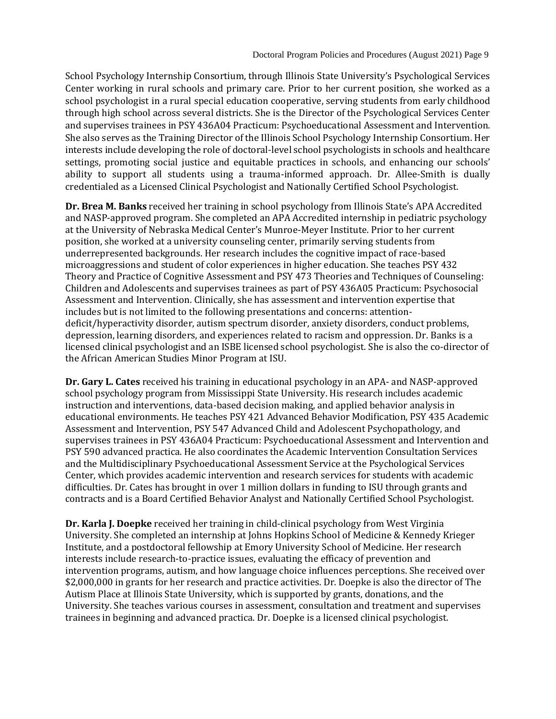School Psychology Internship Consortium, through Illinois State University's Psychological Services Center working in rural schools and primary care. Prior to her current position, she worked as a school psychologist in a rural special education cooperative, serving students from early childhood through high school across several districts. She is the Director of the Psychological Services Center and supervises trainees in PSY 436A04 Practicum: Psychoeducational Assessment and Intervention. She also serves as the Training Director of the Illinois School Psychology Internship Consortium. Her interests include developing the role of doctoral-level school psychologists in schools and healthcare settings, promoting social justice and equitable practices in schools, and enhancing our schools' ability to support all students using a trauma-informed approach. Dr. Allee-Smith is dually credentialed as a Licensed Clinical Psychologist and Nationally Certified School Psychologist.

**Dr. Brea M. Banks** received her training in school psychology from Illinois State's APA Accredited and NASP-approved program. She completed an APA Accredited internship in pediatric psychology at the University of Nebraska Medical Center's Munroe-Meyer Institute. Prior to her current position, she worked at a university counseling center, primarily serving students from underrepresented backgrounds. Her research includes the cognitive impact of race-based microaggressions and student of color experiences in higher education. She teaches PSY 432 Theory and Practice of Cognitive Assessment and PSY 473 Theories and Techniques of Counseling: Children and Adolescents and supervises trainees as part of PSY 436A05 Practicum: Psychosocial Assessment and Intervention. Clinically, she has assessment and intervention expertise that includes but is not limited to the following presentations and concerns: attentiondeficit/hyperactivity disorder, autism spectrum disorder, anxiety disorders, conduct problems, depression, learning disorders, and experiences related to racism and oppression. Dr. Banks is a licensed clinical psychologist and an ISBE licensed school psychologist. She is also the co-director of the African American Studies Minor Program at ISU.

**Dr. Gary L. Cates** received his training in educational psychology in an APA- and NASP-approved school psychology program from Mississippi State University. His research includes academic instruction and interventions, data-based decision making, and applied behavior analysis in educational environments. He teaches PSY 421 Advanced Behavior Modification, PSY 435 Academic Assessment and Intervention, PSY 547 Advanced Child and Adolescent Psychopathology, and supervises trainees in PSY 436A04 Practicum: Psychoeducational Assessment and Intervention and PSY 590 advanced practica. He also coordinates the Academic Intervention Consultation Services and the Multidisciplinary Psychoeducational Assessment Service at the Psychological Services Center, which provides academic intervention and research services for students with academic difficulties. Dr. Cates has brought in over 1 million dollars in funding to ISU through grants and contracts and is a Board Certified Behavior Analyst and Nationally Certified School Psychologist.

**Dr. Karla J. Doepke** received her training in child-clinical psychology from West Virginia University. She completed an internship at Johns Hopkins School of Medicine & Kennedy Krieger Institute, and a postdoctoral fellowship at Emory University School of Medicine. Her research interests include research-to-practice issues, evaluating the efficacy of prevention and intervention programs, autism, and how language choice influences perceptions. She received over \$2,000,000 in grants for her research and practice activities. Dr. Doepke is also the director of The Autism Place at Illinois State University, which is supported by grants, donations, and the University. She teaches various courses in assessment, consultation and treatment and supervises trainees in beginning and advanced practica. Dr. Doepke is a licensed clinical psychologist.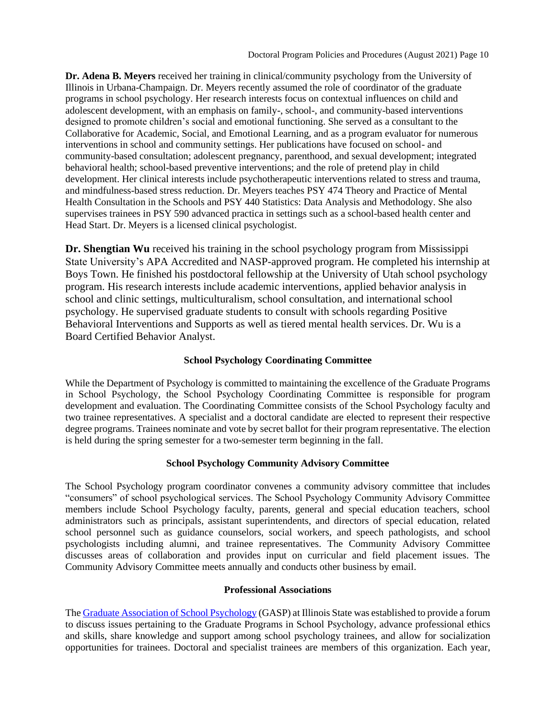**Dr. Adena B. Meyers** received her training in clinical/community psychology from the University of Illinois in Urbana-Champaign. Dr. Meyers recently assumed the role of coordinator of the graduate programs in school psychology. Her research interests focus on contextual influences on child and adolescent development, with an emphasis on family-, school-, and community-based interventions designed to promote children's social and emotional functioning. She served as a consultant to the Collaborative for Academic, Social, and Emotional Learning, and as a program evaluator for numerous interventions in school and community settings. Her publications have focused on school- and community-based consultation; adolescent pregnancy, parenthood, and sexual development; integrated behavioral health; school-based preventive interventions; and the role of pretend play in child development. Her clinical interests include psychotherapeutic interventions related to stress and trauma, and mindfulness-based stress reduction. Dr. Meyers teaches PSY 474 Theory and Practice of Mental Health Consultation in the Schools and PSY 440 Statistics: Data Analysis and Methodology. She also supervises trainees in PSY 590 advanced practica in settings such as a school-based health center and Head Start. Dr. Meyers is a licensed clinical psychologist.

**Dr. Shengtian Wu** received his training in the school psychology program from Mississippi State University's APA Accredited and NASP-approved program. He completed his internship at Boys Town. He finished his postdoctoral fellowship at the University of Utah school psychology program. His research interests include academic interventions, applied behavior analysis in school and clinic settings, multiculturalism, school consultation, and international school psychology. He supervised graduate students to consult with schools regarding Positive Behavioral Interventions and Supports as well as tiered mental health services. Dr. Wu is a Board Certified Behavior Analyst.

# <span id="page-9-0"></span>**School Psychology Coordinating Committee**

While the Department of Psychology is committed to maintaining the excellence of the Graduate Programs in School Psychology, the School Psychology Coordinating Committee is responsible for program development and evaluation. The Coordinating Committee consists of the School Psychology faculty and two trainee representatives. A specialist and a doctoral candidate are elected to represent their respective degree programs. Trainees nominate and vote by secret ballot for their program representative. The election is held during the spring semester for a two-semester term beginning in the fall.

# <span id="page-9-1"></span>**[School Psychology Community Advisory Committee](#page-10-3)**

The School Psychology program coordinator convenes a community advisory committee that includes "consumers" of school psychological services. The School Psychology Community Advisory Committee members include School Psychology faculty, parents, general and special education teachers, school administrators such as principals, assistant superintendents, and directors of special education, related school personnel such as guidance counselors, social workers, and speech pathologists, and school psychologists including alumni, and trainee representatives. The Community Advisory Committee discusses areas of collaboration and provides input on curricular and field placement issues. The Community Advisory Committee meets annually and conducts other business by email.

# <span id="page-9-2"></span>**[Professional Associations](#page-13-0)**

The [Graduate Association of School Psychology](https://psychology.illinoisstate.edu/graduate/school-psychology/graduate-association-of-school-psychology/) (GASP) at Illinois State was established to provide a forum to discuss issues pertaining to the Graduate Programs in School Psychology, advance professional ethics and skills, share knowledge and support among school psychology trainees, and allow for socialization opportunities for trainees. Doctoral and specialist trainees are members of this organization. Each year,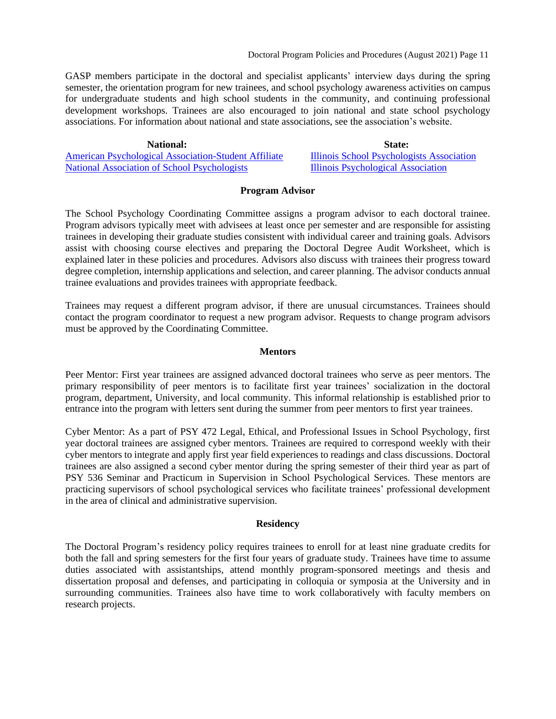Doctoral Program Policies and Procedures (August 2021) Page 11

GASP members participate in the doctoral and specialist applicants' interview days during the spring semester, the orientation program for new trainees, and school psychology awareness activities on campus for undergraduate students and high school students in the community, and continuing professional development workshops. Trainees are also encouraged to join national and state school psychology associations. For information about national and state associations, see the association's website.

**National:**<br> **State:**<br> **State:**<br> **State:**<br> **State:**<br> **State:**<br> **State:**<br> **State:**<br> **State:**<br> **State:**<br> **State:**<br> **State:**<br> **State:** [American Psychological Association-Student Affiliate](http://www.apa.org/membership/student/index.aspx) [Illinois School Psychologists Association](https://www.ilispa.org/)<br>National Association of School Psychologists Illinois Psychological Association [National Association of School Psychologists](http://www.nasponline.org/)

## <span id="page-10-0"></span>**[Program Advisor](#page-10-3)**

<span id="page-10-3"></span>The School Psychology Coordinating Committee assigns a program advisor to each doctoral trainee. Program advisors typically meet with advisees at least once per semester and are responsible for assisting trainees in developing their graduate studies consistent with individual career and training goals. Advisors assist with choosing course electives and preparing the Doctoral Degree Audit Worksheet, which is explained later in these policies and procedures. Advisors also discuss with trainees their progress toward degree completion, internship applications and selection, and career planning. The advisor conducts annual trainee evaluations and provides trainees with appropriate feedback.

Trainees may request a different program advisor, if there are unusual circumstances. Trainees should contact the program coordinator to request a new program advisor. Requests to change program advisors must be approved by the Coordinating Committee.

#### <span id="page-10-1"></span>**[Mentors](#page-10-4)**

<span id="page-10-4"></span>Peer Mentor: First year trainees are assigned advanced doctoral trainees who serve as peer mentors. The primary responsibility of peer mentors is to facilitate first year trainees' socialization in the doctoral program, department, University, and local community. This informal relationship is established prior to entrance into the program with letters sent during the summer from peer mentors to first year trainees.

Cyber Mentor: As a part of PSY 472 Legal, Ethical, and Professional Issues in School Psychology, first year doctoral trainees are assigned cyber mentors. Trainees are required to correspond weekly with their cyber mentors to integrate and apply first year field experiences to readings and class discussions. Doctoral trainees are also assigned a second cyber mentor during the spring semester of their third year as part of PSY 536 Seminar and Practicum in Supervision in School Psychological Services. These mentors are practicing supervisors of school psychological services who facilitate trainees' professional development in the area of clinical and administrative supervision.

## <span id="page-10-2"></span>**[Residency](#page-10-5)**

<span id="page-10-5"></span>The Doctoral Program's residency policy requires trainees to enroll for at least nine graduate credits for both the fall and spring semesters for the first four years of graduate study. Trainees have time to assume duties associated with assistantships, attend monthly program-sponsored meetings and thesis and dissertation proposal and defenses, and participating in colloquia or symposia at the University and in surrounding communities. Trainees also have time to work collaboratively with faculty members on research projects.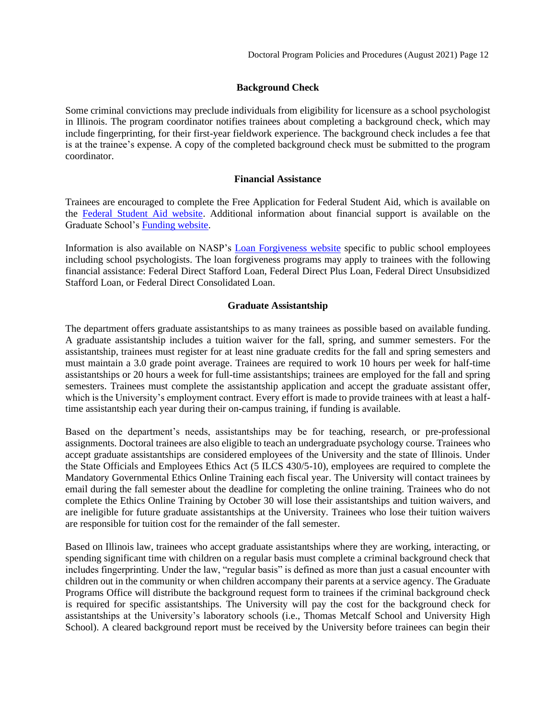## <span id="page-11-0"></span>**[Background Check](#page-11-3)**

Some criminal convictions may preclude individuals from eligibility for licensure as a school psychologist in Illinois. The program coordinator notifies trainees about completing a background check, which may include fingerprinting, for their first-year fieldwork experience. The background check includes a fee that is at the trainee's expense. A copy of the completed background check must be submitted to the program coordinator.

#### <span id="page-11-1"></span>**[Financial As](#page-11-4)sistance**

<span id="page-11-4"></span>Trainees are encouraged to complete the Free Application for Federal Student Aid, which is available on the [Federal Student Aid website.](http://www.fafsa.ed.gov/) Additional information about financial support is available on the Graduate School's [Funding website.](http://grad.illinoisstate.edu/funding/)

Information is also available on NASP's [Loan Forgiveness website](http://www.nasponline.org/research-and-policy/current-law-and-policy-priorities/current-law/loan-forgiveness-for-school-psychologists) specific to public school employees including school psychologists. The loan forgiveness programs may apply to trainees with the following financial assistance: Federal Direct Stafford Loan, Federal Direct Plus Loan, Federal Direct Unsubsidized Stafford Loan, or Federal Direct Consolidated Loan.

#### <span id="page-11-2"></span>**[Graduate Assistantship](#page-11-5)**

<span id="page-11-5"></span><span id="page-11-3"></span>The department offers graduate assistantships to as many trainees as possible based on available funding. A graduate assistantship includes a tuition waiver for the fall, spring, and summer semesters. For the assistantship, trainees must register for at least nine graduate credits for the fall and spring semesters and must maintain a 3.0 grade point average. Trainees are required to work 10 hours per week for half-time assistantships or 20 hours a week for full-time assistantships; trainees are employed for the fall and spring semesters. Trainees must complete the assistantship application and accept the graduate assistant offer, which is the University's employment contract. Every effort is made to provide trainees with at least a halftime assistantship each year during their on-campus training, if funding is available.

Based on the department's needs, assistantships may be for teaching, research, or pre-professional assignments. Doctoral trainees are also eligible to teach an undergraduate psychology course. Trainees who accept graduate assistantships are considered employees of the University and the state of Illinois. Under the State Officials and Employees Ethics Act (5 ILCS 430/5-10), employees are required to complete the Mandatory Governmental Ethics Online Training each fiscal year. The University will contact trainees by email during the fall semester about the deadline for completing the online training. Trainees who do not complete the Ethics Online Training by October 30 will lose their assistantships and tuition waivers, and are ineligible for future graduate assistantships at the University. Trainees who lose their tuition waivers are responsible for tuition cost for the remainder of the fall semester.

Based on Illinois law, trainees who accept graduate assistantships where they are working, interacting, or spending significant time with children on a regular basis must complete a criminal background check that includes fingerprinting. Under the law, "regular basis" is defined as more than just a casual encounter with children out in the community or when children accompany their parents at a service agency. The Graduate Programs Office will distribute the background request form to trainees if the criminal background check is required for specific assistantships. The University will pay the cost for the background check for assistantships at the University's laboratory schools (i.e., Thomas Metcalf School and University High School). A cleared background report must be received by the University before trainees can begin their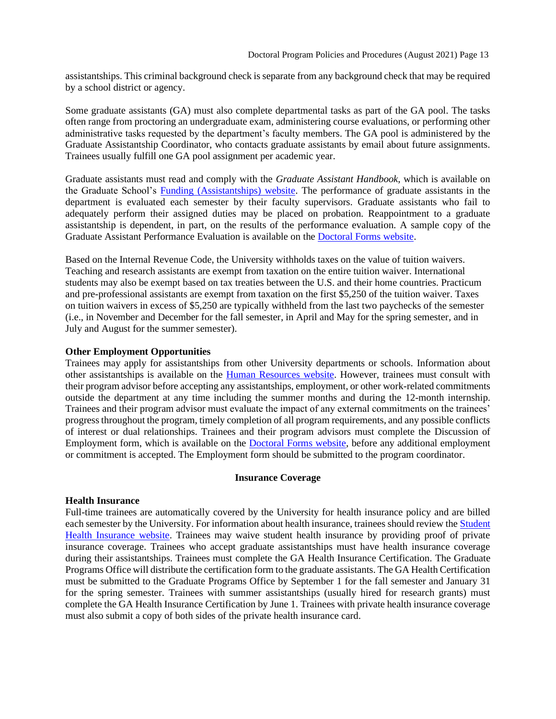assistantships. This criminal background check is separate from any background check that may be required by a school district or agency.

Some graduate assistants (GA) must also complete departmental tasks as part of the GA pool. The tasks often range from proctoring an undergraduate exam, administering course evaluations, or performing other administrative tasks requested by the department's faculty members. The GA pool is administered by the Graduate Assistantship Coordinator, who contacts graduate assistants by email about future assignments. Trainees usually fulfill one GA pool assignment per academic year.

Graduate assistants must read and comply with the *Graduate Assistant Handbook*, which is available on the Graduate School's [Funding \(Assistantships\) website.](http://grad.illinoisstate.edu/funding/assistantships/) The performance of graduate assistants in the department is evaluated each semester by their faculty supervisors. Graduate assistants who fail to adequately perform their assigned duties may be placed on probation. Reappointment to a graduate assistantship is dependent, in part, on the results of the performance evaluation. A sample copy of the Graduate Assistant Performance Evaluation is available on the [Doctoral Forms website.](https://psychology.illinoisstate.edu/graduate/school-psychology/doctorate-in-school-psychology/forms-and-agreements/)

Based on the Internal Revenue Code, the University withholds taxes on the value of tuition waivers. Teaching and research assistants are exempt from taxation on the entire tuition waiver. International students may also be exempt based on tax treaties between the U.S. and their home countries. Practicum and pre-professional assistants are exempt from taxation on the first \$5,250 of the tuition waiver. Taxes on tuition waivers in excess of \$5,250 are typically withheld from the last two paychecks of the semester (i.e., in November and December for the fall semester, in April and May for the spring semester, and in July and August for the summer semester).

#### **Other Employment Opportunities**

Trainees may apply for assistantships from other University departments or schools. Information about other assistantships is available on the **Human Resources website**. However, trainees must consult with their program advisor before accepting any assistantships, employment, or other work-related commitments outside the department at any time including the summer months and during the 12-month internship. Trainees and their program advisor must evaluate the impact of any external commitments on the trainees' progress throughout the program, timely completion of all program requirements, and any possible conflicts of interest or dual relationships. Trainees and their program advisors must complete the Discussion of Employment form, which is available on the [Doctoral Forms website,](https://psychology.illinoisstate.edu/graduate/school-psychology/doctorate-in-school-psychology/forms-and-agreements/) before any additional employment or commitment is accepted. The Employment form should be submitted to the program coordinator.

#### <span id="page-12-0"></span>**[Insurance Coverage](#page-11-3)**

## **Health Insurance**

Full-time trainees are automatically covered by the University for health insurance policy and are billed each semester by the University. For information about health insurance, trainees should review th[e Student](http://shs.illinoisstate.edu/Insurance/)  [Health Insurance website.](http://shs.illinoisstate.edu/Insurance/) Trainees may waive student health insurance by providing proof of private insurance coverage. Trainees who accept graduate assistantships must have health insurance coverage during their assistantships. Trainees must complete the GA Health Insurance Certification. The Graduate Programs Office will distribute the certification form to the graduate assistants. The GA Health Certification must be submitted to the Graduate Programs Office by September 1 for the fall semester and January 31 for the spring semester. Trainees with summer assistantships (usually hired for research grants) must complete the GA Health Insurance Certification by June 1. Trainees with private health insurance coverage must also submit a copy of both sides of the private health insurance card.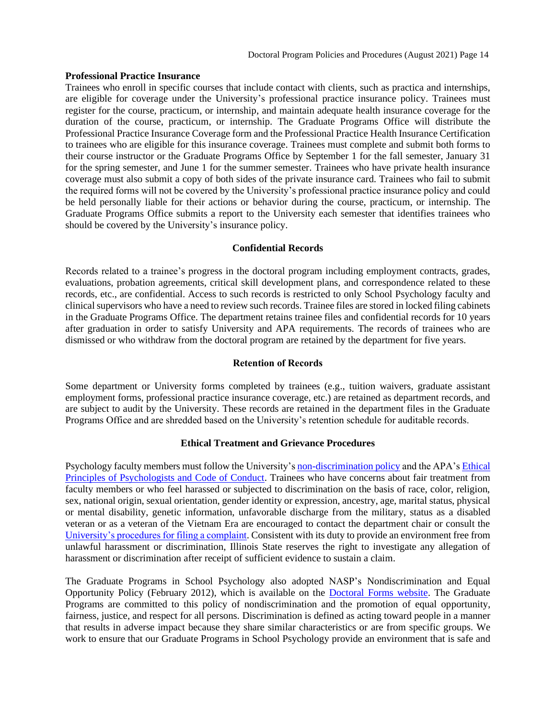#### **Professional Practice Insurance**

Trainees who enroll in specific courses that include contact with clients, such as practica and internships, are eligible for coverage under the University's professional practice insurance policy. Trainees must register for the course, practicum, or internship, and maintain adequate health insurance coverage for the duration of the course, practicum, or internship. The Graduate Programs Office will distribute the Professional Practice Insurance Coverage form and the Professional Practice Health Insurance Certification to trainees who are eligible for this insurance coverage. Trainees must complete and submit both forms to their course instructor or the Graduate Programs Office by September 1 for the fall semester, January 31 for the spring semester, and June 1 for the summer semester. Trainees who have private health insurance coverage must also submit a copy of both sides of the private insurance card. Trainees who fail to submit the required forms will not be covered by the University's professional practice insurance policy and could be held personally liable for their actions or behavior during the course, practicum, or internship. The Graduate Programs Office submits a report to the University each semester that identifies trainees who should be covered by the University's insurance policy.

## **Confidential Records**

<span id="page-13-0"></span>Records related to a trainee's progress in the doctoral program including employment contracts, grades, evaluations, probation agreements, critical skill development plans, and correspondence related to these records, etc., are confidential. Access to such records is restricted to only School Psychology faculty and clinical supervisors who have a need to review such records. Trainee files are stored in locked filing cabinets in the Graduate Programs Office. The department retains trainee files and confidential records for 10 years after graduation in order to satisfy University and APA requirements. The records of trainees who are dismissed or who withdraw from the doctoral program are retained by the department for five years.

#### **Retention of Records**

<span id="page-13-1"></span>Some department or University forms completed by trainees (e.g., tuition waivers, graduate assistant employment forms, professional practice insurance coverage, etc.) are retained as department records, and are subject to audit by the University. These records are retained in the department files in the Graduate Programs Office and are shredded based on the University's retention schedule for auditable records.

#### **Ethical Treatment and Grievance Procedures**

<span id="page-13-2"></span>Psychology faculty members must follow the University's [non-discrimination policy](http://equalopportunity.illinoisstate.edu/) and the APA's [Ethical](http://www.apa.org/ethics/code/index.aspx)  [Principles of Psychologists and Code of Conduct.](http://www.apa.org/ethics/code/index.aspx) Trainees who have concerns about fair treatment from faculty members or who feel harassed or subjected to discrimination on the basis of race, color, religion, sex, national origin, sexual orientation, gender identity or expression, ancestry, age, marital status, physical or mental disability, genetic information, unfavorable discharge from the military, status as a disabled veteran or as a veteran of the Vietnam Era are encouraged to contact the department chair or consult the [University's procedures for filing a complaint.](http://policy.illinoisstate.edu/conduct/1-1-2.shtml) Consistent with its duty to provide an environment free from unlawful harassment or discrimination, Illinois State reserves the right to investigate any allegation of harassment or discrimination after receipt of sufficient evidence to sustain a claim.

The Graduate Programs in School Psychology also adopted NASP's Nondiscrimination and Equal Opportunity Policy (February 2012), which is available on the [Doctoral Forms website.](https://psychology.illinoisstate.edu/graduate/school-psychology/doctorate-in-school-psychology/forms-and-agreements/) The Graduate Programs are committed to this policy of nondiscrimination and the promotion of equal opportunity, fairness, justice, and respect for all persons. Discrimination is defined as acting toward people in a manner that results in adverse impact because they share similar characteristics or are from specific groups. We work to ensure that our Graduate Programs in School Psychology provide an environment that is safe and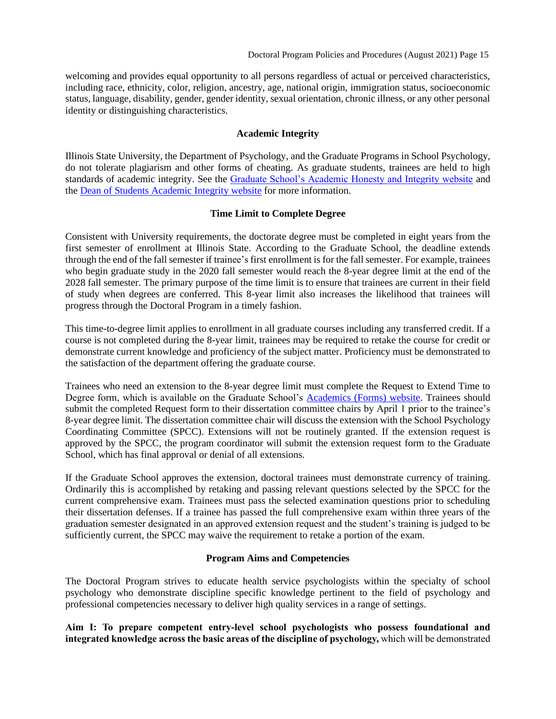welcoming and provides equal opportunity to all persons regardless of actual or perceived characteristics, including race, ethnicity, color, religion, ancestry, age, national origin, immigration status, socioeconomic status, language, disability, gender, gender identity, sexual orientation, chronic illness, or any other personal identity or distinguishing characteristics.

## **Academic Integrity**

<span id="page-14-0"></span>Illinois State University, the Department of Psychology, and the Graduate Programs in School Psychology, do not tolerate plagiarism and other forms of cheating. As graduate students, trainees are held to high standards of academic integrity. See the [Graduate School's Academic Honesty and Integrity website](http://grad.illinoisstate.edu/admission/orientation/honesty.shtml) and the [Dean of Students Academic Integrity website](https://deanofstudents.illinoisstate.edu/conduct/) for more information.

#### <span id="page-14-1"></span>**[Time Limit to Complete Degree](#page-13-0)**

Consistent with University requirements, the doctorate degree must be completed in eight years from the first semester of enrollment at Illinois State. According to the Graduate School, the deadline extends through the end of the fall semester if trainee's first enrollment is for the fall semester. For example, trainees who begin graduate study in the 2020 fall semester would reach the 8-year degree limit at the end of the 2028 fall semester. The primary purpose of the time limit is to ensure that trainees are current in their field of study when degrees are conferred. This 8-year limit also increases the likelihood that trainees will progress through the Doctoral Program in a timely fashion.

This time-to-degree limit applies to enrollment in all graduate courses including any transferred credit. If a course is not completed during the 8-year limit, trainees may be required to retake the course for credit or demonstrate current knowledge and proficiency of the subject matter. Proficiency must be demonstrated to the satisfaction of the department offering the graduate course.

Trainees who need an extension to the 8-year degree limit must complete the Request to Extend Time to Degree form, which is available on the Graduate School's [Academics \(Forms\) website.](https://grad.illinoisstate.edu/students/forms/) Trainees should submit the completed Request form to their dissertation committee chairs by April 1 prior to the trainee's 8-year degree limit. The dissertation committee chair will discuss the extension with the School Psychology Coordinating Committee (SPCC). Extensions will not be routinely granted. If the extension request is approved by the SPCC, the program coordinator will submit the extension request form to the Graduate School, which has final approval or denial of all extensions.

If the Graduate School approves the extension, doctoral trainees must demonstrate currency of training. Ordinarily this is accomplished by retaking and passing relevant questions selected by the SPCC for the current comprehensive exam. Trainees must pass the selected examination questions prior to scheduling their dissertation defenses. If a trainee has passed the full comprehensive exam within three years of the graduation semester designated in an approved extension request and the student's training is judged to be sufficiently current, the SPCC may waive the requirement to retake a portion of the exam.

## **Program Aims and Competencies**

<span id="page-14-2"></span>The Doctoral Program strives to educate health service psychologists within the specialty of school psychology who demonstrate discipline specific knowledge pertinent to the field of psychology and professional competencies necessary to deliver high quality services in a range of settings.

**Aim I: To prepare competent entry-level school psychologists who possess foundational and integrated knowledge across the basic areas of the discipline of psychology,** which will be demonstrated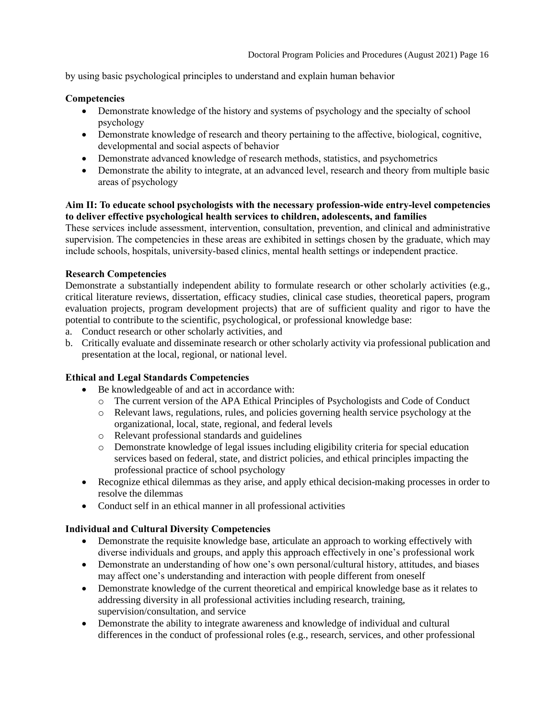by using basic psychological principles to understand and explain human behavior

## **Competencies**

- Demonstrate knowledge of the history and systems of psychology and the specialty of school psychology
- Demonstrate knowledge of research and theory pertaining to the affective, biological, cognitive, developmental and social aspects of behavior
- Demonstrate advanced knowledge of research methods, statistics, and psychometrics
- Demonstrate the ability to integrate, at an advanced level, research and theory from multiple basic areas of psychology

## **Aim II: To educate school psychologists with the necessary profession-wide entry-level competencies to deliver effective psychological health services to children, adolescents, and families**

These services include assessment, intervention, consultation, prevention, and clinical and administrative supervision. The competencies in these areas are exhibited in settings chosen by the graduate, which may include schools, hospitals, university-based clinics, mental health settings or independent practice.

## **Research Competencies**

Demonstrate a substantially independent ability to formulate research or other scholarly activities (e.g., critical literature reviews, dissertation, efficacy studies, clinical case studies, theoretical papers, program evaluation projects, program development projects) that are of sufficient quality and rigor to have the potential to contribute to the scientific, psychological, or professional knowledge base:

- a. Conduct research or other scholarly activities, and
- b. Critically evaluate and disseminate research or other scholarly activity via professional publication and presentation at the local, regional, or national level.

# **Ethical and Legal Standards Competencies**

- Be knowledgeable of and act in accordance with:
	- o The current version of the APA Ethical Principles of Psychologists and Code of Conduct
	- o Relevant laws, regulations, rules, and policies governing health service psychology at the organizational, local, state, regional, and federal levels
	- o Relevant professional standards and guidelines
	- o Demonstrate knowledge of legal issues including eligibility criteria for special education services based on federal, state, and district policies, and ethical principles impacting the professional practice of school psychology
- Recognize ethical dilemmas as they arise, and apply ethical decision-making processes in order to resolve the dilemmas
- Conduct self in an ethical manner in all professional activities

# **Individual and Cultural Diversity Competencies**

- Demonstrate the requisite knowledge base, articulate an approach to working effectively with diverse individuals and groups, and apply this approach effectively in one's professional work
- Demonstrate an understanding of how one's own personal/cultural history, attitudes, and biases may affect one's understanding and interaction with people different from oneself
- Demonstrate knowledge of the current theoretical and empirical knowledge base as it relates to addressing diversity in all professional activities including research, training, supervision/consultation, and service
- Demonstrate the ability to integrate awareness and knowledge of individual and cultural differences in the conduct of professional roles (e.g., research, services, and other professional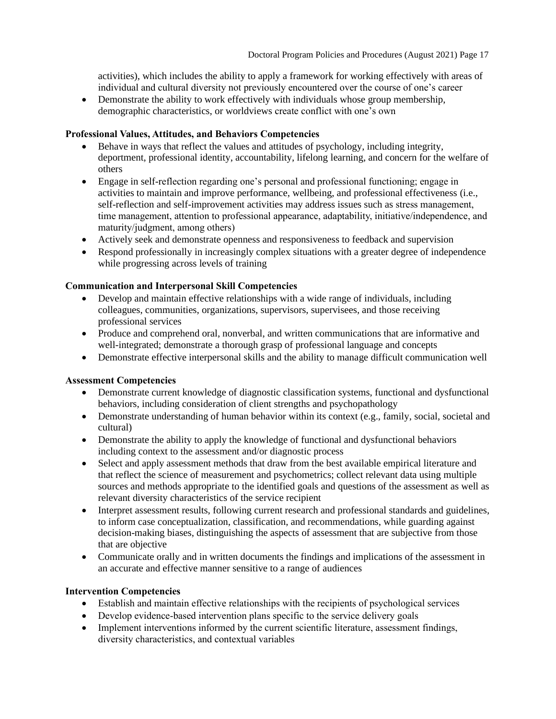activities), which includes the ability to apply a framework for working effectively with areas of individual and cultural diversity not previously encountered over the course of one's career

• Demonstrate the ability to work effectively with individuals whose group membership, demographic characteristics, or worldviews create conflict with one's own

#### **Professional Values, Attitudes, and Behaviors Competencies**

- Behave in ways that reflect the values and attitudes of psychology, including integrity, deportment, professional identity, accountability, lifelong learning, and concern for the welfare of others
- Engage in self-reflection regarding one's personal and professional functioning; engage in activities to maintain and improve performance, wellbeing, and professional effectiveness (i.e., self-reflection and self-improvement activities may address issues such as stress management, time management, attention to professional appearance, adaptability, initiative/independence, and maturity/judgment, among others)
- Actively seek and demonstrate openness and responsiveness to feedback and supervision
- Respond professionally in increasingly complex situations with a greater degree of independence while progressing across levels of training

#### **Communication and Interpersonal Skill Competencies**

- Develop and maintain effective relationships with a wide range of individuals, including colleagues, communities, organizations, supervisors, supervisees, and those receiving professional services
- Produce and comprehend oral, nonverbal, and written communications that are informative and well-integrated; demonstrate a thorough grasp of professional language and concepts
- Demonstrate effective interpersonal skills and the ability to manage difficult communication well

## **Assessment Competencies**

- Demonstrate current knowledge of diagnostic classification systems, functional and dysfunctional behaviors, including consideration of client strengths and psychopathology
- Demonstrate understanding of human behavior within its context (e.g., family, social, societal and cultural)
- Demonstrate the ability to apply the knowledge of functional and dysfunctional behaviors including context to the assessment and/or diagnostic process
- Select and apply assessment methods that draw from the best available empirical literature and that reflect the science of measurement and psychometrics; collect relevant data using multiple sources and methods appropriate to the identified goals and questions of the assessment as well as relevant diversity characteristics of the service recipient
- Interpret assessment results, following current research and professional standards and guidelines, to inform case conceptualization, classification, and recommendations, while guarding against decision-making biases, distinguishing the aspects of assessment that are subjective from those that are objective
- Communicate orally and in written documents the findings and implications of the assessment in an accurate and effective manner sensitive to a range of audiences

## **Intervention Competencies**

- Establish and maintain effective relationships with the recipients of psychological services
- Develop evidence-based intervention plans specific to the service delivery goals
- Implement interventions informed by the current scientific literature, assessment findings, diversity characteristics, and contextual variables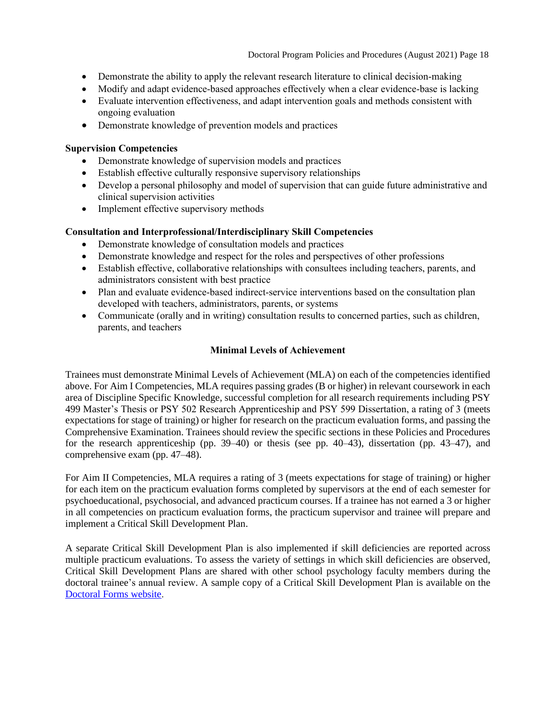- Demonstrate the ability to apply the relevant research literature to clinical decision-making
- Modify and adapt evidence-based approaches effectively when a clear evidence-base is lacking
- Evaluate intervention effectiveness, and adapt intervention goals and methods consistent with ongoing evaluation
- Demonstrate knowledge of prevention models and practices

## **Supervision Competencies**

- Demonstrate knowledge of supervision models and practices
- Establish effective culturally responsive supervisory relationships
- Develop a personal philosophy and model of supervision that can guide future administrative and clinical supervision activities
- Implement effective supervisory methods

## **Consultation and Interprofessional/Interdisciplinary Skill Competencies**

- Demonstrate knowledge of consultation models and practices
- Demonstrate knowledge and respect for the roles and perspectives of other professions
- Establish effective, collaborative relationships with consultees including teachers, parents, and administrators consistent with best practice
- Plan and evaluate evidence-based indirect-service interventions based on the consultation plan developed with teachers, administrators, parents, or systems
- Communicate (orally and in writing) consultation results to concerned parties, such as children, parents, and teachers

## **Minimal Levels of Achievement**

<span id="page-17-0"></span>Trainees must demonstrate Minimal Levels of Achievement (MLA) on each of the competencies identified above. For Aim I Competencies, MLA requires passing grades (B or higher) in relevant coursework in each area of Discipline Specific Knowledge, successful completion for all research requirements including PSY 499 Master's Thesis or PSY 502 Research Apprenticeship and PSY 599 Dissertation, a rating of 3 (meets expectations for stage of training) or higher for research on the practicum evaluation forms, and passing the Comprehensive Examination. Trainees should review the specific sections in these Policies and Procedures for the research apprenticeship (pp. 39–40) or thesis (see pp. 40–43), dissertation (pp. 43–47), and comprehensive exam (pp. 47–48).

For Aim II Competencies, MLA requires a rating of 3 (meets expectations for stage of training) or higher for each item on the practicum evaluation forms completed by supervisors at the end of each semester for psychoeducational, psychosocial, and advanced practicum courses. If a trainee has not earned a 3 or higher in all competencies on practicum evaluation forms, the practicum supervisor and trainee will prepare and implement a Critical Skill Development Plan.

A separate Critical Skill Development Plan is also implemented if skill deficiencies are reported across multiple practicum evaluations. To assess the variety of settings in which skill deficiencies are observed, Critical Skill Development Plans are shared with other school psychology faculty members during the doctoral trainee's annual review. A sample copy of a Critical Skill Development Plan is available on the [Doctoral Forms website.](https://psychology.illinoisstate.edu/graduate/school-psychology/doctorate-in-school-psychology/forms-and-agreements/)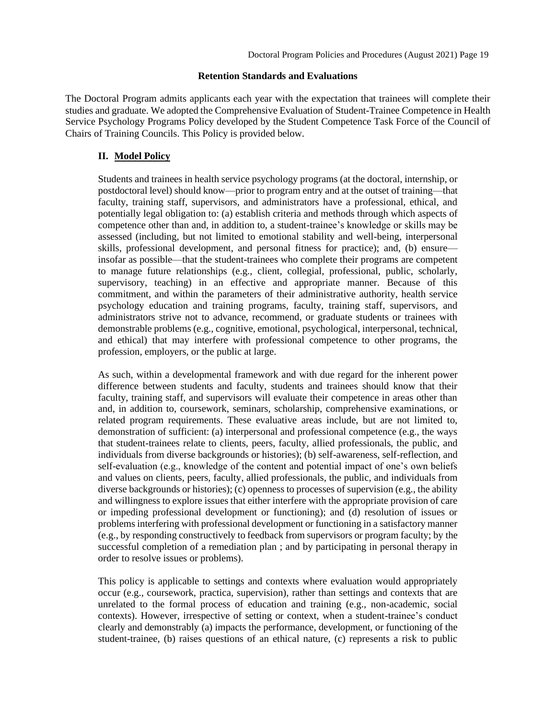#### **Retention Standards and Evaluations**

<span id="page-18-0"></span>The Doctoral Program admits applicants each year with the expectation that trainees will complete their studies and graduate. We adopted the Comprehensive Evaluation of Student-Trainee Competence in Health Service Psychology Programs Policy developed by the Student Competence Task Force of the Council of Chairs of Training Councils. This Policy is provided below.

#### **II. Model Policy**

Students and trainees in health service psychology programs (at the doctoral, internship, or postdoctoral level) should know—prior to program entry and at the outset of training—that faculty, training staff, supervisors, and administrators have a professional, ethical, and potentially legal obligation to: (a) establish criteria and methods through which aspects of competence other than and, in addition to, a student-trainee's knowledge or skills may be assessed (including, but not limited to emotional stability and well-being, interpersonal skills, professional development, and personal fitness for practice); and, (b) ensure insofar as possible—that the student-trainees who complete their programs are competent to manage future relationships (e.g., client, collegial, professional, public, scholarly, supervisory, teaching) in an effective and appropriate manner. Because of this commitment, and within the parameters of their administrative authority, health service psychology education and training programs, faculty, training staff, supervisors, and administrators strive not to advance, recommend, or graduate students or trainees with demonstrable problems (e.g., cognitive, emotional, psychological, interpersonal, technical, and ethical) that may interfere with professional competence to other programs, the profession, employers, or the public at large.

As such, within a developmental framework and with due regard for the inherent power difference between students and faculty, students and trainees should know that their faculty, training staff, and supervisors will evaluate their competence in areas other than and, in addition to, coursework, seminars, scholarship, comprehensive examinations, or related program requirements. These evaluative areas include, but are not limited to, demonstration of sufficient: (a) interpersonal and professional competence (e.g., the ways that student-trainees relate to clients, peers, faculty, allied professionals, the public, and individuals from diverse backgrounds or histories); (b) self-awareness, self-reflection, and self-evaluation (e.g., knowledge of the content and potential impact of one's own beliefs and values on clients, peers, faculty, allied professionals, the public, and individuals from diverse backgrounds or histories); (c) openness to processes of supervision (e.g., the ability and willingness to explore issues that either interfere with the appropriate provision of care or impeding professional development or functioning); and (d) resolution of issues or problems interfering with professional development or functioning in a satisfactory manner (e.g., by responding constructively to feedback from supervisors or program faculty; by the successful completion of a remediation plan ; and by participating in personal therapy in order to resolve issues or problems).

This policy is applicable to settings and contexts where evaluation would appropriately occur (e.g., coursework, practica, supervision), rather than settings and contexts that are unrelated to the formal process of education and training (e.g., non-academic, social contexts). However, irrespective of setting or context, when a student-trainee's conduct clearly and demonstrably (a) impacts the performance, development, or functioning of the student-trainee, (b) raises questions of an ethical nature, (c) represents a risk to public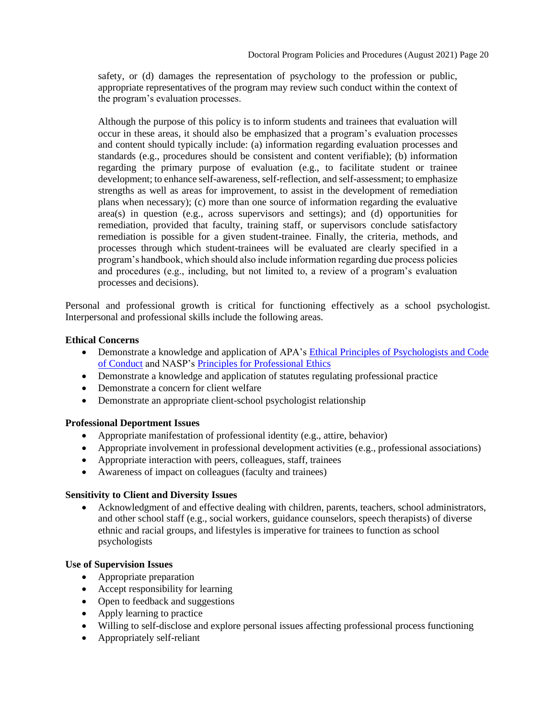safety, or (d) damages the representation of psychology to the profession or public, appropriate representatives of the program may review such conduct within the context of the program's evaluation processes.

Although the purpose of this policy is to inform students and trainees that evaluation will occur in these areas, it should also be emphasized that a program's evaluation processes and content should typically include: (a) information regarding evaluation processes and standards (e.g., procedures should be consistent and content verifiable); (b) information regarding the primary purpose of evaluation (e.g., to facilitate student or trainee development; to enhance self-awareness, self-reflection, and self-assessment; to emphasize strengths as well as areas for improvement, to assist in the development of remediation plans when necessary); (c) more than one source of information regarding the evaluative area(s) in question (e.g., across supervisors and settings); and (d) opportunities for remediation, provided that faculty, training staff, or supervisors conclude satisfactory remediation is possible for a given student-trainee. Finally, the criteria, methods, and processes through which student-trainees will be evaluated are clearly specified in a program's handbook, which should also include information regarding due process policies and procedures (e.g., including, but not limited to, a review of a program's evaluation processes and decisions).

Personal and professional growth is critical for functioning effectively as a school psychologist. Interpersonal and professional skills include the following areas.

## **Ethical Concerns**

- Demonstrate a knowledge and application of APA's Ethical Principles of Psychologists and Code [of Conduct](http://www.apa.org/ethics/code/index.aspx) and NASP's [Principles for Professional Ethics](http://www.nasponline.org/standards-and-certification/professional-ethics)
- Demonstrate a knowledge and application of statutes regulating professional practice
- Demonstrate a concern for client welfare
- Demonstrate an appropriate client-school psychologist relationship

## **Professional Deportment Issues**

- Appropriate manifestation of professional identity (e.g., attire, behavior)
- Appropriate involvement in professional development activities (e.g., professional associations)
- Appropriate interaction with peers, colleagues, staff, trainees
- Awareness of impact on colleagues (faculty and trainees)

## **Sensitivity to Client and Diversity Issues**

• Acknowledgment of and effective dealing with children, parents, teachers, school administrators, and other school staff (e.g., social workers, guidance counselors, speech therapists) of diverse ethnic and racial groups, and lifestyles is imperative for trainees to function as school psychologists

## **Use of Supervision Issues**

- Appropriate preparation
- Accept responsibility for learning
- Open to feedback and suggestions
- Apply learning to practice
- Willing to self-disclose and explore personal issues affecting professional process functioning
- Appropriately self-reliant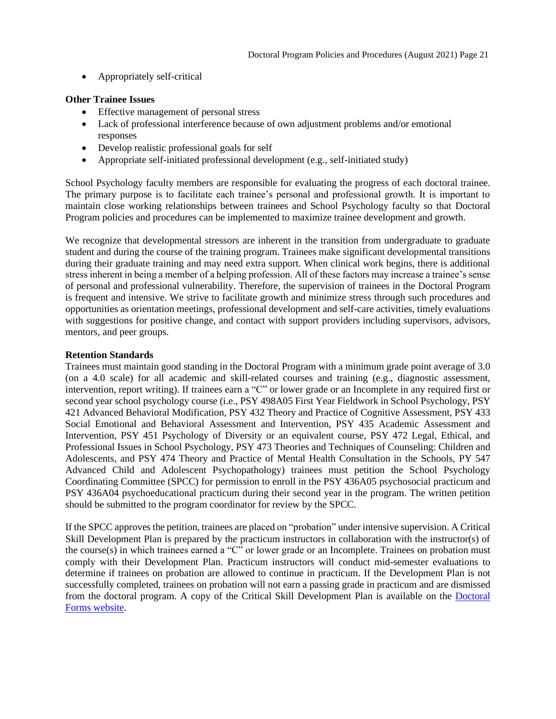• Appropriately self-critical

## **Other Trainee Issues**

- Effective management of personal stress
- Lack of professional interference because of own adjustment problems and/or emotional responses
- Develop realistic professional goals for self
- Appropriate self-initiated professional development (e.g., self-initiated study)

School Psychology faculty members are responsible for evaluating the progress of each doctoral trainee. The primary purpose is to facilitate each trainee's personal and professional growth. It is important to maintain close working relationships between trainees and School Psychology faculty so that Doctoral Program policies and procedures can be implemented to maximize trainee development and growth.

We recognize that developmental stressors are inherent in the transition from undergraduate to graduate student and during the course of the training program. Trainees make significant developmental transitions during their graduate training and may need extra support. When clinical work begins, there is additional stress inherent in being a member of a helping profession. All of these factors may increase a trainee's sense of personal and professional vulnerability. Therefore, the supervision of trainees in the Doctoral Program is frequent and intensive. We strive to facilitate growth and minimize stress through such procedures and opportunities as orientation meetings, professional development and self-care activities, timely evaluations with suggestions for positive change, and contact with support providers including supervisors, advisors, mentors, and peer groups.

## **Retention Standards**

Trainees must maintain good standing in the Doctoral Program with a minimum grade point average of 3.0 (on a 4.0 scale) for all academic and skill-related courses and training (e.g., diagnostic assessment, intervention, report writing). If trainees earn a "C" or lower grade or an Incomplete in any required first or second year school psychology course (i.e., PSY 498A05 First Year Fieldwork in School Psychology, PSY 421 Advanced Behavioral Modification, PSY 432 Theory and Practice of Cognitive Assessment, PSY 433 Social Emotional and Behavioral Assessment and Intervention, PSY 435 Academic Assessment and Intervention, PSY 451 Psychology of Diversity or an equivalent course, PSY 472 Legal, Ethical, and Professional Issues in School Psychology, PSY 473 Theories and Techniques of Counseling: Children and Adolescents, and PSY 474 Theory and Practice of Mental Health Consultation in the Schools, PY 547 Advanced Child and Adolescent Psychopathology) trainees must petition the School Psychology Coordinating Committee (SPCC) for permission to enroll in the PSY 436A05 psychosocial practicum and PSY 436A04 psychoeducational practicum during their second year in the program. The written petition should be submitted to the program coordinator for review by the SPCC.

If the SPCC approves the petition, trainees are placed on "probation" under intensive supervision. A Critical Skill Development Plan is prepared by the practicum instructors in collaboration with the instructor(s) of the course(s) in which trainees earned a " $\mathbb{C}^n$  or lower grade or an Incomplete. Trainees on probation must comply with their Development Plan. Practicum instructors will conduct mid-semester evaluations to determine if trainees on probation are allowed to continue in practicum. If the Development Plan is not successfully completed, trainees on probation will not earn a passing grade in practicum and are dismissed from the doctoral program. A copy of the Critical Skill Development Plan is available on the [Doctoral](https://psychology.illinoisstate.edu/graduate/school-psychology/doctorate-in-school-psychology/forms-and-agreements/)  [Forms website.](https://psychology.illinoisstate.edu/graduate/school-psychology/doctorate-in-school-psychology/forms-and-agreements/)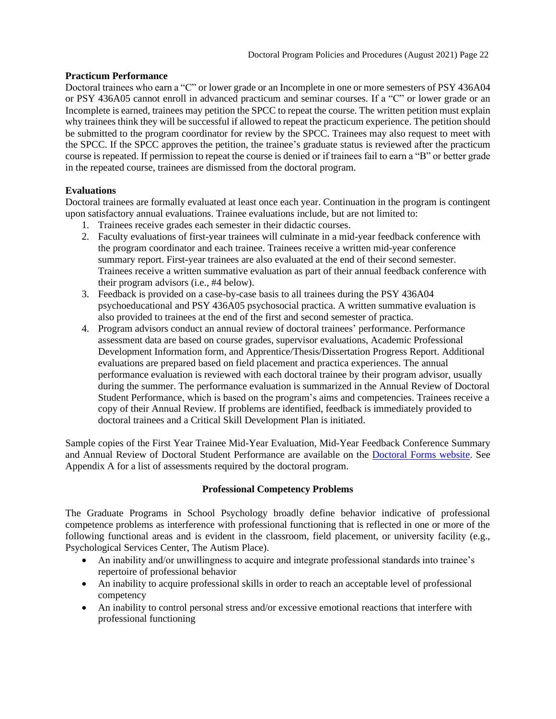## **Practicum Performance**

Doctoral trainees who earn a "C" or lower grade or an Incomplete in one or more semesters of PSY 436A04 or PSY 436A05 cannot enroll in advanced practicum and seminar courses. If a "C" or lower grade or an Incomplete is earned, trainees may petition the SPCC to repeat the course. The written petition must explain why trainees think they will be successful if allowed to repeat the practicum experience. The petition should be submitted to the program coordinator for review by the SPCC. Trainees may also request to meet with the SPCC. If the SPCC approves the petition, the trainee's graduate status is reviewed after the practicum course is repeated. If permission to repeat the course is denied or if trainees fail to earn a "B" or better grade in the repeated course, trainees are dismissed from the doctoral program.

## **Evaluations**

Doctoral trainees are formally evaluated at least once each year. Continuation in the program is contingent upon satisfactory annual evaluations. Trainee evaluations include, but are not limited to:

- 1. Trainees receive grades each semester in their didactic courses.
- 2. Faculty evaluations of first-year trainees will culminate in a mid-year feedback conference with the program coordinator and each trainee. Trainees receive a written mid-year conference summary report. First-year trainees are also evaluated at the end of their second semester. Trainees receive a written summative evaluation as part of their annual feedback conference with their program advisors (i.e., #4 below).
- 3. Feedback is provided on a case-by-case basis to all trainees during the PSY 436A04 psychoeducational and PSY 436A05 psychosocial practica. A written summative evaluation is also provided to trainees at the end of the first and second semester of practica.
- 4. Program advisors conduct an annual review of doctoral trainees' performance. Performance assessment data are based on course grades, supervisor evaluations, Academic Professional Development Information form, and Apprentice/Thesis/Dissertation Progress Report. Additional evaluations are prepared based on field placement and practica experiences. The annual performance evaluation is reviewed with each doctoral trainee by their program advisor, usually during the summer. The performance evaluation is summarized in the Annual Review of Doctoral Student Performance, which is based on the program's aims and competencies. Trainees receive a copy of their Annual Review. If problems are identified, feedback is immediately provided to doctoral trainees and a Critical Skill Development Plan is initiated.

<span id="page-21-0"></span>Sample copies of the First Year Trainee Mid-Year Evaluation, Mid-Year Feedback Conference Summary and Annual Review of Doctoral Student Performance are available on the [Doctoral Forms website.](https://psychology.illinoisstate.edu/graduate/school-psychology/doctorate-in-school-psychology/forms-and-agreements/) See Appendix A for a list of assessments required by the doctoral program.

## **Professional Competency Problems**

The Graduate Programs in School Psychology broadly define behavior indicative of professional competence problems as interference with professional functioning that is reflected in one or more of the following functional areas and is evident in the classroom, field placement, or university facility (e.g., Psychological Services Center, The Autism Place).

- An inability and/or unwillingness to acquire and integrate professional standards into trainee's repertoire of professional behavior
- An inability to acquire professional skills in order to reach an acceptable level of professional competency
- An inability to control personal stress and/or excessive emotional reactions that interfere with professional functioning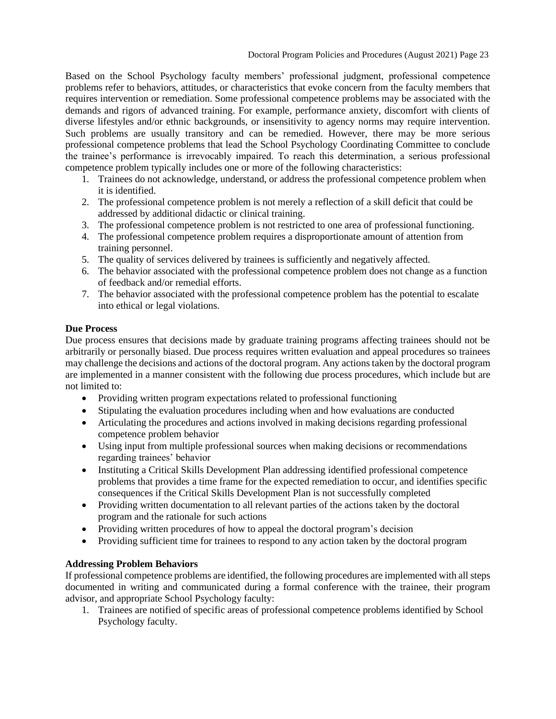Based on the School Psychology faculty members' professional judgment, professional competence problems refer to behaviors, attitudes, or characteristics that evoke concern from the faculty members that requires intervention or remediation. Some professional competence problems may be associated with the demands and rigors of advanced training. For example, performance anxiety, discomfort with clients of diverse lifestyles and/or ethnic backgrounds, or insensitivity to agency norms may require intervention. Such problems are usually transitory and can be remedied. However, there may be more serious professional competence problems that lead the School Psychology Coordinating Committee to conclude the trainee's performance is irrevocably impaired. To reach this determination, a serious professional competence problem typically includes one or more of the following characteristics:

- 1. Trainees do not acknowledge, understand, or address the professional competence problem when it is identified.
- 2. The professional competence problem is not merely a reflection of a skill deficit that could be addressed by additional didactic or clinical training.
- 3. The professional competence problem is not restricted to one area of professional functioning.
- 4. The professional competence problem requires a disproportionate amount of attention from training personnel.
- 5. The quality of services delivered by trainees is sufficiently and negatively affected.
- 6. The behavior associated with the professional competence problem does not change as a function of feedback and/or remedial efforts.
- 7. The behavior associated with the professional competence problem has the potential to escalate into ethical or legal violations.

## **Due Process**

Due process ensures that decisions made by graduate training programs affecting trainees should not be arbitrarily or personally biased. Due process requires written evaluation and appeal procedures so trainees may challenge the decisions and actions of the doctoral program. Any actions taken by the doctoral program are implemented in a manner consistent with the following due process procedures, which include but are not limited to:

- Providing written program expectations related to professional functioning
- Stipulating the evaluation procedures including when and how evaluations are conducted
- Articulating the procedures and actions involved in making decisions regarding professional competence problem behavior
- Using input from multiple professional sources when making decisions or recommendations regarding trainees' behavior
- Instituting a Critical Skills Development Plan addressing identified professional competence problems that provides a time frame for the expected remediation to occur, and identifies specific consequences if the Critical Skills Development Plan is not successfully completed
- Providing written documentation to all relevant parties of the actions taken by the doctoral program and the rationale for such actions
- Providing written procedures of how to appeal the doctoral program's decision
- Providing sufficient time for trainees to respond to any action taken by the doctoral program

## **Addressing Problem Behaviors**

If professional competence problems are identified, the following procedures are implemented with all steps documented in writing and communicated during a formal conference with the trainee, their program advisor, and appropriate School Psychology faculty:

1. Trainees are notified of specific areas of professional competence problems identified by School Psychology faculty.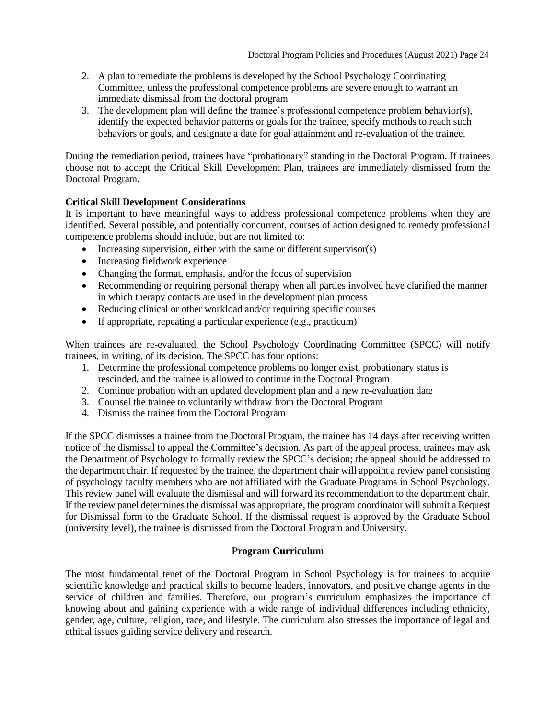- 2. A plan to remediate the problems is developed by the School Psychology Coordinating Committee, unless the professional competence problems are severe enough to warrant an immediate dismissal from the doctoral program
- 3. The development plan will define the trainee's professional competence problem behavior(s), identify the expected behavior patterns or goals for the trainee, specify methods to reach such behaviors or goals, and designate a date for goal attainment and re-evaluation of the trainee.

During the remediation period, trainees have "probationary" standing in the Doctoral Program. If trainees choose not to accept the Critical Skill Development Plan, trainees are immediately dismissed from the Doctoral Program.

## **Critical Skill Development Considerations**

It is important to have meaningful ways to address professional competence problems when they are identified. Several possible, and potentially concurrent, courses of action designed to remedy professional competence problems should include, but are not limited to:

- Increasing supervision, either with the same or different supervisor(s)
- Increasing fieldwork experience
- Changing the format, emphasis, and/or the focus of supervision
- Recommending or requiring personal therapy when all parties involved have clarified the manner in which therapy contacts are used in the development plan process
- Reducing clinical or other workload and/or requiring specific courses
- If appropriate, repeating a particular experience (e.g., practicum)

When trainees are re-evaluated, the School Psychology Coordinating Committee (SPCC) will notify trainees, in writing, of its decision. The SPCC has four options:

- 1. Determine the professional competence problems no longer exist, probationary status is rescinded, and the trainee is allowed to continue in the Doctoral Program
- 2. Continue probation with an updated development plan and a new re-evaluation date
- 3. Counsel the trainee to voluntarily withdraw from the Doctoral Program
- 4. Dismiss the trainee from the Doctoral Program

If the SPCC dismisses a trainee from the Doctoral Program, the trainee has 14 days after receiving written notice of the dismissal to appeal the Committee's decision. As part of the appeal process, trainees may ask the Department of Psychology to formally review the SPCC's decision; the appeal should be addressed to the department chair. If requested by the trainee, the department chair will appoint a review panel consisting of psychology faculty members who are not affiliated with the Graduate Programs in School Psychology. This review panel will evaluate the dismissal and will forward its recommendation to the department chair. If the review panel determines the dismissal was appropriate, the program coordinator will submit a Request for Dismissal form to the Graduate School. If the dismissal request is approved by the Graduate School (university level), the trainee is dismissed from the Doctoral Program and University.

## <span id="page-23-0"></span>**[Program Curriculum](#page-23-1)**

<span id="page-23-1"></span>The most fundamental tenet of the Doctoral Program in School Psychology is for trainees to acquire scientific knowledge and practical skills to become leaders, innovators, and positive change agents in the service of children and families. Therefore, our program's curriculum emphasizes the importance of knowing about and gaining experience with a wide range of individual differences including ethnicity, gender, age, culture, religion, race, and lifestyle. The curriculum also stresses the importance of legal and ethical issues guiding service delivery and research.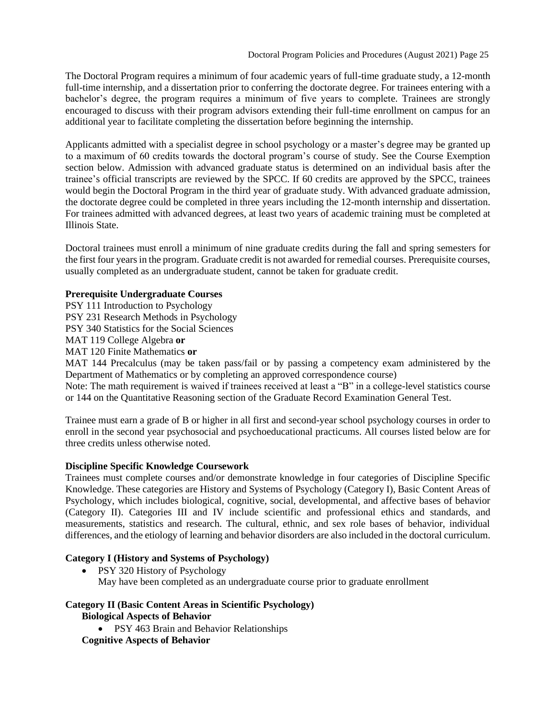The Doctoral Program requires a minimum of four academic years of full-time graduate study, a 12-month full-time internship, and a dissertation prior to conferring the doctorate degree. For trainees entering with a bachelor's degree, the program requires a minimum of five years to complete. Trainees are strongly encouraged to discuss with their program advisors extending their full-time enrollment on campus for an additional year to facilitate completing the dissertation before beginning the internship.

Applicants admitted with a specialist degree in school psychology or a master's degree may be granted up to a maximum of 60 credits towards the doctoral program's course of study. See the Course Exemption section below. Admission with advanced graduate status is determined on an individual basis after the trainee's official transcripts are reviewed by the SPCC. If 60 credits are approved by the SPCC, trainees would begin the Doctoral Program in the third year of graduate study. With advanced graduate admission, the doctorate degree could be completed in three years including the 12-month internship and dissertation. For trainees admitted with advanced degrees, at least two years of academic training must be completed at Illinois State.

Doctoral trainees must enroll a minimum of nine graduate credits during the fall and spring semesters for the first four years in the program. Graduate credit is not awarded for remedial courses. Prerequisite courses, usually completed as an undergraduate student, cannot be taken for graduate credit.

## **Prerequisite Undergraduate Courses**

PSY 111 Introduction to Psychology

PSY 231 Research Methods in Psychology

PSY 340 Statistics for the Social Sciences

MAT 119 College Algebra **or**

MAT 120 Finite Mathematics **or**

MAT 144 Precalculus (may be taken pass/fail or by passing a competency exam administered by the Department of Mathematics or by completing an approved correspondence course)

Note: The math requirement is waived if trainees received at least a "B" in a college-level statistics course or 144 on the Quantitative Reasoning section of the Graduate Record Examination General Test.

Trainee must earn a grade of B or higher in all first and second-year school psychology courses in order to enroll in the second year psychosocial and psychoeducational practicums. All courses listed below are for three credits unless otherwise noted.

## **Discipline Specific Knowledge Coursework**

Trainees must complete courses and/or demonstrate knowledge in four categories of Discipline Specific Knowledge. These categories are History and Systems of Psychology (Category I), Basic Content Areas of Psychology, which includes biological, cognitive, social, developmental, and affective bases of behavior (Category II). Categories III and IV include scientific and professional ethics and standards, and measurements, statistics and research. The cultural, ethnic, and sex role bases of behavior, individual differences, and the etiology of learning and behavior disorders are also included in the doctoral curriculum.

# **Category I (History and Systems of Psychology)**

• PSY 320 History of Psychology May have been completed as an undergraduate course prior to graduate enrollment

## **Category II (Basic Content Areas in Scientific Psychology) Biological Aspects of Behavior**

• PSY 463 Brain and Behavior Relationships

**Cognitive Aspects of Behavior**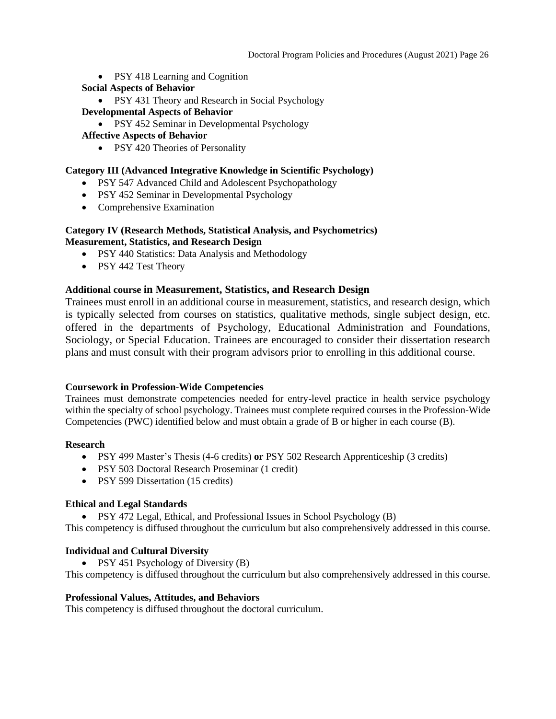- PSY 418 Learning and Cognition
- **Social Aspects of Behavior**
	- PSY 431 Theory and Research in Social Psychology

#### **Developmental Aspects of Behavior**

• PSY 452 Seminar in Developmental Psychology

#### **Affective Aspects of Behavior**

• PSY 420 Theories of Personality

#### **Category III (Advanced Integrative Knowledge in Scientific Psychology)**

- PSY 547 Advanced Child and Adolescent Psychopathology
- PSY 452 Seminar in Developmental Psychology
- Comprehensive Examination

#### **Category IV (Research Methods, Statistical Analysis, and Psychometrics) Measurement, Statistics, and Research Design**

- PSY 440 Statistics: Data Analysis and Methodology
- PSY 442 Test Theory

## **Additional course in Measurement, Statistics, and Research Design**

Trainees must enroll in an additional course in measurement, statistics, and research design, which is typically selected from courses on statistics, qualitative methods, single subject design, etc. offered in the departments of Psychology, Educational Administration and Foundations, Sociology, or Special Education. Trainees are encouraged to consider their dissertation research plans and must consult with their program advisors prior to enrolling in this additional course.

#### **Coursework in Profession-Wide Competencies**

Trainees must demonstrate competencies needed for entry-level practice in health service psychology within the specialty of school psychology. Trainees must complete required courses in the Profession-Wide Competencies (PWC) identified below and must obtain a grade of B or higher in each course (B).

#### **Research**

- PSY 499 Master's Thesis (4-6 credits) **or** PSY 502 Research Apprenticeship (3 credits)
- PSY 503 Doctoral Research Proseminar (1 credit)
- PSY 599 Dissertation (15 credits)

#### **Ethical and Legal Standards**

• PSY 472 Legal, Ethical, and Professional Issues in School Psychology (B)

This competency is diffused throughout the curriculum but also comprehensively addressed in this course.

#### **Individual and Cultural Diversity**

• PSY 451 Psychology of Diversity (B)

This competency is diffused throughout the curriculum but also comprehensively addressed in this course.

#### **Professional Values, Attitudes, and Behaviors**

This competency is diffused throughout the doctoral curriculum.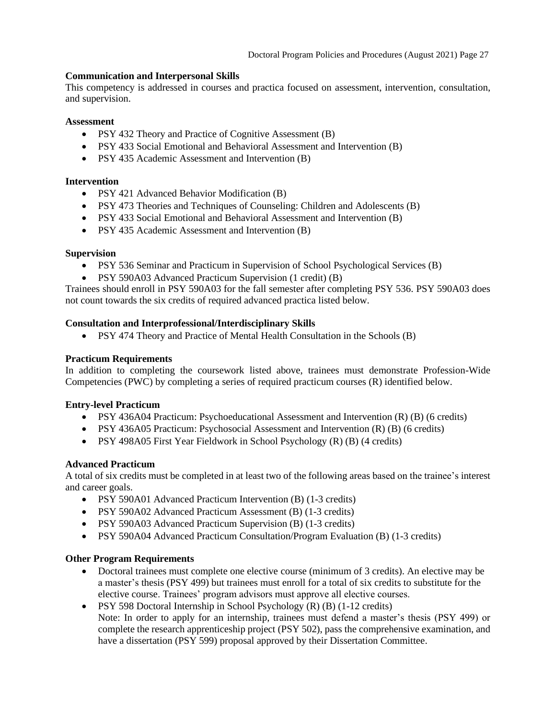## **Communication and Interpersonal Skills**

This competency is addressed in courses and practica focused on assessment, intervention, consultation, and supervision.

#### **Assessment**

- PSY 432 Theory and Practice of Cognitive Assessment (B)
- PSY 433 Social Emotional and Behavioral Assessment and Intervention (B)
- PSY 435 Academic Assessment and Intervention (B)

#### **Intervention**

- PSY 421 Advanced Behavior Modification (B)
- PSY 473 Theories and Techniques of Counseling: Children and Adolescents (B)
- PSY 433 Social Emotional and Behavioral Assessment and Intervention (B)
- PSY 435 Academic Assessment and Intervention (B)

## **Supervision**

- PSY 536 Seminar and Practicum in Supervision of School Psychological Services (B)
- PSY 590A03 Advanced Practicum Supervision (1 credit) (B)

Trainees should enroll in PSY 590A03 for the fall semester after completing PSY 536. PSY 590A03 does not count towards the six credits of required advanced practica listed below.

## **Consultation and Interprofessional/Interdisciplinary Skills**

• PSY 474 Theory and Practice of Mental Health Consultation in the Schools (B)

#### **Practicum Requirements**

In addition to completing the coursework listed above, trainees must demonstrate Profession-Wide Competencies (PWC) by completing a series of required practicum courses (R) identified below.

## **Entry-level Practicum**

- PSY 436A04 Practicum: Psychoeducational Assessment and Intervention (R) (B) (6 credits)
- PSY 436A05 Practicum: Psychosocial Assessment and Intervention (R) (B) (6 credits)
- PSY 498A05 First Year Fieldwork in School Psychology (R) (B) (4 credits)

## **Advanced Practicum**

A total of six credits must be completed in at least two of the following areas based on the trainee's interest and career goals.

- PSY 590A01 Advanced Practicum Intervention (B) (1-3 credits)
- PSY 590A02 Advanced Practicum Assessment (B) (1-3 credits)
- PSY 590A03 Advanced Practicum Supervision (B) (1-3 credits)
- PSY 590A04 Advanced Practicum Consultation/Program Evaluation (B) (1-3 credits)

## **Other Program Requirements**

- Doctoral trainees must complete one elective course (minimum of 3 credits). An elective may be a master's thesis (PSY 499) but trainees must enroll for a total of six credits to substitute for the elective course. Trainees' program advisors must approve all elective courses.
- PSY 598 Doctoral Internship in School Psychology (R) (B) (1-12 credits) Note: In order to apply for an internship, trainees must defend a master's thesis (PSY 499) or complete the research apprenticeship project (PSY 502), pass the comprehensive examination, and have a dissertation (PSY 599) proposal approved by their Dissertation Committee.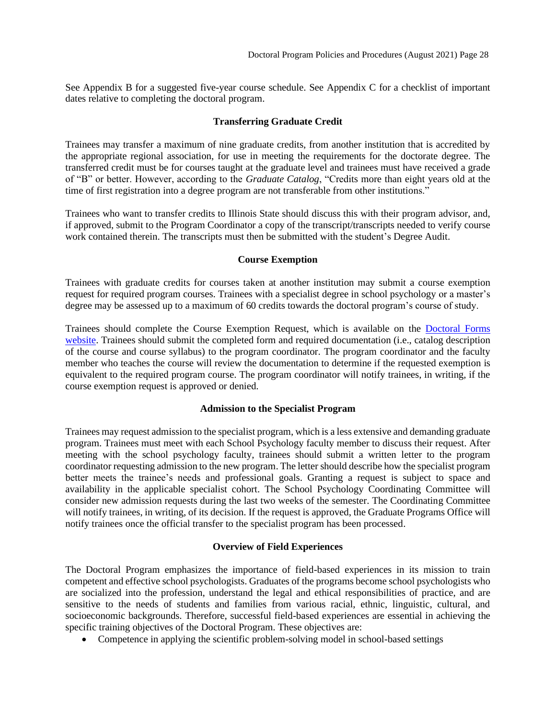See Appendix B for a suggested five-year course schedule. See Appendix C for a checklist of important dates relative to completing the doctoral program.

## **Transferring Graduate Credit**

<span id="page-27-1"></span>Trainees may transfer a maximum of nine graduate credits, from another institution that is accredited by the appropriate regional association, for use in meeting the requirements for the doctorate degree. The transferred credit must be for courses taught at the graduate level and trainees must have received a grade of "B" or better. However, according to the *Graduate Catalog*, "Credits more than eight years old at the time of first registration into a degree program are not transferable from other institutions."

Trainees who want to transfer credits to Illinois State should discuss this with their program advisor, and, if approved, submit to the Program Coordinator a copy of the transcript/transcripts needed to verify course work contained therein. The transcripts must then be submitted with the student's Degree Audit.

## **Course Exemption**

<span id="page-27-2"></span>Trainees with graduate credits for courses taken at another institution may submit a course exemption request for required program courses. Trainees with a specialist degree in school psychology or a master's degree may be assessed up to a maximum of 60 credits towards the doctoral program's course of study.

Trainees should complete the Course Exemption Request, which is available on the [Doctoral Forms](https://psychology.illinoisstate.edu/graduate/school-psychology/doctorate-in-school-psychology/forms-and-agreements/)  [website.](https://psychology.illinoisstate.edu/graduate/school-psychology/doctorate-in-school-psychology/forms-and-agreements/) Trainees should submit the completed form and required documentation (i.e., catalog description of the course and course syllabus) to the program coordinator. The program coordinator and the faculty member who teaches the course will review the documentation to determine if the requested exemption is equivalent to the required program course. The program coordinator will notify trainees, in writing, if the course exemption request is approved or denied.

## <span id="page-27-3"></span>**Admission to the Specialist Program**

Trainees may request admission to the specialist program, which is a less extensive and demanding graduate program. Trainees must meet with each School Psychology faculty member to discuss their request. After meeting with the school psychology faculty, trainees should submit a written letter to the program coordinator requesting admission to the new program. The letter should describe how the specialist program better meets the trainee's needs and professional goals. Granting a request is subject to space and availability in the applicable specialist cohort. The School Psychology Coordinating Committee will consider new admission requests during the last two weeks of the semester. The Coordinating Committee will notify trainees, in writing, of its decision. If the request is approved, the Graduate Programs Office will notify trainees once the official transfer to the specialist program has been processed.

# **Overview of Field Experiences**

<span id="page-27-0"></span>The Doctoral Program emphasizes the importance of field-based experiences in its mission to train competent and effective school psychologists. Graduates of the programs become school psychologists who are socialized into the profession, understand the legal and ethical responsibilities of practice, and are sensitive to the needs of students and families from various racial, ethnic, linguistic, cultural, and socioeconomic backgrounds. Therefore, successful field-based experiences are essential in achieving the specific training objectives of the Doctoral Program. These objectives are:

• Competence in applying the scientific problem-solving model in school-based settings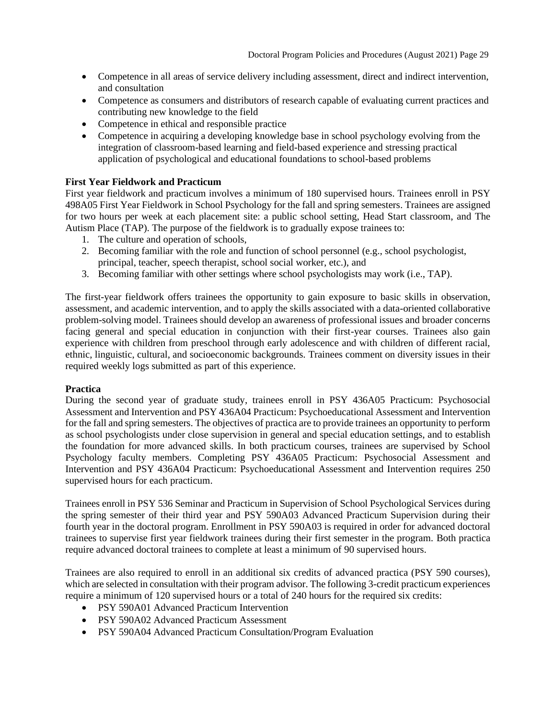- Competence in all areas of service delivery including assessment, direct and indirect intervention, and consultation
- Competence as consumers and distributors of research capable of evaluating current practices and contributing new knowledge to the field
- Competence in ethical and responsible practice
- Competence in acquiring a developing knowledge base in school psychology evolving from the integration of classroom-based learning and field-based experience and stressing practical application of psychological and educational foundations to school-based problems

## **First Year Fieldwork and Practicum**

First year fieldwork and practicum involves a minimum of 180 supervised hours. Trainees enroll in PSY 498A05 First Year Fieldwork in School Psychology for the fall and spring semesters. Trainees are assigned for two hours per week at each placement site: a public school setting, Head Start classroom, and The Autism Place (TAP). The purpose of the fieldwork is to gradually expose trainees to:

- 1. The culture and operation of schools,
- 2. Becoming familiar with the role and function of school personnel (e.g., school psychologist, principal, teacher, speech therapist, school social worker, etc.), and
- 3. Becoming familiar with other settings where school psychologists may work (i.e., TAP).

The first-year fieldwork offers trainees the opportunity to gain exposure to basic skills in observation, assessment, and academic intervention, and to apply the skills associated with a data-oriented collaborative problem-solving model. Trainees should develop an awareness of professional issues and broader concerns facing general and special education in conjunction with their first-year courses. Trainees also gain experience with children from preschool through early adolescence and with children of different racial, ethnic, linguistic, cultural, and socioeconomic backgrounds. Trainees comment on diversity issues in their required weekly logs submitted as part of this experience.

## **Practica**

During the second year of graduate study, trainees enroll in PSY 436A05 Practicum: Psychosocial Assessment and Intervention and PSY 436A04 Practicum: Psychoeducational Assessment and Intervention for the fall and spring semesters. The objectives of practica are to provide trainees an opportunity to perform as school psychologists under close supervision in general and special education settings, and to establish the foundation for more advanced skills. In both practicum courses, trainees are supervised by School Psychology faculty members. Completing PSY 436A05 Practicum: Psychosocial Assessment and Intervention and PSY 436A04 Practicum: Psychoeducational Assessment and Intervention requires 250 supervised hours for each practicum.

Trainees enroll in PSY 536 Seminar and Practicum in Supervision of School Psychological Services during the spring semester of their third year and PSY 590A03 Advanced Practicum Supervision during their fourth year in the doctoral program. Enrollment in PSY 590A03 is required in order for advanced doctoral trainees to supervise first year fieldwork trainees during their first semester in the program. Both practica require advanced doctoral trainees to complete at least a minimum of 90 supervised hours.

Trainees are also required to enroll in an additional six credits of advanced practica (PSY 590 courses), which are selected in consultation with their program advisor. The following 3-credit practicum experiences require a minimum of 120 supervised hours or a total of 240 hours for the required six credits:

- PSY 590A01 Advanced Practicum Intervention
- PSY 590A02 Advanced Practicum Assessment
- PSY 590A04 Advanced Practicum Consultation/Program Evaluation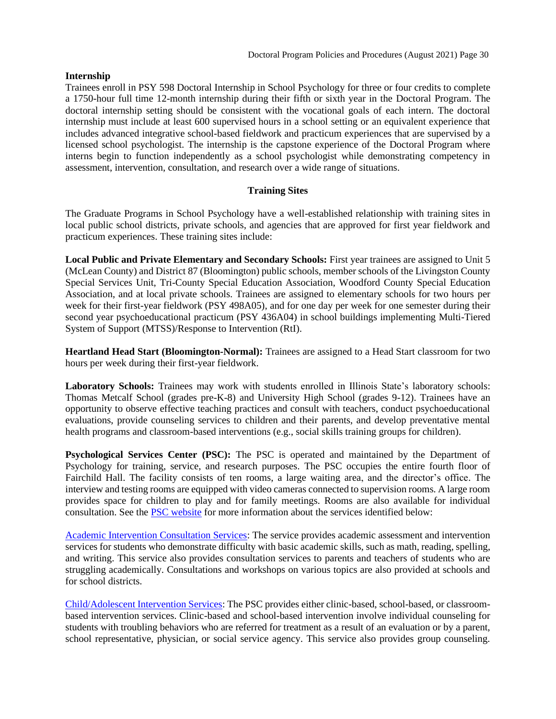#### **Internship**

Trainees enroll in PSY 598 Doctoral Internship in School Psychology for three or four credits to complete a 1750-hour full time 12-month internship during their fifth or sixth year in the Doctoral Program. The doctoral internship setting should be consistent with the vocational goals of each intern. The doctoral internship must include at least 600 supervised hours in a school setting or an equivalent experience that includes advanced integrative school-based fieldwork and practicum experiences that are supervised by a licensed school psychologist. The internship is the capstone experience of the Doctoral Program where interns begin to function independently as a school psychologist while demonstrating competency in assessment, intervention, consultation, and research over a wide range of situations.

#### **Training Sites**

<span id="page-29-0"></span>The Graduate Programs in School Psychology have a well-established relationship with training sites in local public school districts, private schools, and agencies that are approved for first year fieldwork and practicum experiences. These training sites include:

**Local Public and Private Elementary and Secondary Schools:** First year trainees are assigned to Unit 5 (McLean County) and District 87 (Bloomington) public schools, member schools of the Livingston County Special Services Unit, Tri-County Special Education Association, Woodford County Special Education Association, and at local private schools. Trainees are assigned to elementary schools for two hours per week for their first-year fieldwork (PSY 498A05), and for one day per week for one semester during their second year psychoeducational practicum (PSY 436A04) in school buildings implementing Multi-Tiered System of Support (MTSS)/Response to Intervention (RtI).

**Heartland Head Start (Bloomington-Normal):** Trainees are assigned to a Head Start classroom for two hours per week during their first-year fieldwork.

Laboratory Schools: Trainees may work with students enrolled in Illinois State's laboratory schools: Thomas Metcalf School (grades pre-K-8) and University High School (grades 9-12). Trainees have an opportunity to observe effective teaching practices and consult with teachers, conduct psychoeducational evaluations, provide counseling services to children and their parents, and develop preventative mental health programs and classroom-based interventions (e.g., social skills training groups for children).

**Psychological Services Center (PSC):** The PSC is operated and maintained by the Department of Psychology for training, service, and research purposes. The PSC occupies the entire fourth floor of Fairchild Hall. The facility consists of ten rooms, a large waiting area, and the director's office. The interview and testing rooms are equipped with video cameras connected to supervision rooms. A large room provides space for children to play and for family meetings. Rooms are also available for individual consultation. See the [PSC website](https://psychology.illinoisstate.edu/centers/psc/) for more information about the services identified below:

[Academic Intervention Consultation Services:](https://psychology.illinoisstate.edu/centers/psc/academicIntervention/) The service provides academic assessment and intervention services for students who demonstrate difficulty with basic academic skills, such as math, reading, spelling, and writing. This service also provides consultation services to parents and teachers of students who are struggling academically. Consultations and workshops on various topics are also provided at schools and for school districts.

[Child/Adolescent Intervention Services:](https://psychology.illinoisstate.edu/centers/psc/childAdolIntervention/) The PSC provides either clinic-based, school-based, or classroombased intervention services. Clinic-based and school-based intervention involve individual counseling for students with troubling behaviors who are referred for treatment as a result of an evaluation or by a parent, school representative, physician, or social service agency. This service also provides group counseling.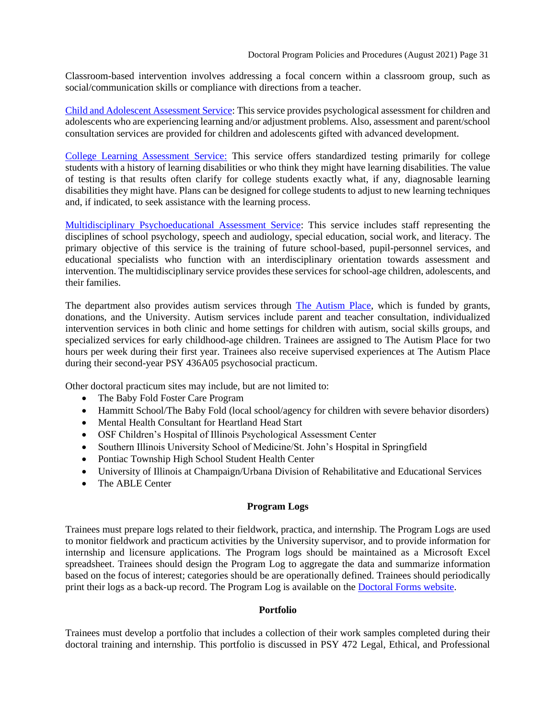Classroom-based intervention involves addressing a focal concern within a classroom group, such as [social/communication skills or compliance with directions from a teacher.](https://psychology.illinoisstate.edu/psc/childAdolAssessment/)

[Child and Adolescent Assessment Service:](https://psychology.illinoisstate.edu/psc/childAdolAssessment/) This service provides psychological assessment for children and adolescents who are experiencing learning and/or adjustment problems. Also, assessment and parent/school consultation services are provided for children and adolescents gifted with advanced development.

[College Learning Assessment Service:](https://psychology.illinoisstate.edu/centers/psc/childAdolAssessment/) This service offers standardized testing primarily for college students with a history of learning disabilities or who think they might have learning disabilities. The value of testing is that results often clarify for college students exactly what, if any, diagnosable learning disabilities they might have. Plans can be designed for college students to adjust to new learning techniques and, if indicated, to seek assistance with the learning process.

[Multidisciplinary Psychoeducational Assessment Service:](https://psychology.illinoisstate.edu/centers/psc/multidisPsychAssessment/) This service includes staff representing the disciplines of school psychology, speech and audiology, special education, social work, and literacy. The primary objective of this service is the training of future school-based, pupil-personnel services, and educational specialists who function with an interdisciplinary orientation towards assessment and intervention. The multidisciplinary service provides these services for school-age children, adolescents, and their families.

The department also provides autism services through [The Autism Place,](https://psychology.illinoisstate.edu/centers/psc/autism/) which is funded by grants, donations, and the University. Autism services include parent and teacher consultation, individualized intervention services in both clinic and home settings for children with autism, social skills groups, and specialized services for early childhood-age children. Trainees are assigned to The Autism Place for two hours per week during their first year. Trainees also receive supervised experiences at The Autism Place during their second-year PSY 436A05 psychosocial practicum.

Other doctoral practicum sites may include, but are not limited to:

- The Baby Fold Foster Care Program
- Hammitt School/The Baby Fold (local school/agency for children with severe behavior disorders)
- Mental Health Consultant for Heartland Head Start
- OSF Children's Hospital of Illinois Psychological Assessment Center
- Southern Illinois University School of Medicine/St. John's Hospital in Springfield
- Pontiac Township High School Student Health Center
- University of Illinois at Champaign/Urbana Division of Rehabilitative and Educational Services
- The ABLE Center

#### **Program Logs**

<span id="page-30-0"></span>Trainees must prepare logs related to their fieldwork, practica, and internship. The Program Logs are used to monitor fieldwork and practicum activities by the University supervisor, and to provide information for internship and licensure applications. The Program logs should be maintained as a Microsoft Excel spreadsheet. Trainees should design the Program Log to aggregate the data and summarize information based on the focus of interest; categories should be are operationally defined. Trainees should periodically print their logs as a back-up record. The Program Log is available on the [Doctoral Forms website.](https://psychology.illinoisstate.edu/graduate/school-psychology/doctorate-in-school-psychology/forms-and-agreements/)

#### **Portfolio**

<span id="page-30-1"></span>Trainees must develop a portfolio that includes a collection of their work samples completed during their doctoral training and internship. This portfolio is discussed in PSY 472 Legal, Ethical, and Professional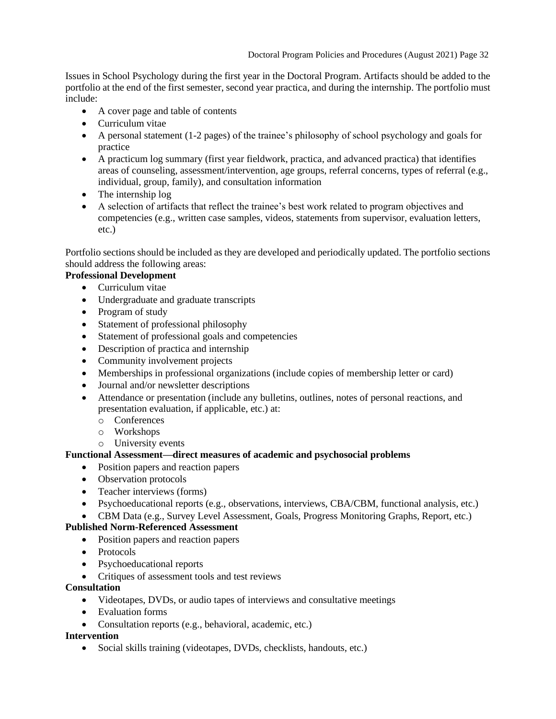Issues in School Psychology during the first year in the Doctoral Program. Artifacts should be added to the portfolio at the end of the first semester, second year practica, and during the internship. The portfolio must include:

- A cover page and table of contents
- Curriculum vitae
- A personal statement (1-2 pages) of the trainee's philosophy of school psychology and goals for practice
- A practicum log summary (first year fieldwork, practica, and advanced practica) that identifies areas of counseling, assessment/intervention, age groups, referral concerns, types of referral (e.g., individual, group, family), and consultation information
- The internship log
- A selection of artifacts that reflect the trainee's best work related to program objectives and competencies (e.g., written case samples, videos, statements from supervisor, evaluation letters, etc.)

Portfolio sections should be included as they are developed and periodically updated. The portfolio sections should address the following areas:

# **Professional Development**

- Curriculum vitae
- Undergraduate and graduate transcripts
- Program of study
- Statement of professional philosophy
- Statement of professional goals and competencies
- Description of practica and internship
- Community involvement projects
- Memberships in professional organizations (include copies of membership letter or card)
- Journal and/or newsletter descriptions
- Attendance or presentation (include any bulletins, outlines, notes of personal reactions, and presentation evaluation, if applicable, etc.) at:
	- o Conferences
	- o Workshops
	- o University events

## **Functional Assessment—direct measures of academic and psychosocial problems**

- Position papers and reaction papers
- Observation protocols
- Teacher interviews (forms)
- Psychoeducational reports (e.g., observations, interviews, CBA/CBM, functional analysis, etc.)
- CBM Data (e.g., Survey Level Assessment, Goals, Progress Monitoring Graphs, Report, etc.)

## **Published Norm-Referenced Assessment**

- Position papers and reaction papers
- Protocols
- Psychoeducational reports
- Critiques of assessment tools and test reviews

## **Consultation**

- Videotapes, DVDs, or audio tapes of interviews and consultative meetings
- Evaluation forms
- Consultation reports (e.g., behavioral, academic, etc.)

## **Intervention**

• Social skills training (videotapes, DVDs, checklists, handouts, etc.)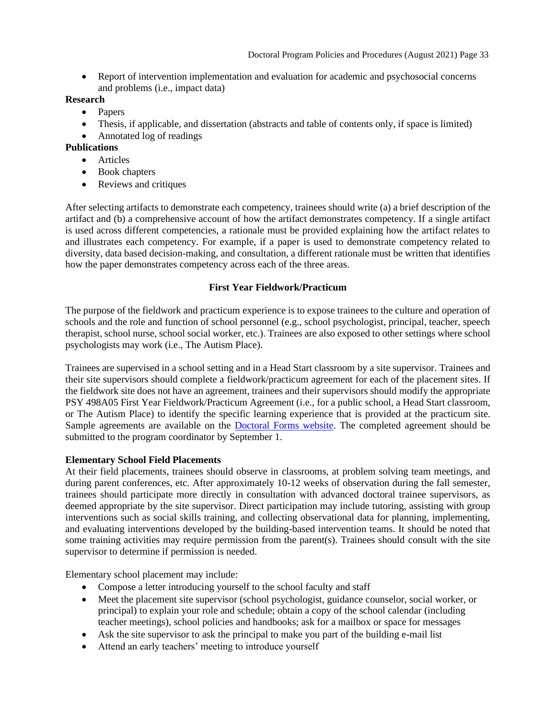• Report of intervention implementation and evaluation for academic and psychosocial concerns and problems (i.e., impact data)

## **Research**

- Papers
- Thesis, if applicable, and dissertation (abstracts and table of contents only, if space is limited)
- Annotated log of readings

# **Publications**

- Articles
	- Book chapters
- Reviews and critiques

After selecting artifacts to demonstrate each competency, trainees should write (a) a brief description of the artifact and (b) a comprehensive account of how the artifact demonstrates competency. If a single artifact is used across different competencies, a rationale must be provided explaining how the artifact relates to and illustrates each competency. For example, if a paper is used to demonstrate competency related to diversity, data based decision-making, and consultation, a different rationale must be written that identifies how the paper demonstrates competency across each of the three areas.

## **First Year Fieldwork/Practicum**

<span id="page-32-0"></span>The purpose of the fieldwork and practicum experience is to expose trainees to the culture and operation of schools and the role and function of school personnel (e.g., school psychologist, principal, teacher, speech therapist, school nurse, school social worker, etc.). Trainees are also exposed to other settings where school psychologists may work (i.e., The Autism Place).

Trainees are supervised in a school setting and in a Head Start classroom by a site supervisor. Trainees and their site supervisors should complete a fieldwork/practicum agreement for each of the placement sites. If the fieldwork site does not have an agreement, trainees and their supervisors should modify the appropriate PSY 498A05 First Year Fieldwork/Practicum Agreement (i.e., for a public school, a Head Start classroom, or The Autism Place) to identify the specific learning experience that is provided at the practicum site. Sample agreements are available on the **Doctoral Forms website**. The completed agreement should be submitted to the program coordinator by September 1.

# **Elementary School Field Placements**

At their field placements, trainees should observe in classrooms, at problem solving team meetings, and during parent conferences, etc. After approximately 10-12 weeks of observation during the fall semester, trainees should participate more directly in consultation with advanced doctoral trainee supervisors, as deemed appropriate by the site supervisor. Direct participation may include tutoring, assisting with group interventions such as social skills training, and collecting observational data for planning, implementing, and evaluating interventions developed by the building-based intervention teams. It should be noted that some training activities may require permission from the parent(s). Trainees should consult with the site supervisor to determine if permission is needed.

Elementary school placement may include:

- Compose a letter introducing yourself to the school faculty and staff
- Meet the placement site supervisor (school psychologist, guidance counselor, social worker, or principal) to explain your role and schedule; obtain a copy of the school calendar (including teacher meetings), school policies and handbooks; ask for a mailbox or space for messages
- Ask the site supervisor to ask the principal to make you part of the building e-mail list
- Attend an early teachers' meeting to introduce yourself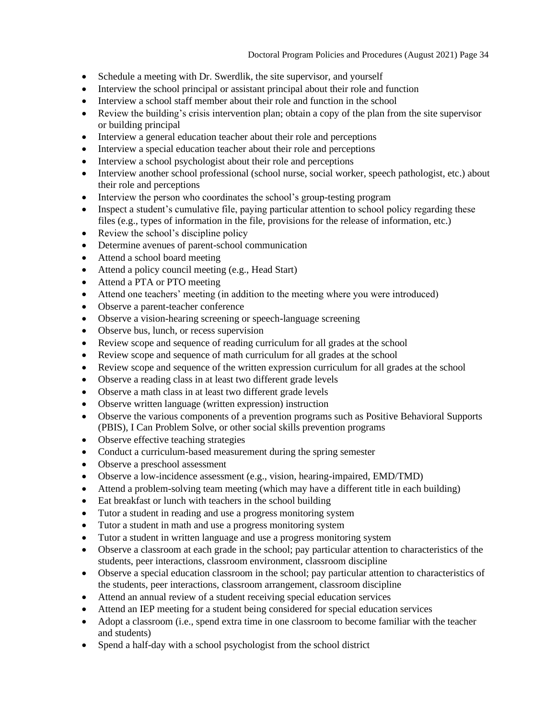- Schedule a meeting with Dr. Swerdlik, the site supervisor, and yourself
- Interview the school principal or assistant principal about their role and function
- Interview a school staff member about their role and function in the school
- Review the building's crisis intervention plan; obtain a copy of the plan from the site supervisor or building principal
- Interview a general education teacher about their role and perceptions
- Interview a special education teacher about their role and perceptions
- Interview a school psychologist about their role and perceptions
- Interview another school professional (school nurse, social worker, speech pathologist, etc.) about their role and perceptions
- Interview the person who coordinates the school's group-testing program
- Inspect a student's cumulative file, paying particular attention to school policy regarding these files (e.g., types of information in the file, provisions for the release of information, etc.)
- Review the school's discipline policy
- Determine avenues of parent-school communication
- Attend a school board meeting
- Attend a policy council meeting (e.g., Head Start)
- Attend a PTA or PTO meeting
- Attend one teachers' meeting (in addition to the meeting where you were introduced)
- Observe a parent-teacher conference
- Observe a vision-hearing screening or speech-language screening
- Observe bus, lunch, or recess supervision
- Review scope and sequence of reading curriculum for all grades at the school
- Review scope and sequence of math curriculum for all grades at the school
- Review scope and sequence of the written expression curriculum for all grades at the school
- Observe a reading class in at least two different grade levels
- Observe a math class in at least two different grade levels
- Observe written language (written expression) instruction
- Observe the various components of a prevention programs such as Positive Behavioral Supports (PBIS), I Can Problem Solve, or other social skills prevention programs
- Observe effective teaching strategies
- Conduct a curriculum-based measurement during the spring semester
- Observe a preschool assessment
- Observe a low-incidence assessment (e.g., vision, hearing-impaired, EMD/TMD)
- Attend a problem-solving team meeting (which may have a different title in each building)
- Eat breakfast or lunch with teachers in the school building
- Tutor a student in reading and use a progress monitoring system
- Tutor a student in math and use a progress monitoring system
- Tutor a student in written language and use a progress monitoring system
- Observe a classroom at each grade in the school; pay particular attention to characteristics of the students, peer interactions, classroom environment, classroom discipline
- Observe a special education classroom in the school; pay particular attention to characteristics of the students, peer interactions, classroom arrangement, classroom discipline
- Attend an annual review of a student receiving special education services
- Attend an IEP meeting for a student being considered for special education services
- Adopt a classroom (i.e., spend extra time in one classroom to become familiar with the teacher and students)
- Spend a half-day with a school psychologist from the school district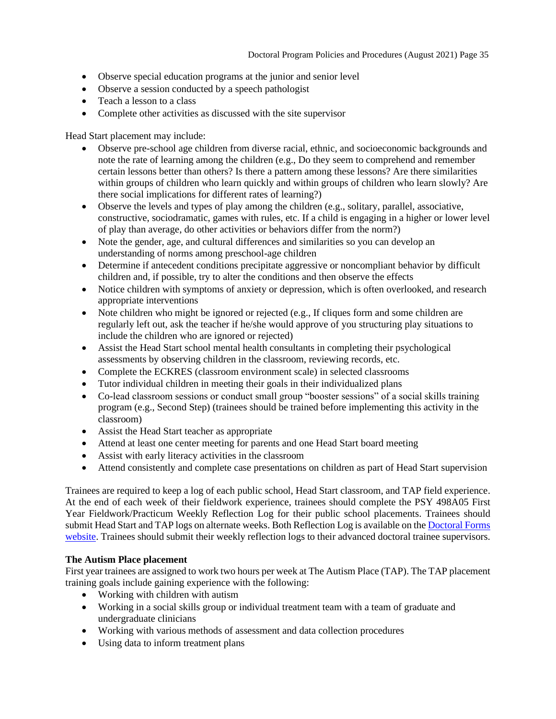- Observe special education programs at the junior and senior level
- Observe a session conducted by a speech pathologist
- Teach a lesson to a class
- Complete other activities as discussed with the site supervisor

Head Start placement may include:

- Observe pre-school age children from diverse racial, ethnic, and socioeconomic backgrounds and note the rate of learning among the children (e.g., Do they seem to comprehend and remember certain lessons better than others? Is there a pattern among these lessons? Are there similarities within groups of children who learn quickly and within groups of children who learn slowly? Are there social implications for different rates of learning?)
- Observe the levels and types of play among the children (e.g., solitary, parallel, associative, constructive, sociodramatic, games with rules, etc. If a child is engaging in a higher or lower level of play than average, do other activities or behaviors differ from the norm?)
- Note the gender, age, and cultural differences and similarities so you can develop an understanding of norms among preschool-age children
- Determine if antecedent conditions precipitate aggressive or noncompliant behavior by difficult children and, if possible, try to alter the conditions and then observe the effects
- Notice children with symptoms of anxiety or depression, which is often overlooked, and research appropriate interventions
- Note children who might be ignored or rejected (e.g., If cliques form and some children are regularly left out, ask the teacher if he/she would approve of you structuring play situations to include the children who are ignored or rejected)
- Assist the Head Start school mental health consultants in completing their psychological assessments by observing children in the classroom, reviewing records, etc.
- Complete the ECKRES (classroom environment scale) in selected classrooms
- Tutor individual children in meeting their goals in their individualized plans
- Co-lead classroom sessions or conduct small group "booster sessions" of a social skills training program (e.g., Second Step) (trainees should be trained before implementing this activity in the classroom)
- Assist the Head Start teacher as appropriate
- Attend at least one center meeting for parents and one Head Start board meeting
- Assist with early literacy activities in the classroom
- Attend consistently and complete case presentations on children as part of Head Start supervision

Trainees are required to keep a log of each public school, Head Start classroom, and TAP field experience. At the end of each week of their fieldwork experience, trainees should complete the PSY 498A05 First Year Fieldwork/Practicum Weekly Reflection Log for their public school placements. Trainees should submit Head Start and TAP logs on alternate weeks. Both Reflection Log is available on th[e Doctoral Forms](https://psychology.illinoisstate.edu/graduate/school-psychology/doctorate-in-school-psychology/forms-and-agreements/)  [website.](https://psychology.illinoisstate.edu/graduate/school-psychology/doctorate-in-school-psychology/forms-and-agreements/) Trainees should submit their weekly reflection logs to their advanced doctoral trainee supervisors.

# **The Autism Place placement**

First year trainees are assigned to work two hours per week at The Autism Place (TAP). The TAP placement training goals include gaining experience with the following:

- Working with children with autism
- Working in a social skills group or individual treatment team with a team of graduate and undergraduate clinicians
- Working with various methods of assessment and data collection procedures
- Using data to inform treatment plans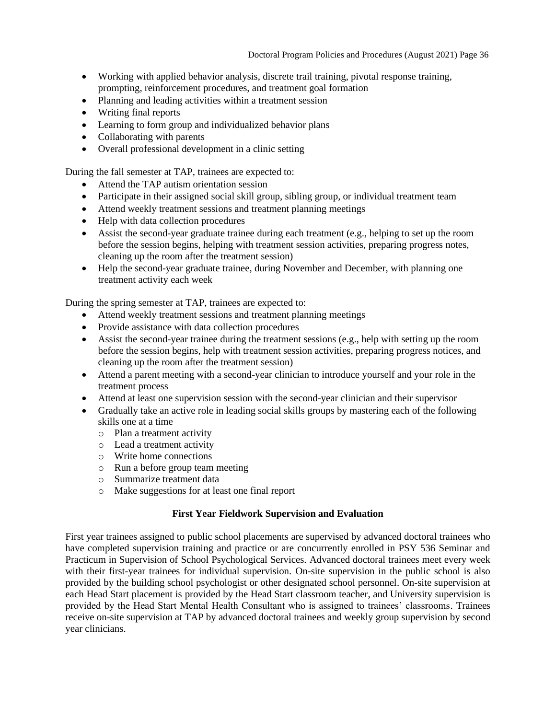- Working with applied behavior analysis, discrete trail training, pivotal response training, prompting, reinforcement procedures, and treatment goal formation
- Planning and leading activities within a treatment session
- Writing final reports
- Learning to form group and individualized behavior plans
- Collaborating with parents
- Overall professional development in a clinic setting

During the fall semester at TAP, trainees are expected to:

- Attend the TAP autism orientation session
- Participate in their assigned social skill group, sibling group, or individual treatment team
- Attend weekly treatment sessions and treatment planning meetings
- Help with data collection procedures
- Assist the second-year graduate trainee during each treatment (e.g., helping to set up the room before the session begins, helping with treatment session activities, preparing progress notes, cleaning up the room after the treatment session)
- Help the second-year graduate trainee, during November and December, with planning one treatment activity each week

During the spring semester at TAP, trainees are expected to:

- Attend weekly treatment sessions and treatment planning meetings
- Provide assistance with data collection procedures
- Assist the second-year trainee during the treatment sessions (e.g., help with setting up the room before the session begins, help with treatment session activities, preparing progress notices, and cleaning up the room after the treatment session)
- Attend a parent meeting with a second-year clinician to introduce yourself and your role in the treatment process
- Attend at least one supervision session with the second-year clinician and their supervisor
- Gradually take an active role in leading social skills groups by mastering each of the following skills one at a time
	- o Plan a treatment activity
	- o Lead a treatment activity
	- o Write home connections
	- o Run a before group team meeting
	- o Summarize treatment data
	- o Make suggestions for at least one final report

## **First Year Fieldwork Supervision and Evaluation**

<span id="page-35-0"></span>First year trainees assigned to public school placements are supervised by advanced doctoral trainees who have completed supervision training and practice or are concurrently enrolled in PSY 536 Seminar and Practicum in Supervision of School Psychological Services. Advanced doctoral trainees meet every week with their first-year trainees for individual supervision. On-site supervision in the public school is also provided by the building school psychologist or other designated school personnel. On-site supervision at each Head Start placement is provided by the Head Start classroom teacher, and University supervision is provided by the Head Start Mental Health Consultant who is assigned to trainees' classrooms. Trainees receive on-site supervision at TAP by advanced doctoral trainees and weekly group supervision by second year clinicians.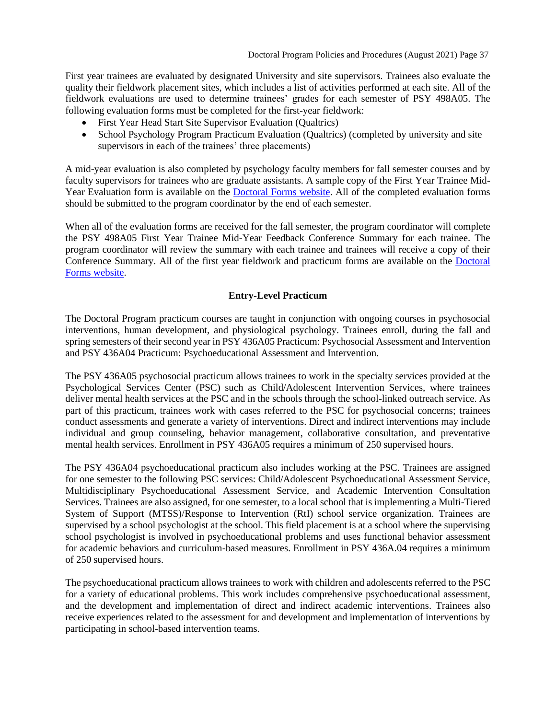First year trainees are evaluated by designated University and site supervisors. Trainees also evaluate the quality their fieldwork placement sites, which includes a list of activities performed at each site. All of the fieldwork evaluations are used to determine trainees' grades for each semester of PSY 498A05. The following evaluation forms must be completed for the first-year fieldwork:

- First Year Head Start Site Supervisor Evaluation (Qualtrics)
- School Psychology Program Practicum Evaluation (Qualtrics) (completed by university and site supervisors in each of the trainees' three placements)

A mid-year evaluation is also completed by psychology faculty members for fall semester courses and by faculty supervisors for trainees who are graduate assistants. A sample copy of the First Year Trainee Mid-Year Evaluation form is available on the [Doctoral Forms website.](https://psychology.illinoisstate.edu/graduate/school-psychology/doctorate-in-school-psychology/forms-and-agreements/) All of the completed evaluation forms should be submitted to the program coordinator by the end of each semester.

When all of the evaluation forms are received for the fall semester, the program coordinator will complete the PSY 498A05 First Year Trainee Mid-Year Feedback Conference Summary for each trainee. The program coordinator will review the summary with each trainee and trainees will receive a copy of their Conference Summary. All of the first year fieldwork and practicum forms are available on the [Doctoral](https://psychology.illinoisstate.edu/graduate/school-psychology/doctorate-in-school-psychology/forms-and-agreements/)  [Forms website.](https://psychology.illinoisstate.edu/graduate/school-psychology/doctorate-in-school-psychology/forms-and-agreements/)

## **Entry-Level Practicum**

<span id="page-36-0"></span>The Doctoral Program practicum courses are taught in conjunction with ongoing courses in psychosocial interventions, human development, and physiological psychology. Trainees enroll, during the fall and spring semesters of their second year in PSY 436A05 Practicum: Psychosocial Assessment and Intervention and PSY 436A04 Practicum: Psychoeducational Assessment and Intervention.

The PSY 436A05 psychosocial practicum allows trainees to work in the specialty services provided at the Psychological Services Center (PSC) such as Child/Adolescent Intervention Services, where trainees deliver mental health services at the PSC and in the schools through the school-linked outreach service. As part of this practicum, trainees work with cases referred to the PSC for psychosocial concerns; trainees conduct assessments and generate a variety of interventions. Direct and indirect interventions may include individual and group counseling, behavior management, collaborative consultation, and preventative mental health services. Enrollment in PSY 436A05 requires a minimum of 250 supervised hours.

The PSY 436A04 psychoeducational practicum also includes working at the PSC. Trainees are assigned for one semester to the following PSC services: Child/Adolescent Psychoeducational Assessment Service, Multidisciplinary Psychoeducational Assessment Service, and Academic Intervention Consultation Services. Trainees are also assigned, for one semester, to a local school that is implementing a Multi-Tiered System of Support (MTSS)/Response to Intervention (RtI) school service organization. Trainees are supervised by a school psychologist at the school. This field placement is at a school where the supervising school psychologist is involved in psychoeducational problems and uses functional behavior assessment for academic behaviors and curriculum-based measures. Enrollment in PSY 436A.04 requires a minimum of 250 supervised hours.

The psychoeducational practicum allows trainees to work with children and adolescents referred to the PSC for a variety of educational problems. This work includes comprehensive psychoeducational assessment, and the development and implementation of direct and indirect academic interventions. Trainees also receive experiences related to the assessment for and development and implementation of interventions by participating in school-based intervention teams.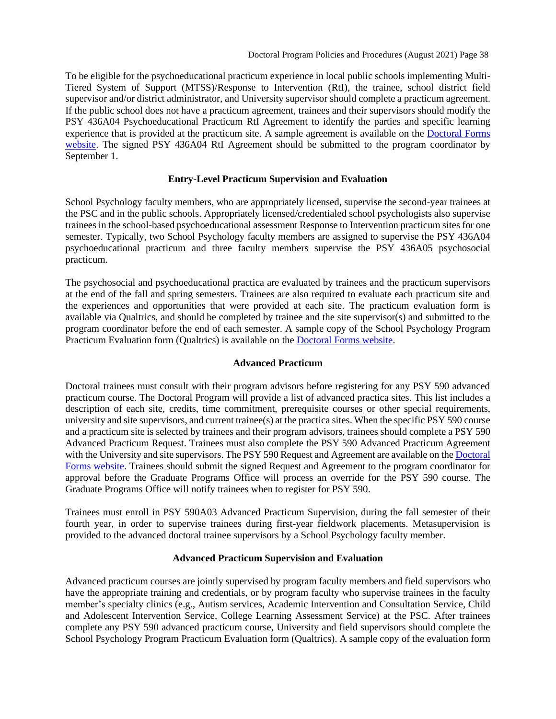To be eligible for the psychoeducational practicum experience in local public schools implementing Multi-Tiered System of Support (MTSS)/Response to Intervention (RtI), the trainee, school district field supervisor and/or district administrator, and University supervisor should complete a practicum agreement. If the public school does not have a practicum agreement, trainees and their supervisors should modify the PSY 436A04 Psychoeducational Practicum RtI Agreement to identify the parties and specific learning experience that is provided at the practicum site. A sample agreement is available on the [Doctoral Forms](https://psychology.illinoisstate.edu/graduate/school-psychology/doctorate-in-school-psychology/forms-and-agreements/)  [website.](https://psychology.illinoisstate.edu/graduate/school-psychology/doctorate-in-school-psychology/forms-and-agreements/) The signed PSY 436A04 RtI Agreement should be submitted to the program coordinator by September 1.

#### **Entry-Level Practicum Supervision and Evaluation**

<span id="page-37-0"></span>School Psychology faculty members, who are appropriately licensed, supervise the second-year trainees at the PSC and in the public schools. Appropriately licensed/credentialed school psychologists also supervise trainees in the school-based psychoeducational assessment Response to Intervention practicum sites for one semester. Typically, two School Psychology faculty members are assigned to supervise the PSY 436A04 psychoeducational practicum and three faculty members supervise the PSY 436A05 psychosocial practicum.

The psychosocial and psychoeducational practica are evaluated by trainees and the practicum supervisors at the end of the fall and spring semesters. Trainees are also required to evaluate each practicum site and the experiences and opportunities that were provided at each site. The practicum evaluation form is available via Qualtrics, and should be completed by trainee and the site supervisor(s) and submitted to the program coordinator before the end of each semester. A sample copy of the School Psychology Program Practicum Evaluation form (Qualtrics) is available on th[e Doctoral Forms website.](https://psychology.illinoisstate.edu/graduate/school-psychology/doctorate-in-school-psychology/forms-and-agreements/)

#### **Advanced Practicum**

<span id="page-37-1"></span>Doctoral trainees must consult with their program advisors before registering for any PSY 590 advanced practicum course. The Doctoral Program will provide a list of advanced practica sites. This list includes a description of each site, credits, time commitment, prerequisite courses or other special requirements, university and site supervisors, and current trainee(s) at the practica sites. When the specific PSY 590 course and a practicum site is selected by trainees and their program advisors, trainees should complete a PSY 590 Advanced Practicum Request. Trainees must also complete the PSY 590 Advanced Practicum Agreement with the University and site supervisors. The PSY 590 Request and Agreement are available on the Doctoral [Forms website.](https://psychology.illinoisstate.edu/graduate/school-psychology/doctorate-in-school-psychology/forms-and-agreements/) Trainees should submit the signed Request and Agreement to the program coordinator for approval before the Graduate Programs Office will process an override for the PSY 590 course. The Graduate Programs Office will notify trainees when to register for PSY 590.

Trainees must enroll in PSY 590A03 Advanced Practicum Supervision, during the fall semester of their fourth year, in order to supervise trainees during first-year fieldwork placements. Metasupervision is provided to the advanced doctoral trainee supervisors by a School Psychology faculty member.

#### **Advanced Practicum Supervision and Evaluation**

<span id="page-37-2"></span>Advanced practicum courses are jointly supervised by program faculty members and field supervisors who have the appropriate training and credentials, or by program faculty who supervise trainees in the faculty member's specialty clinics (e.g., Autism services, Academic Intervention and Consultation Service, Child and Adolescent Intervention Service, College Learning Assessment Service) at the PSC. After trainees complete any PSY 590 advanced practicum course, University and field supervisors should complete the School Psychology Program Practicum Evaluation form (Qualtrics). A sample copy of the evaluation form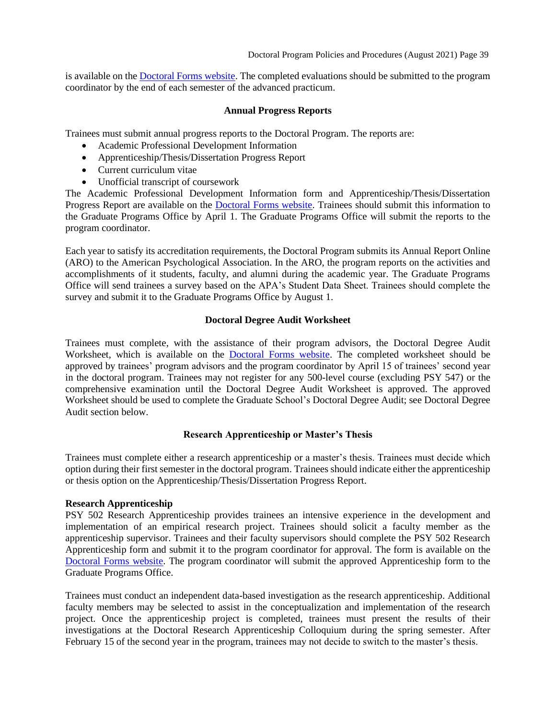is available on th[e Doctoral Forms website.](https://psychology.illinoisstate.edu/graduate/school-psychology/doctorate-in-school-psychology/forms-and-agreements/) The completed evaluations should be submitted to the program coordinator by the end of each semester of the advanced practicum.

#### **Annual Progress Reports**

<span id="page-38-0"></span>Trainees must submit annual progress reports to the Doctoral Program. The reports are:

- Academic Professional Development Information
- Apprenticeship/Thesis/Dissertation Progress Report
- Current curriculum vitae
- Unofficial transcript of coursework

The Academic Professional Development Information form and Apprenticeship/Thesis/Dissertation Progress Report are available on the [Doctoral Forms website.](https://psychology.illinoisstate.edu/graduate/school-psychology/doctorate-in-school-psychology/forms-and-agreements/) Trainees should submit this information to the Graduate Programs Office by April 1. The Graduate Programs Office will submit the reports to the program coordinator.

Each year to satisfy its accreditation requirements, the Doctoral Program submits its Annual Report Online (ARO) to the American Psychological Association. In the ARO, the program reports on the activities and accomplishments of it students, faculty, and alumni during the academic year. The Graduate Programs Office will send trainees a survey based on the APA's Student Data Sheet. Trainees should complete the survey and submit it to the Graduate Programs Office by August 1.

## **Doctoral Degree Audit Worksheet**

<span id="page-38-1"></span>Trainees must complete, with the assistance of their program advisors, the Doctoral Degree Audit Worksheet, which is available on the [Doctoral Forms website.](https://psychology.illinoisstate.edu/graduate/school-psychology/doctorate-in-school-psychology/forms-and-agreements/) The completed worksheet should be approved by trainees' program advisors and the program coordinator by April 15 of trainees' second year in the doctoral program. Trainees may not register for any 500-level course (excluding PSY 547) or the comprehensive examination until the Doctoral Degree Audit Worksheet is approved. The approved Worksheet should be used to complete the Graduate School's Doctoral Degree Audit; see Doctoral Degree Audit section below.

## <span id="page-38-2"></span>**Research Apprenticeship or Master's Thesis**

Trainees must complete either a research apprenticeship or a master's thesis. Trainees must decide which option during their first semester in the doctoral program. Trainees should indicate either the apprenticeship or thesis option on the Apprenticeship/Thesis/Dissertation Progress Report.

## **Research Apprenticeship**

PSY 502 Research Apprenticeship provides trainees an intensive experience in the development and implementation of an empirical research project. Trainees should solicit a faculty member as the apprenticeship supervisor. Trainees and their faculty supervisors should complete the PSY 502 Research Apprenticeship form and submit it to the program coordinator for approval. The form is available on the [Doctoral Forms website.](https://psychology.illinoisstate.edu/graduate/school-psychology/doctorate-in-school-psychology/forms-and-agreements/) The program coordinator will submit the approved Apprenticeship form to the Graduate Programs Office.

Trainees must conduct an independent data-based investigation as the research apprenticeship. Additional faculty members may be selected to assist in the conceptualization and implementation of the research project. Once the apprenticeship project is completed, trainees must present the results of their investigations at the Doctoral Research Apprenticeship Colloquium during the spring semester. After February 15 of the second year in the program, trainees may not decide to switch to the master's thesis.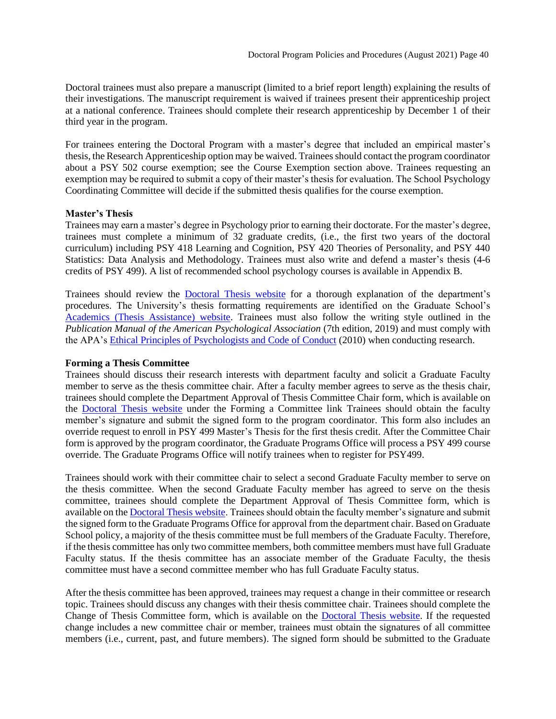Doctoral trainees must also prepare a manuscript (limited to a brief report length) explaining the results of their investigations. The manuscript requirement is waived if trainees present their apprenticeship project at a national conference. Trainees should complete their research apprenticeship by December 1 of their third year in the program.

For trainees entering the Doctoral Program with a master's degree that included an empirical master's thesis, the Research Apprenticeship option may be waived. Trainees should contact the program coordinator about a PSY 502 course exemption; see the Course Exemption section above. Trainees requesting an exemption may be required to submit a copy of their master's thesis for evaluation. The School Psychology Coordinating Committee will decide if the submitted thesis qualifies for the course exemption.

#### **Master's Thesis**

Trainees may earn a master's degree in Psychology prior to earning their doctorate. For the master's degree, trainees must complete a minimum of 32 graduate credits, (i.e., the first two years of the doctoral curriculum) including PSY 418 Learning and Cognition, PSY 420 Theories of Personality, and PSY 440 Statistics: Data Analysis and Methodology. Trainees must also write and defend a master's thesis (4-6 credits of PSY 499). A list of recommended school psychology courses is available in Appendix B.

Trainees should review the [Doctoral Thesis](https://psychology.illinoisstate.edu/graduate/school-psychology/doctorate-in-school-psychology/thesis/) website for a thorough explanation of the department's procedures. The University's thesis formatting requirements are identified on the Graduate School's [Academics \(Thesis Assistance\)](https://grad.illinoisstate.edu/students/thesis-dissertation/) website. Trainees must also follow the writing style outlined in the *Publication Manual of the American Psychological Association* (7th edition, 2019) and must comply with the APA's [Ethical Principles of Psychologists and Code of Conduct](http://www.apa.org/ethics/code2002.html) (2010) when conducting research.

#### **Forming a Thesis Committee**

Trainees should discuss their research interests with department faculty and solicit a Graduate Faculty member to serve as the thesis committee chair. After a faculty member agrees to serve as the thesis chair, trainees should complete the Department Approval of Thesis Committee Chair form, which is available on the [Doctoral Thesis website](https://psychology.illinoisstate.edu/graduate/school-psychology/doctorate-in-school-psychology/thesis/) under the Forming a Committee link Trainees should obtain the faculty member's signature and submit the signed form to the program coordinator. This form also includes an override request to enroll in PSY 499 Master's Thesis for the first thesis credit. After the Committee Chair form is approved by the program coordinator, the Graduate Programs Office will process a PSY 499 course override. The Graduate Programs Office will notify trainees when to register for PSY499.

Trainees should work with their committee chair to select a second Graduate Faculty member to serve on the thesis committee. When the second Graduate Faculty member has agreed to serve on the thesis committee, trainees should complete the Department Approval of Thesis Committee form, which is available on the [Doctoral Thesis website.](https://psychology.illinoisstate.edu/graduate/school-psychology/doctorate-in-school-psychology/thesis/) Trainees should obtain the faculty member's signature and submit the signed form to the Graduate Programs Office for approval from the department chair. Based on Graduate School policy, a majority of the thesis committee must be full members of the Graduate Faculty. Therefore, if the thesis committee has only two committee members, both committee members must have full Graduate Faculty status. If the thesis committee has an associate member of the Graduate Faculty, the thesis committee must have a second committee member who has full Graduate Faculty status.

After the thesis committee has been approved, trainees may request a change in their committee or research topic. Trainees should discuss any changes with their thesis committee chair. Trainees should complete the Change of Thesis Committee form, which is available on the [Doctoral Thesis website.](https://psychology.illinoisstate.edu/graduate/school-psychology/doctorate-in-school-psychology/thesis/) If the requested change includes a new committee chair or member, trainees must obtain the signatures of all committee members (i.e., current, past, and future members). The signed form should be submitted to the Graduate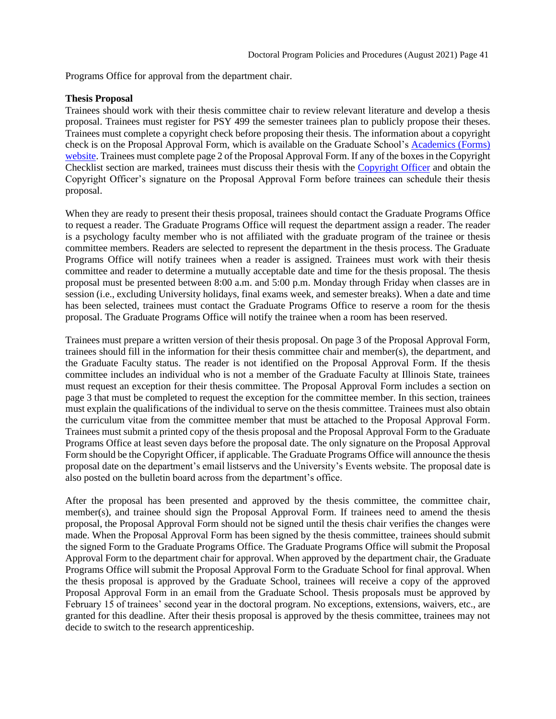Programs Office for approval from the department chair.

#### **Thesis Proposal**

Trainees should work with their thesis committee chair to review relevant literature and develop a thesis proposal. Trainees must register for PSY 499 the semester trainees plan to publicly propose their theses. Trainees must complete a copyright check before proposing their thesis. The information about a copyright check is on the Proposal Approval Form, which is available on the Graduate School's [Academics \(Forms\)](https://grad.illinoisstate.edu/students/forms/)  [website.](https://grad.illinoisstate.edu/students/forms/) Trainees must complete page 2 of the Proposal Approval Form. If any of the boxes in the Copyright Checklist section are marked, trainees must discuss their thesis with the [Copyright Officer](https://grad.illinoisstate.edu/contact/) and obtain the Copyright Officer's signature on the Proposal Approval Form before trainees can schedule their thesis proposal.

When they are ready to present their thesis proposal, trainees should contact the Graduate Programs Office to request a reader. The Graduate Programs Office will request the department assign a reader. The reader is a psychology faculty member who is not affiliated with the graduate program of the trainee or thesis committee members. Readers are selected to represent the department in the thesis process. The Graduate Programs Office will notify trainees when a reader is assigned. Trainees must work with their thesis committee and reader to determine a mutually acceptable date and time for the thesis proposal. The thesis proposal must be presented between 8:00 a.m. and 5:00 p.m. Monday through Friday when classes are in session (i.e., excluding University holidays, final exams week, and semester breaks). When a date and time has been selected, trainees must contact the Graduate Programs Office to reserve a room for the thesis proposal. The Graduate Programs Office will notify the trainee when a room has been reserved.

Trainees must prepare a written version of their thesis proposal. On page 3 of the Proposal Approval Form, trainees should fill in the information for their thesis committee chair and member(s), the department, and the Graduate Faculty status. The reader is not identified on the Proposal Approval Form. If the thesis committee includes an individual who is not a member of the Graduate Faculty at Illinois State, trainees must request an exception for their thesis committee. The Proposal Approval Form includes a section on page 3 that must be completed to request the exception for the committee member. In this section, trainees must explain the qualifications of the individual to serve on the thesis committee. Trainees must also obtain the curriculum vitae from the committee member that must be attached to the Proposal Approval Form. Trainees must submit a printed copy of the thesis proposal and the Proposal Approval Form to the Graduate Programs Office at least seven days before the proposal date. The only signature on the Proposal Approval Form should be the Copyright Officer, if applicable. The Graduate Programs Office will announce the thesis proposal date on the department's email listservs and the University's Events website. The proposal date is also posted on the bulletin board across from the department's office.

After the proposal has been presented and approved by the thesis committee, the committee chair, member(s), and trainee should sign the Proposal Approval Form. If trainees need to amend the thesis proposal, the Proposal Approval Form should not be signed until the thesis chair verifies the changes were made. When the Proposal Approval Form has been signed by the thesis committee, trainees should submit the signed Form to the Graduate Programs Office. The Graduate Programs Office will submit the Proposal Approval Form to the department chair for approval. When approved by the department chair, the Graduate Programs Office will submit the Proposal Approval Form to the Graduate School for final approval. When the thesis proposal is approved by the Graduate School, trainees will receive a copy of the approved Proposal Approval Form in an email from the Graduate School. Thesis proposals must be approved by February 15 of trainees' second year in the doctoral program. No exceptions, extensions, waivers, etc., are granted for this deadline. After their thesis proposal is approved by the thesis committee, trainees may not decide to switch to the research apprenticeship.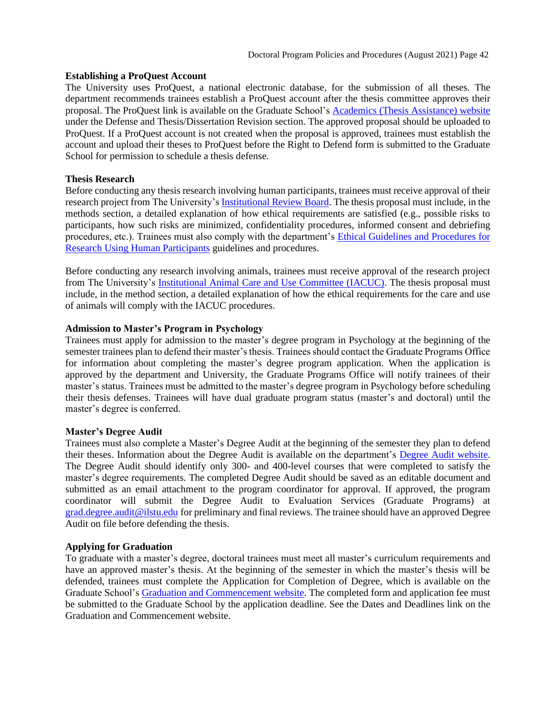#### **Establishing a ProQuest Account**

The University uses ProQuest, a national electronic database, for the submission of all theses. The department recommends trainees establish a ProQuest account after the thesis committee approves their proposal. The ProQuest link is available on the Graduate School's Academics (Thesis [Assistance\) website](https://grad.illinoisstate.edu/students/thesis-dissertation/) under the Defense and Thesis/Dissertation Revision section. The approved proposal should be uploaded to ProQuest. If a ProQuest account is not created when the proposal is approved, trainees must establish the account and upload their theses to ProQuest before the Right to Defend form is submitted to the Graduate School for permission to schedule a thesis defense.

#### **Thesis Research**

Before conducting any thesis research involving human participants, trainees must receive approval of their research project from The University's [Institutional Review Board.](https://research.illinoisstate.edu/ethics/human-subjects/) The thesis proposal must include, in the methods section, a detailed explanation of how ethical requirements are satisfied (e.g., possible risks to participants, how such risks are minimized, confidentiality procedures, informed consent and debriefing procedures, etc.). Trainees must also comply with the department's [Ethical Guidelines and Procedures for](https://psychology.illinoisstate.edu/research/tools-and-links/ethical-guidelines-and-procedures/)  Research [Using Human Participants](https://psychology.illinoisstate.edu/research/tools-and-links/ethical-guidelines-and-procedures/) guidelines and procedures.

Before conducting any research involving animals, trainees must receive approval of the research project from The University's [Institutional Animal Care and Use Committee \(IACUC\).](https://www.aalas.org/iacuc) The thesis proposal must include, in the method section, a detailed explanation of how the ethical requirements for the care and use of animals will comply with the IACUC procedures.

#### **Admission to Master's Program in Psychology**

Trainees must apply for admission to the master's degree program in Psychology at the beginning of the semester trainees plan to defend their master's thesis. Trainees should contact the Graduate Programs Office for information about completing the master's degree program application. When the application is approved by the department and University, the Graduate Programs Office will notify trainees of their master's status. Trainees must be admitted to the master's degree program in Psychology before scheduling their thesis defenses. Trainees will have dual graduate program status (master's and doctoral) until the master's degree is conferred.

#### **Master's Degree Audit**

Trainees must also complete a Master's Degree Audit at the beginning of the semester they plan to defend their theses. Information about the Degree Audit is available on the department's [Degree Audit website.](https://psychology.illinoisstate.edu/graduate/advising-resources/degree-audit/) The Degree Audit should identify only 300- and 400-level courses that were completed to satisfy the master's degree requirements. The completed Degree Audit should be saved as an editable document and submitted as an email attachment to the program coordinator for approval. If approved, the program coordinator will submit the Degree Audit to Evaluation Services (Graduate Programs) at [grad.degree.audit@ilstu.edu](mailto:grad.degree.audit@ilstu.edu) for preliminary and final reviews. The trainee should have an approved Degree Audit on file before defending the thesis.

## **Applying for Graduation**

To graduate with a master's degree, doctoral trainees must meet all master's curriculum requirements and have an approved master's thesis. At the beginning of the semester in which the master's thesis will be defended, trainees must complete the Application for Completion of Degree, which is available on the Graduate School's [Graduation and Commencement website.](https://grad.illinoisstate.edu/students/graduation/) The completed form and application fee must be submitted to the Graduate School by the application deadline. See the Dates and Deadlines link on the Graduation and Commencement website.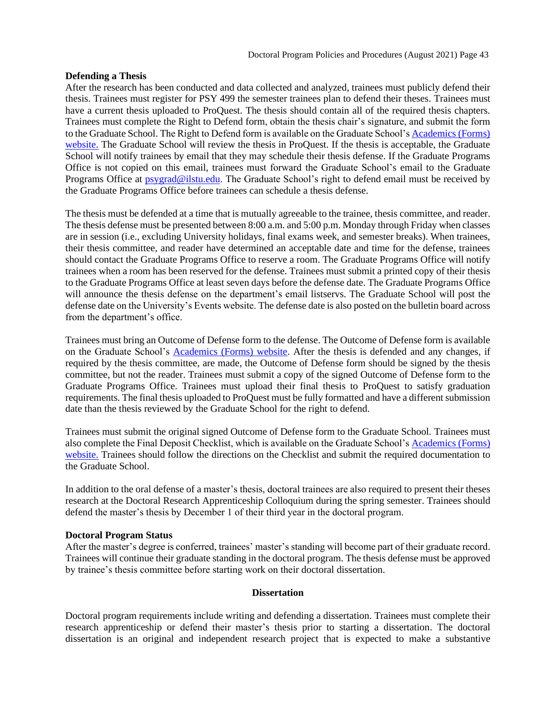#### **Defending a Thesis**

After the research has been conducted and data collected and analyzed, trainees must publicly defend their thesis. Trainees must register for PSY 499 the semester trainees plan to defend their theses. Trainees must have a current thesis uploaded to ProQuest. The thesis should contain all of the required thesis chapters. Trainees must complete the Right to Defend form, obtain the thesis chair's signature, and submit the form to the Graduate School. The Right to Defend form is available on the Graduate School'[s Academics \(Forms\)](https://grad.illinoisstate.edu/students/forms/)  [website.](https://grad.illinoisstate.edu/students/forms/) The Graduate School will review the thesis in ProQuest. If the thesis is acceptable, the Graduate School will notify trainees by email that they may schedule their thesis defense. If the Graduate Programs Office is not copied on this email, trainees must forward the Graduate School's email to the Graduate Programs Office at [psygrad@ilstu.edu.](mailto:psygrad@ilstu.edu) The Graduate School's right to defend email must be received by the Graduate Programs Office before trainees can schedule a thesis defense.

The thesis must be defended at a time that is mutually agreeable to the trainee, thesis committee, and reader. The thesis defense must be presented between 8:00 a.m. and 5:00 p.m. Monday through Friday when classes are in session (i.e., excluding University holidays, final exams week, and semester breaks). When trainees, their thesis committee, and reader have determined an acceptable date and time for the defense, trainees should contact the Graduate Programs Office to reserve a room. The Graduate Programs Office will notify trainees when a room has been reserved for the defense. Trainees must submit a printed copy of their thesis to the Graduate Programs Office at least seven days before the defense date. The Graduate Programs Office will announce the thesis defense on the department's email listservs. The Graduate School will post the defense date on the University's Events website. The defense date is also posted on the bulletin board across from the department's office.

Trainees must bring an Outcome of Defense form to the defense. The Outcome of Defense form is available on the Graduate School's [Academics \(Forms\) website.](https://grad.illinoisstate.edu/students/forms/) After the thesis is defended and any changes, if required by the thesis committee, are made, the Outcome of Defense form should be signed by the thesis committee, but not the reader. Trainees must submit a copy of the signed Outcome of Defense form to the Graduate Programs Office. Trainees must upload their final thesis to ProQuest to satisfy graduation requirements. The final thesis uploaded to ProQuest must be fully formatted and have a different submission date than the thesis reviewed by the Graduate School for the right to defend.

Trainees must submit the original signed Outcome of Defense form to the Graduate School. Trainees must also complete the Final Deposit Checklist, which is available on the Graduate School's [Academics \(Forms\)](https://grad.illinoisstate.edu/students/forms/)  [website.](https://grad.illinoisstate.edu/students/forms/) Trainees should follow the directions on the Checklist and submit the required documentation to the Graduate School.

In addition to the oral defense of a master's thesis, doctoral trainees are also required to present their theses research at the Doctoral Research Apprenticeship Colloquium during the spring semester. Trainees should defend the master's thesis by December 1 of their third year in the doctoral program.

#### **Doctoral Program Status**

After the master's degree is conferred, trainees' master's standing will become part of their graduate record. Trainees will continue their graduate standing in the doctoral program. The thesis defense must be approved by trainee's thesis committee before starting work on their doctoral dissertation.

#### <span id="page-42-2"></span><span id="page-42-0"></span>**[Dissertation](#page-42-1)**

<span id="page-42-1"></span>Doctoral program requirements include writing and defending a dissertation. Trainees must complete their research apprenticeship or defend their master's thesis prior to starting a dissertation. The doctoral dissertation is an original and independent research project that is expected to make a substantive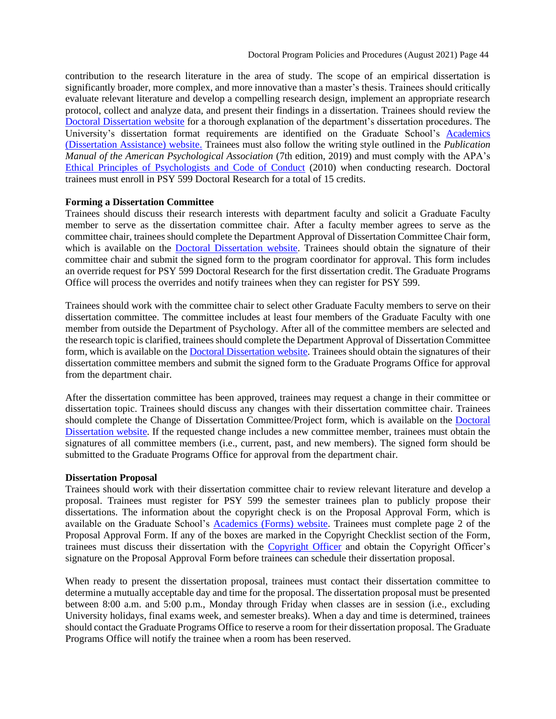contribution to the research literature in the area of study. The scope of an empirical dissertation is significantly broader, more complex, and more innovative than a master's thesis. Trainees should critically evaluate relevant literature and develop a compelling research design, implement an appropriate research protocol, collect and analyze data, and present their findings in a dissertation. Trainees should review the [Doctoral Dissertation](https://psychology.illinoisstate.edu/graduate/school-psychology/doctorate-in-school-psychology/dissertation/) website for a thorough explanation of the department's dissertation procedures. The University's dissertation format requirements are identified on the Graduate School's [Academics](https://grad.illinoisstate.edu/students/thesis-dissertation/)  [\(Dissertation Assistance\) website.](https://grad.illinoisstate.edu/students/thesis-dissertation/) Trainees must also follow the writing style outlined in the *Publication Manual of the American Psychological Association* (7th edition, 2019) and must comply with the APA's [Ethical Principles of Psychologists and Code of Conduct](http://www.apa.org/ethics/code2002.html) (2010) when conducting research. Doctoral trainees must enroll in PSY 599 Doctoral Research for a total of 15 credits.

#### **Forming a Dissertation Committee**

Trainees should discuss their research interests with department faculty and solicit a Graduate Faculty member to serve as the dissertation committee chair. After a faculty member agrees to serve as the committee chair, trainees should complete the Department Approval of Dissertation Committee Chair form, which is available on the [Doctoral Dissertation](https://psychology.illinoisstate.edu/graduate/school-psychology/doctorate-in-school-psychology/dissertation/) website. Trainees should obtain the signature of their committee chair and submit the signed form to the program coordinator for approval. This form includes an override request for PSY 599 Doctoral Research for the first dissertation credit. The Graduate Programs Office will process the overrides and notify trainees when they can register for PSY 599.

Trainees should work with the committee chair to select other Graduate Faculty members to serve on their dissertation committee. The committee includes at least four members of the Graduate Faculty with one member from outside the Department of Psychology. After all of the committee members are selected and the research topic is clarified, trainees should complete the Department Approval of Dissertation Committee form, which is available on th[e Doctoral Dissertation](https://psychology.illinoisstate.edu/graduate/school-psychology/doctorate-in-school-psychology/dissertation/) website. Trainees should obtain the signatures of their dissertation committee members and submit the signed form to the Graduate Programs Office for approval from the department chair.

After the dissertation committee has been approved, trainees may request a change in their committee or dissertation topic. Trainees should discuss any changes with their dissertation committee chair. Trainees should complete the Change of Dissertation Committee/Project form, which is available on the [Doctoral](https://psychology.illinoisstate.edu/graduate/school-psychology/doctorate-in-school-psychology/dissertation/)  [Dissertation](https://psychology.illinoisstate.edu/graduate/school-psychology/doctorate-in-school-psychology/dissertation/) website. If the requested change includes a new committee member, trainees must obtain the signatures of all committee members (i.e., current, past, and new members). The signed form should be submitted to the Graduate Programs Office for approval from the department chair.

#### **Dissertation Proposal**

Trainees should work with their dissertation committee chair to review relevant literature and develop a proposal. Trainees must register for PSY 599 the semester trainees plan to publicly propose their dissertations. The information about the copyright check is on the Proposal Approval Form, which is available on the Graduate School's [Academics \(Forms\) website.](https://grad.illinoisstate.edu/students/forms/) Trainees must complete page 2 of the Proposal Approval Form. If any of the boxes are marked in the Copyright Checklist section of the Form, trainees must discuss their dissertation with the [Copyright Officer](https://grad.illinoisstate.edu/contact/) and obtain the Copyright Officer's signature on the Proposal Approval Form before trainees can schedule their dissertation proposal.

When ready to present the dissertation proposal, trainees must contact their dissertation committee to determine a mutually acceptable day and time for the proposal. The dissertation proposal must be presented between 8:00 a.m. and 5:00 p.m., Monday through Friday when classes are in session (i.e., excluding University holidays, final exams week, and semester breaks). When a day and time is determined, trainees should contact the Graduate Programs Office to reserve a room for their dissertation proposal. The Graduate Programs Office will notify the trainee when a room has been reserved.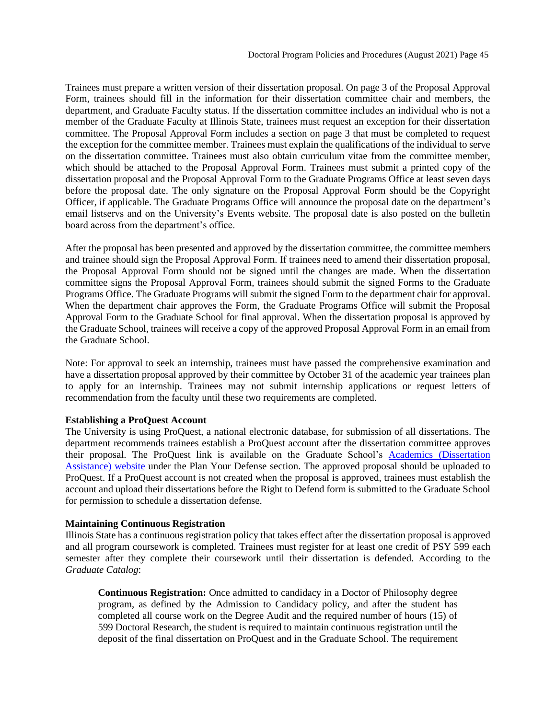Trainees must prepare a written version of their dissertation proposal. On page 3 of the Proposal Approval Form, trainees should fill in the information for their dissertation committee chair and members, the department, and Graduate Faculty status. If the dissertation committee includes an individual who is not a member of the Graduate Faculty at Illinois State, trainees must request an exception for their dissertation committee. The Proposal Approval Form includes a section on page 3 that must be completed to request the exception for the committee member. Trainees must explain the qualifications of the individual to serve on the dissertation committee. Trainees must also obtain curriculum vitae from the committee member, which should be attached to the Proposal Approval Form. Trainees must submit a printed copy of the dissertation proposal and the Proposal Approval Form to the Graduate Programs Office at least seven days before the proposal date. The only signature on the Proposal Approval Form should be the Copyright Officer, if applicable. The Graduate Programs Office will announce the proposal date on the department's email listservs and on the University's Events website. The proposal date is also posted on the bulletin board across from the department's office.

After the proposal has been presented and approved by the dissertation committee, the committee members and trainee should sign the Proposal Approval Form. If trainees need to amend their dissertation proposal, the Proposal Approval Form should not be signed until the changes are made. When the dissertation committee signs the Proposal Approval Form, trainees should submit the signed Forms to the Graduate Programs Office. The Graduate Programs will submit the signed Form to the department chair for approval. When the department chair approves the Form, the Graduate Programs Office will submit the Proposal Approval Form to the Graduate School for final approval. When the dissertation proposal is approved by the Graduate School, trainees will receive a copy of the approved Proposal Approval Form in an email from the Graduate School.

Note: For approval to seek an internship, trainees must have passed the comprehensive examination and have a dissertation proposal approved by their committee by October 31 of the academic year trainees plan to apply for an internship. Trainees may not submit internship applications or request letters of recommendation from the faculty until these two requirements are completed.

#### **Establishing a ProQuest Account**

The University is using ProQuest, a national electronic database, for submission of all dissertations. The department recommends trainees establish a ProQuest account after the dissertation committee approves their proposal. The ProQuest link is available on the Graduate School's [Academics \(Dissertation](https://grad.illinoisstate.edu/students/thesis-dissertation/)  [Assistance\) website](https://grad.illinoisstate.edu/students/thesis-dissertation/) under the Plan Your Defense section. The approved proposal should be uploaded to ProQuest. If a ProQuest account is not created when the proposal is approved, trainees must establish the account and upload their dissertations before the Right to Defend form is submitted to the Graduate School for permission to schedule a dissertation defense.

#### **Maintaining Continuous Registration**

Illinois State has a continuous registration policy that takes effect after the dissertation proposal is approved and all program coursework is completed. Trainees must register for at least one credit of PSY 599 each semester after they complete their coursework until their dissertation is defended. According to the *Graduate Catalog*:

**Continuous Registration:** Once admitted to candidacy in a Doctor of Philosophy degree program, as defined by the Admission to Candidacy policy, and after the student has completed all course work on the Degree Audit and the required number of hours (15) of 599 Doctoral Research, the student is required to maintain continuous registration until the deposit of the final dissertation on ProQuest and in the Graduate School. The requirement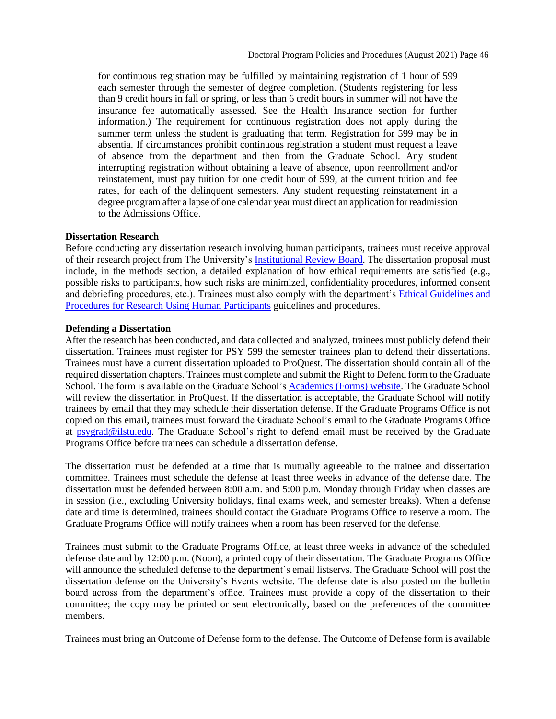for continuous registration may be fulfilled by maintaining registration of 1 hour of 599 each semester through the semester of degree completion. (Students registering for less than 9 credit hours in fall or spring, or less than 6 credit hours in summer will not have the insurance fee automatically assessed. See the Health Insurance section for further information.) The requirement for continuous registration does not apply during the summer term unless the student is graduating that term. Registration for 599 may be in absentia. If circumstances prohibit continuous registration a student must request a leave of absence from the department and then from the Graduate School. Any student interrupting registration without obtaining a leave of absence, upon reenrollment and/or reinstatement, must pay tuition for one credit hour of 599, at the current tuition and fee rates, for each of the delinquent semesters. Any student requesting reinstatement in a degree program after a lapse of one calendar year must direct an application for readmission to the Admissions Office.

#### **Dissertation Research**

Before conducting any dissertation research involving human participants, trainees must receive approval of their research project from The University's [Institutional Review Board.](https://research.illinoisstate.edu/ethics/human-subjects/) The dissertation proposal must include, in the methods section, a detailed explanation of how ethical requirements are satisfied (e.g., possible risks to participants, how such risks are minimized, confidentiality procedures, informed consent and debriefing procedures, etc.). Trainees must also comply with the department's [Ethical Guidelines and](https://research.illinoisstate.edu/ethics/training/human-subjects/)  [Procedures for Research Using Human Participants](https://research.illinoisstate.edu/ethics/training/human-subjects/) guidelines and procedures.

#### **Defending a Dissertation**

After the research has been conducted, and data collected and analyzed, trainees must publicly defend their dissertation. Trainees must register for PSY 599 the semester trainees plan to defend their dissertations. Trainees must have a current dissertation uploaded to ProQuest. The dissertation should contain all of the required dissertation chapters. Trainees must complete and submit the Right to Defend form to the Graduate School. The form is available on the Graduate School's [Academics \(Forms\) website.](https://grad.illinoisstate.edu/students/forms/) The Graduate School will review the dissertation in ProQuest. If the dissertation is acceptable, the Graduate School will notify trainees by email that they may schedule their dissertation defense. If the Graduate Programs Office is not copied on this email, trainees must forward the Graduate School's email to the Graduate Programs Office at [psygrad@ilstu.edu.](mailto:psygrad@ilstu.edu) The Graduate School's right to defend email must be received by the Graduate Programs Office before trainees can schedule a dissertation defense.

The dissertation must be defended at a time that is mutually agreeable to the trainee and dissertation committee. Trainees must schedule the defense at least three weeks in advance of the defense date. The dissertation must be defended between 8:00 a.m. and 5:00 p.m. Monday through Friday when classes are in session (i.e., excluding University holidays, final exams week, and semester breaks). When a defense date and time is determined, trainees should contact the Graduate Programs Office to reserve a room. The Graduate Programs Office will notify trainees when a room has been reserved for the defense.

Trainees must submit to the Graduate Programs Office, at least three weeks in advance of the scheduled defense date and by 12:00 p.m. (Noon), a printed copy of their dissertation. The Graduate Programs Office will announce the scheduled defense to the department's email listservs. The Graduate School will post the dissertation defense on the University's Events website. The defense date is also posted on the bulletin board across from the department's office. Trainees must provide a copy of the dissertation to their committee; the copy may be printed or sent electronically, based on the preferences of the committee members.

Trainees must bring an Outcome of Defense form to the defense. The Outcome of Defense form is available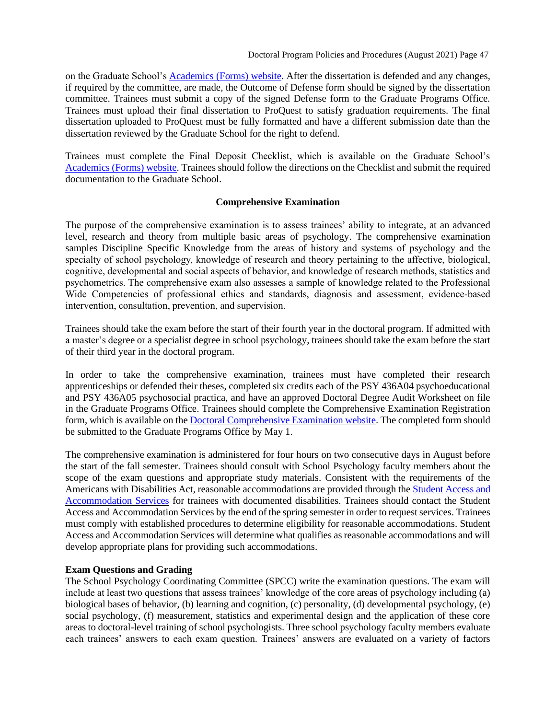on the Graduate School's [Academics \(Forms\) website.](https://grad.illinoisstate.edu/students/forms/) After the dissertation is defended and any changes, if required by the committee, are made, the Outcome of Defense form should be signed by the dissertation committee. Trainees must submit a copy of the signed Defense form to the Graduate Programs Office. Trainees must upload their final dissertation to ProQuest to satisfy graduation requirements. The final dissertation uploaded to ProQuest must be fully formatted and have a different submission date than the dissertation reviewed by the Graduate School for the right to defend.

Trainees must complete the Final Deposit Checklist, which is available on the Graduate School's [Academics \(Forms\) website.](https://grad.illinoisstate.edu/students/forms/) Trainees should follow the directions on the Checklist and submit the required documentation to the Graduate School.

#### <span id="page-46-0"></span>**[Comprehensive Examination](#page-42-2)**

The purpose of the comprehensive examination is to assess trainees' ability to integrate, at an advanced level, research and theory from multiple basic areas of psychology. The comprehensive examination samples Discipline Specific Knowledge from the areas of history and systems of psychology and the specialty of school psychology, knowledge of research and theory pertaining to the affective, biological, cognitive, developmental and social aspects of behavior, and knowledge of research methods, statistics and psychometrics. The comprehensive exam also assesses a sample of knowledge related to the Professional Wide Competencies of professional ethics and standards, diagnosis and assessment, evidence-based intervention, consultation, prevention, and supervision.

Trainees should take the exam before the start of their fourth year in the doctoral program. If admitted with a master's degree or a specialist degree in school psychology, trainees should take the exam before the start of their third year in the doctoral program.

In order to take the comprehensive examination, trainees must have completed their research apprenticeships or defended their theses, completed six credits each of the PSY 436A04 psychoeducational and PSY 436A05 psychosocial practica, and have an approved Doctoral Degree Audit Worksheet on file in the Graduate Programs Office. Trainees should complete the Comprehensive Examination Registration form, which is available on the [Doctoral Comprehensive Examination website.](https://psychology.illinoisstate.edu/graduate/school-psychology/doctorate-in-school-psychology/comprehensive-exam/) The completed form should be submitted to the Graduate Programs Office by May 1.

The comprehensive examination is administered for four hours on two consecutive days in August before the start of the fall semester. Trainees should consult with School Psychology faculty members about the scope of the exam questions and appropriate study materials. Consistent with the requirements of the Americans with Disabilities Act, reasonable accommodations are provided through th[e Student Access and](https://studentaccess.illinoisstate.edu/)  [Accommodation Services](https://studentaccess.illinoisstate.edu/) for trainees with documented disabilities. Trainees should contact the Student Access and Accommodation Services by the end of the spring semester in order to request services. Trainees must comply with established procedures to determine eligibility for reasonable accommodations. Student Access and Accommodation Services will determine what qualifies as reasonable accommodations and will develop appropriate plans for providing such accommodations.

## **Exam Questions and Grading**

The School Psychology Coordinating Committee (SPCC) write the examination questions. The exam will include at least two questions that assess trainees' knowledge of the core areas of psychology including (a) biological bases of behavior, (b) learning and cognition, (c) personality, (d) developmental psychology, (e) social psychology, (f) measurement, statistics and experimental design and the application of these core areas to doctoral-level training of school psychologists. Three school psychology faculty members evaluate each trainees' answers to each exam question. Trainees' answers are evaluated on a variety of factors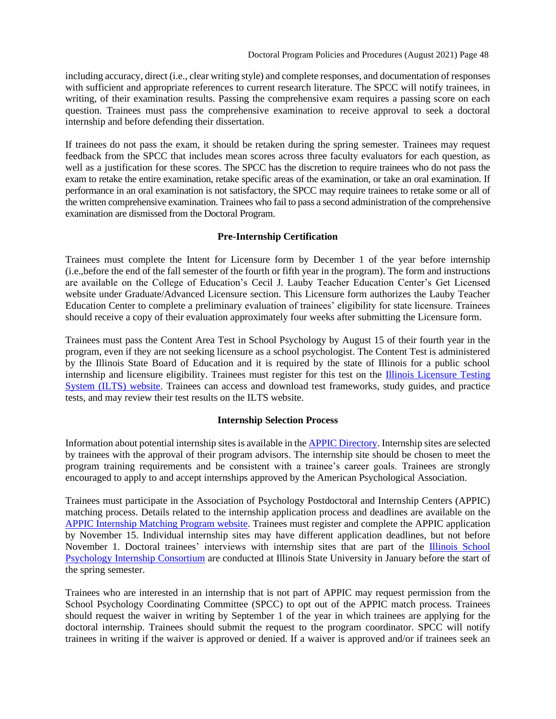including accuracy, direct (i.e., clear writing style) and complete responses, and documentation of responses with sufficient and appropriate references to current research literature. The SPCC will notify trainees, in writing, of their examination results. Passing the comprehensive exam requires a passing score on each question. Trainees must pass the comprehensive examination to receive approval to seek a doctoral internship and before defending their dissertation.

If trainees do not pass the exam, it should be retaken during the spring semester. Trainees may request feedback from the SPCC that includes mean scores across three faculty evaluators for each question, as well as a justification for these scores. The SPCC has the discretion to require trainees who do not pass the exam to retake the entire examination, retake specific areas of the examination, or take an oral examination. If performance in an oral examination is not satisfactory, the SPCC may require trainees to retake some or all of the written comprehensive examination. Trainees who fail to pass a second administration of the comprehensive examination are dismissed from the Doctoral Program.

## <span id="page-47-0"></span>**[Pre-Internship Certification](#page-42-2)**

Trainees must complete the Intent for Licensure form by December 1 of the year before internship (i.e.,before the end of the fall semester of the fourth or fifth year in the program). The form and instructions are available on the College of Education's Cecil J. Lauby Teacher Education Center's Get Licensed website under Graduate/Advanced Licensure section. This Licensure form authorizes the Lauby Teacher Education Center to complete a preliminary evaluation of trainees' eligibility for state licensure. Trainees should receive a copy of their evaluation approximately four weeks after submitting the Licensure form.

Trainees must pass the Content Area Test in School Psychology by August 15 of their fourth year in the program, even if they are not seeking licensure as a school psychologist. The Content Test is administered by the Illinois State Board of Education and it is required by the state of Illinois for a public school internship and licensure eligibility. Trainees must register for this test on the **Illinois Licensure Testing** [System \(ILTS\) website.](http://www.icts.nesinc.com/) Trainees can access and download test frameworks, study guides, and practice tests, and may review their test results on the ILTS website.

# **Internship Selection Process**

Information about potential internship sites is available in the [APPIC Directory.](https://www.appic.org/Directory) Internship sites are selected by trainees with the approval of their program advisors. The internship site should be chosen to meet the program training requirements and be consistent with a trainee's career goals. Trainees are strongly encouraged to apply to and accept internships approved by the American Psychological Association.

Trainees must participate in the Association of Psychology Postdoctoral and Internship Centers (APPIC) matching process. Details related to the internship application process and deadlines are available on the [APPIC Internship Matching Program website.](http://www.natmatch.com/psychint/) Trainees must register and complete the APPIC application by November 15. Individual internship sites may have different application deadlines, but not before November 1. Doctoral trainees' interviews with internship sites that are part of the **Illinois School** [Psychology Internship Consortium](https://psychology.illinoisstate.edu/ispic/) are conducted at Illinois State University in January before the start of the spring semester.

Trainees who are interested in an internship that is not part of APPIC may request permission from the School Psychology Coordinating Committee (SPCC) to opt out of the APPIC match process. Trainees should request the waiver in writing by September 1 of the year in which trainees are applying for the doctoral internship. Trainees should submit the request to the program coordinator. SPCC will notify trainees in writing if the waiver is approved or denied. If a waiver is approved and/or if trainees seek an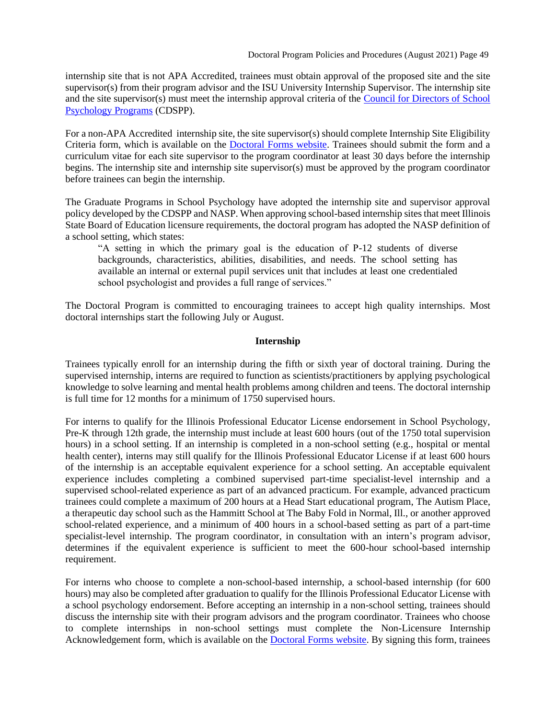internship site that is not APA Accredited, trainees must obtain approval of the proposed site and the site supervisor(s) from their program advisor and the ISU University Internship Supervisor. The internship site and the site supervisor(s) must meet the internship approval criteria of the [Council for Directors of School](https://sites.google.com/site/cdspphome/2012guidelines)  [Psychology Programs](https://sites.google.com/site/cdspphome/2012guidelines) (CDSPP).

For a non-APA Accredited internship site, the site supervisor(s) should complete Internship Site Eligibility Criteria form, which is available on the [Doctoral Forms website.](https://psychology.illinoisstate.edu/graduate/school-psychology/doctorate-in-school-psychology/forms-and-agreements/) Trainees should submit the form and a curriculum vitae for each site supervisor to the program coordinator at least 30 days before the internship begins. The internship site and internship site supervisor(s) must be approved by the program coordinator before trainees can begin the internship.

The Graduate Programs in School Psychology have adopted the internship site and supervisor approval policy developed by the CDSPP and NASP. When approving school-based internship sites that meet Illinois State Board of Education licensure requirements, the doctoral program has adopted the NASP definition of a school setting, which states:

"A setting in which the primary goal is the education of P-12 students of diverse backgrounds, characteristics, abilities, disabilities, and needs. The school setting has available an internal or external pupil services unit that includes at least one credentialed school psychologist and provides a full range of services."

The Doctoral Program is committed to encouraging trainees to accept high quality internships. Most doctoral internships start the following July or August.

#### **Internship**

Trainees typically enroll for an internship during the fifth or sixth year of doctoral training. During the supervised internship, interns are required to function as scientists/practitioners by applying psychological knowledge to solve learning and mental health problems among children and teens. The doctoral internship is full time for 12 months for a minimum of 1750 supervised hours.

For interns to qualify for the Illinois Professional Educator License endorsement in School Psychology, Pre-K through 12th grade, the internship must include at least 600 hours (out of the 1750 total supervision hours) in a school setting. If an internship is completed in a non-school setting (e.g., hospital or mental health center), interns may still qualify for the Illinois Professional Educator License if at least 600 hours of the internship is an acceptable equivalent experience for a school setting. An acceptable equivalent experience includes completing a combined supervised part-time specialist-level internship and a supervised school-related experience as part of an advanced practicum. For example, advanced practicum trainees could complete a maximum of 200 hours at a Head Start educational program, The Autism Place, a therapeutic day school such as the Hammitt School at The Baby Fold in Normal, Ill., or another approved school-related experience, and a minimum of 400 hours in a school-based setting as part of a part-time specialist-level internship. The program coordinator, in consultation with an intern's program advisor, determines if the equivalent experience is sufficient to meet the 600-hour school-based internship requirement.

For interns who choose to complete a non-school-based internship, a school-based internship (for 600 hours) may also be completed after graduation to qualify for the Illinois Professional Educator License with a school psychology endorsement. Before accepting an internship in a non-school setting, trainees should discuss the internship site with their program advisors and the program coordinator. Trainees who choose to complete internships in non-school settings must complete the Non-Licensure Internship Acknowledgement form, which is available on the **Doctoral Forms website**. By signing this form, trainees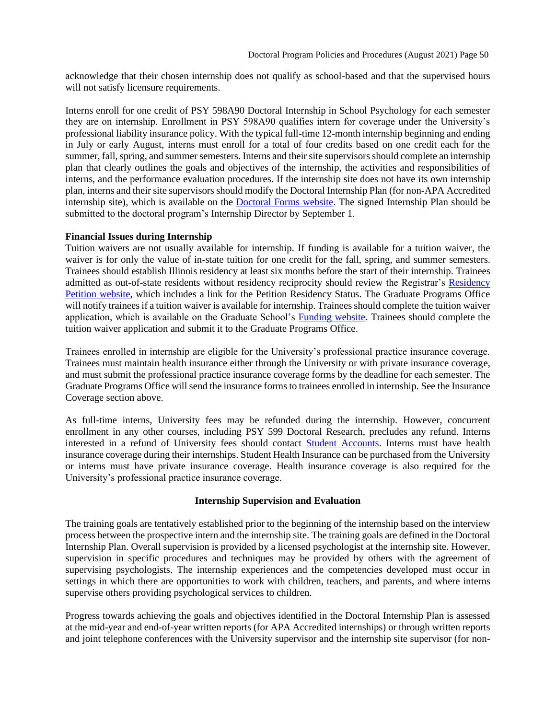acknowledge that their chosen internship does not qualify as school-based and that the supervised hours will not satisfy licensure requirements.

Interns enroll for one credit of PSY 598A90 Doctoral Internship in School Psychology for each semester they are on internship. Enrollment in PSY 598A90 qualifies intern for coverage under the University's professional liability insurance policy. With the typical full-time 12-month internship beginning and ending in July or early August, interns must enroll for a total of four credits based on one credit each for the summer, fall, spring, and summer semesters. Interns and their site supervisors should complete an internship plan that clearly outlines the goals and objectives of the internship, the activities and responsibilities of interns, and the performance evaluation procedures. If the internship site does not have its own internship plan, interns and their site supervisors should modify the Doctoral Internship Plan (for non-APA Accredited internship site), which is available on the [Doctoral Forms website.](https://psychology.illinoisstate.edu/graduate/school-psychology/doctorate-in-school-psychology/forms-and-agreements/) The signed Internship Plan should be submitted to the doctoral program's Internship Director by September 1.

#### **Financial Issues during Internship**

Tuition waivers are not usually available for internship. If funding is available for a tuition waiver, the waiver is for only the value of in-state tuition for one credit for the fall, spring, and summer semesters. Trainees should establish Illinois residency at least six months before the start of their internship. Trainees admitted as out-of-state residents without residency reciprocity should review the Registrar's [Residency](https://registrar.illinoisstate.edu/personal-information/residency-petition/)  [Petition website,](https://registrar.illinoisstate.edu/personal-information/residency-petition/) which includes a link for the Petition Residency Status. The Graduate Programs Office will notify trainees if a tuition waiver is available for internship. Trainees should complete the tuition waiver application, which is available on the Graduate School's [Funding website.](https://grad.illinoisstate.edu/funding/aid/) Trainees should complete the tuition waiver application and submit it to the Graduate Programs Office.

Trainees enrolled in internship are eligible for the University's professional practice insurance coverage. Trainees must maintain health insurance either through the University or with private insurance coverage, and must submit the professional practice insurance coverage forms by the deadline for each semester. The Graduate Programs Office will send the insurance forms to trainees enrolled in internship. See the Insurance Coverage section above.

As full-time interns, University fees may be refunded during the internship. However, concurrent enrollment in any other courses, including PSY 599 Doctoral Research, precludes any refund. Interns interested in a refund of University fees should contact [Student Accounts.](https://studentaccounts.illinoisstate.edu/faq/index.php) Interns must have health insurance coverage during their internships. Student Health Insurance can be purchased from the University or interns must have private insurance coverage. Health insurance coverage is also required for the University's professional practice insurance coverage.

#### **Internship Supervision and Evaluation**

<span id="page-49-0"></span>The training goals are tentatively established prior to the beginning of the internship based on the interview process between the prospective intern and the internship site. The training goals are defined in the Doctoral Internship Plan. Overall supervision is provided by a licensed psychologist at the internship site. However, supervision in specific procedures and techniques may be provided by others with the agreement of supervising psychologists. The internship experiences and the competencies developed must occur in settings in which there are opportunities to work with children, teachers, and parents, and where interns supervise others providing psychological services to children.

Progress towards achieving the goals and objectives identified in the Doctoral Internship Plan is assessed at the mid-year and end-of-year written reports (for APA Accredited internships) or through written reports and joint telephone conferences with the University supervisor and the internship site supervisor (for non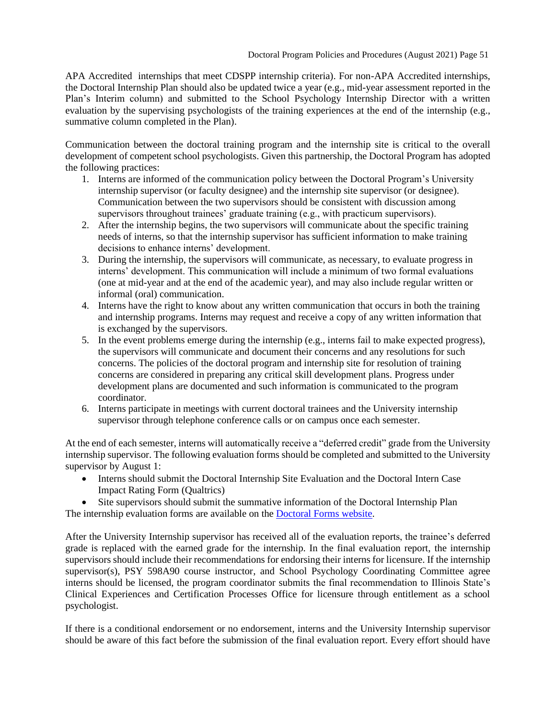APA Accredited internships that meet CDSPP internship criteria). For non-APA Accredited internships, the Doctoral Internship Plan should also be updated twice a year (e.g., mid-year assessment reported in the Plan's Interim column) and submitted to the School Psychology Internship Director with a written evaluation by the supervising psychologists of the training experiences at the end of the internship (e.g., summative column completed in the Plan).

Communication between the doctoral training program and the internship site is critical to the overall development of competent school psychologists. Given this partnership, the Doctoral Program has adopted the following practices:

- 1. Interns are informed of the communication policy between the Doctoral Program's University internship supervisor (or faculty designee) and the internship site supervisor (or designee). Communication between the two supervisors should be consistent with discussion among supervisors throughout trainees' graduate training (e.g., with practicum supervisors).
- 2. After the internship begins, the two supervisors will communicate about the specific training needs of interns, so that the internship supervisor has sufficient information to make training decisions to enhance interns' development.
- 3. During the internship, the supervisors will communicate, as necessary, to evaluate progress in interns' development. This communication will include a minimum of two formal evaluations (one at mid-year and at the end of the academic year), and may also include regular written or informal (oral) communication.
- 4. Interns have the right to know about any written communication that occurs in both the training and internship programs. Interns may request and receive a copy of any written information that is exchanged by the supervisors.
- 5. In the event problems emerge during the internship (e.g., interns fail to make expected progress), the supervisors will communicate and document their concerns and any resolutions for such concerns. The policies of the doctoral program and internship site for resolution of training concerns are considered in preparing any critical skill development plans. Progress under development plans are documented and such information is communicated to the program coordinator.
- 6. Interns participate in meetings with current doctoral trainees and the University internship supervisor through telephone conference calls or on campus once each semester.

At the end of each semester, interns will automatically receive a "deferred credit" grade from the University internship supervisor. The following evaluation forms should be completed and submitted to the University supervisor by August 1:

- Interns should submit the Doctoral Internship Site Evaluation and the Doctoral Intern Case Impact Rating Form (Qualtrics)
- Site supervisors should submit the summative information of the Doctoral Internship Plan The internship evaluation forms are available on the [Doctoral Forms website.](https://psychology.illinoisstate.edu/graduate/school-psychology/doctorate-in-school-psychology/forms-and-agreements/)

After the University Internship supervisor has received all of the evaluation reports, the trainee's deferred grade is replaced with the earned grade for the internship. In the final evaluation report, the internship supervisors should include their recommendations for endorsing their interns for licensure. If the internship supervisor(s), PSY 598A90 course instructor, and School Psychology Coordinating Committee agree interns should be licensed, the program coordinator submits the final recommendation to Illinois State's Clinical Experiences and Certification Processes Office for licensure through entitlement as a school psychologist.

If there is a conditional endorsement or no endorsement, interns and the University Internship supervisor should be aware of this fact before the submission of the final evaluation report. Every effort should have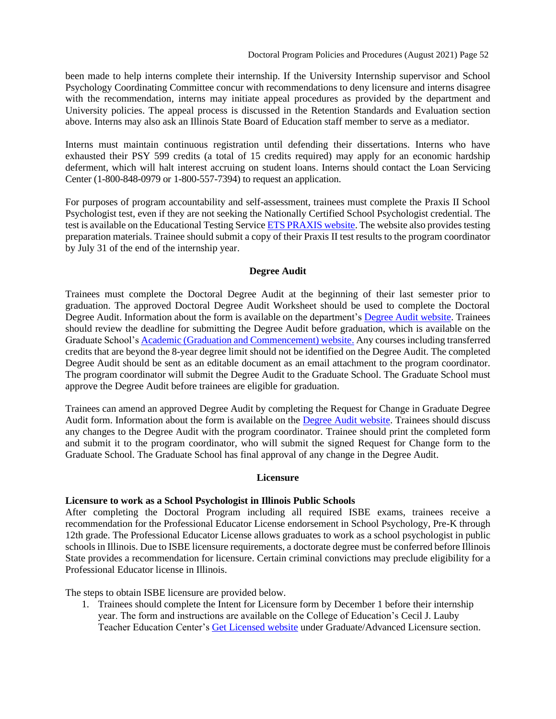been made to help interns complete their internship. If the University Internship supervisor and School Psychology Coordinating Committee concur with recommendations to deny licensure and interns disagree with the recommendation, interns may initiate appeal procedures as provided by the department and University policies. The appeal process is discussed in the Retention Standards and Evaluation section above. Interns may also ask an Illinois State Board of Education staff member to serve as a mediator.

Interns must maintain continuous registration until defending their dissertations. Interns who have exhausted their PSY 599 credits (a total of 15 credits required) may apply for an economic hardship deferment, which will halt interest accruing on student loans. Interns should contact the Loan Servicing Center (1-800-848-0979 or 1-800-557-7394) to request an application.

For purposes of program accountability and self-assessment, trainees must complete the Praxis II School Psychologist test, even if they are not seeking the Nationally Certified School Psychologist credential. The test is available on the Educational Testing Service [ETS PRAXIS](http://www.ets.org/praxis/nasp) website. The website also provides testing preparation materials. Trainee should submit a copy of their Praxis II test results to the program coordinator by July 31 of the end of the internship year.

#### <span id="page-51-0"></span>**Degree Audit**

Trainees must complete the Doctoral Degree Audit at the beginning of their last semester prior to graduation. The approved Doctoral Degree Audit Worksheet should be used to complete the Doctoral Degree Audit. Information about the form is available on the department's [Degree Audit website.](https://psychology.illinoisstate.edu/graduate/gradAdvisingResources/degreeAudit/) Trainees should review the deadline for submitting the Degree Audit before graduation, which is available on the Graduate School'[s Academic \(Graduation and Commencement\) website.](https://grad.illinoisstate.edu/students/graduation/) Any courses including transferred credits that are beyond the 8-year degree limit should not be identified on the Degree Audit. The completed Degree Audit should be sent as an editable document as an email attachment to the program coordinator. The program coordinator will submit the Degree Audit to the Graduate School. The Graduate School must approve the Degree Audit before trainees are eligible for graduation.

Trainees can amend an approved Degree Audit by completing the Request for Change in Graduate Degree Audit form. Information about the form is available on the [Degree Audit website.](https://psychology.illinoisstate.edu/graduate/gradAdvisingResources/degreeAudit/) Trainees should discuss any changes to the Degree Audit with the program coordinator. Trainee should print the completed form and submit it to the program coordinator, who will submit the signed Request for Change form to the Graduate School. The Graduate School has final approval of any change in the Degree Audit.

#### <span id="page-51-2"></span><span id="page-51-1"></span>**[Licensure](#page-51-2)**

#### **Licensure to work as a School Psychologist in Illinois Public Schools**

After completing the Doctoral Program including all required ISBE exams, trainees receive a recommendation for the Professional Educator License endorsement in School Psychology, Pre-K through 12th grade. The Professional Educator License allows graduates to work as a school psychologist in public schools in Illinois. Due to ISBE licensure requirements, a doctorate degree must be conferred before Illinois State provides a recommendation for licensure. Certain criminal convictions may preclude eligibility for a Professional Educator license in Illinois.

The steps to obtain ISBE licensure are provided below.

1. Trainees should complete the Intent for Licensure form by December 1 before their internship year. The form and instructions are available on the College of Education's Cecil J. Lauby Teacher Education Center's [Get Licensed website](https://education.illinoisstate.edu/teacher/licensures/) under Graduate/Advanced Licensure section.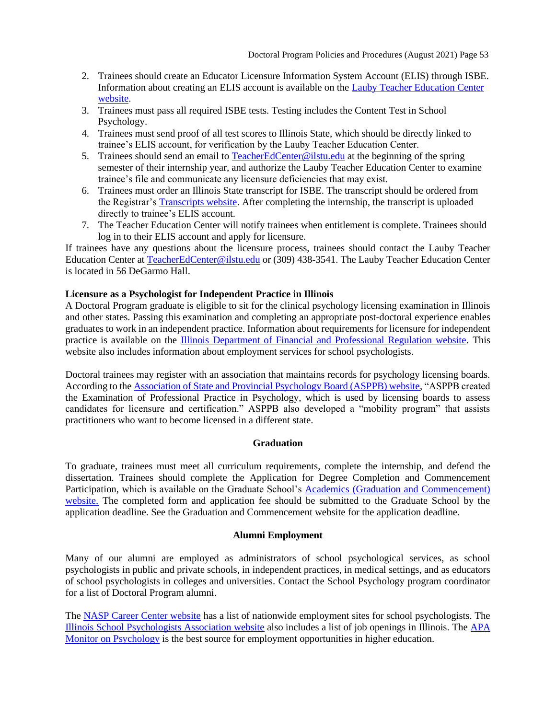- 2. Trainees should create an Educator Licensure Information System Account (ELIS) through ISBE. Information about creating an ELIS account is available on the [Lauby Teacher Education Center](https://education.illinoisstate.edu/teacher/gateways/elis.php)  [website.](https://education.illinoisstate.edu/teacher/gateways/elis.php)
- 3. Trainees must pass all required ISBE tests. Testing includes the Content Test in School Psychology.
- 4. Trainees must send proof of all test scores to Illinois State, which should be directly linked to trainee's ELIS account, for verification by the Lauby Teacher Education Center.
- 5. Trainees should send an email to [TeacherEdCenter@ilstu.edu](mailto:TeacherEdCenter@ilstu.edu) at the beginning of the spring semester of their internship year, and authorize the Lauby Teacher Education Center to examine trainee's file and communicate any licensure deficiencies that may exist.
- 6. Trainees must order an Illinois State transcript for ISBE. The transcript should be ordered from the Registrar's [Transcripts website.](http://registrar.illinoisstate.edu/transcripts/) After completing the internship, the transcript is uploaded directly to trainee's ELIS account.
- 7. The Teacher Education Center will notify trainees when entitlement is complete. Trainees should log in to their ELIS account and apply for licensure.

If trainees have any questions about the licensure process, trainees should contact the Lauby Teacher Education Center at [TeacherEdCenter@ilstu.edu](mailto:TeacherEdCenter@ilstu.edu) or (309) 438-3541. The Lauby Teacher Education Center is located in 56 DeGarmo Hall.

## **Licensure as a Psychologist for Independent Practice in Illinois**

A Doctoral Program graduate is eligible to sit for the clinical psychology licensing examination in Illinois and other states. Passing this examination and completing an appropriate post-doctoral experience enables graduates to work in an independent practice. Information about requirements for licensure for independent practice is available on the [Illinois Department of Financial and Professional Regulation website.](https://www.idfpr.com/licenselookup/licenselookup.asp) This website also includes information about employment services for school psychologists.

Doctoral trainees may register with an association that maintains records for psychology licensing boards. According to th[e Association of State and Provincial Psychology Board \(ASPPB\) website,](http://www.asppb.org/) "ASPPB created the Examination of Professional Practice in Psychology, which is used by licensing boards to assess candidates for licensure and certification." ASPPB also developed a "mobility program" that assists practitioners who want to become licensed in a different state.

## <span id="page-52-0"></span>**[Graduation](#page-52-2)**

<span id="page-52-2"></span>To graduate, trainees must meet all curriculum requirements, complete the internship, and defend the dissertation. Trainees should complete the Application for Degree Completion and Commencement Participation, which is available on the Graduate School's [Academics \(Graduation and Commencement\)](https://grad.illinoisstate.edu/students/graduation/)  [website.](https://grad.illinoisstate.edu/students/graduation/) The completed form and application fee should be submitted to the Graduate School by the application deadline. See the Graduation and Commencement website for the application deadline.

## **Alumni Employment**

<span id="page-52-1"></span>Many of our alumni are employed as administrators of school psychological services, as school psychologists in public and private schools, in independent practices, in medical settings, and as educators of school psychologists in colleges and universities. Contact the School Psychology program coordinator for a list of Doctoral Program alumni.

The [NASP Career Center website](https://nasponline-jobs.careerwebsite.com/) has a list of nationwide employment sites for school psychologists. The [Illinois School Psychologists Association website](http://www.ilispa.org/) also includes a list of job openings in Illinois. The [APA](https://www.apa.org/monitor)  [Monitor on Psychology](https://www.apa.org/monitor) is the best source for employment opportunities in higher education.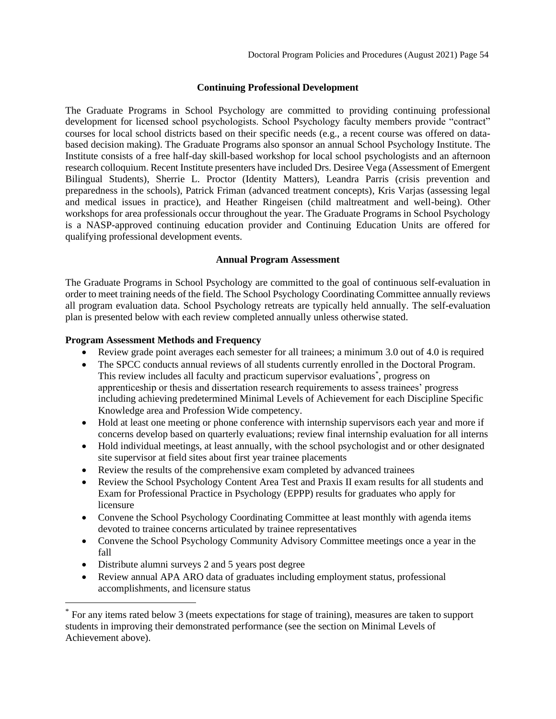## <span id="page-53-0"></span>**[Continuing Professional Development](#page-53-0)**

The Graduate Programs in School Psychology are committed to providing continuing professional development for licensed school psychologists. School Psychology faculty members provide "contract" courses for local school districts based on their specific needs (e.g., a recent course was offered on databased decision making). The Graduate Programs also sponsor an annual School Psychology Institute. The Institute consists of a free half-day skill-based workshop for local school psychologists and an afternoon research colloquium. Recent Institute presenters have included Drs. Desiree Vega (Assessment of Emergent Bilingual Students), Sherrie L. Proctor (Identity Matters), Leandra Parris (crisis prevention and preparedness in the schools), Patrick Friman (advanced treatment concepts), Kris Varjas (assessing legal and medical issues in practice), and Heather Ringeisen (child maltreatment and well-being). Other workshops for area professionals occur throughout the year. The Graduate Programs in School Psychology is a NASP-approved continuing education provider and Continuing Education Units are offered for qualifying professional development events.

## <span id="page-53-1"></span>**[Annual Program Assessment](#page-53-2)**

<span id="page-53-2"></span>The Graduate Programs in School Psychology are committed to the goal of continuous self-evaluation in order to meet training needs of the field. The School Psychology Coordinating Committee annually reviews all program evaluation data. School Psychology retreats are typically held annually. The self-evaluation plan is presented below with each review completed annually unless otherwise stated.

#### **Program Assessment Methods and Frequency**

- Review grade point averages each semester for all trainees; a minimum 3.0 out of 4.0 is required
- The SPCC conducts annual reviews of all students currently enrolled in the Doctoral Program. This review includes all faculty and practicum supervisor evaluations\* , progress on apprenticeship or thesis and dissertation research requirements to assess trainees' progress including achieving predetermined Minimal Levels of Achievement for each Discipline Specific Knowledge area and Profession Wide competency.
- Hold at least one meeting or phone conference with internship supervisors each year and more if concerns develop based on quarterly evaluations; review final internship evaluation for all interns
- Hold individual meetings, at least annually, with the school psychologist and or other designated site supervisor at field sites about first year trainee placements
- Review the results of the comprehensive exam completed by advanced trainees
- Review the School Psychology Content Area Test and Praxis II exam results for all students and Exam for Professional Practice in Psychology (EPPP) results for graduates who apply for licensure
- Convene the School Psychology Coordinating Committee at least monthly with agenda items devoted to trainee concerns articulated by trainee representatives
- Convene the School Psychology Community Advisory Committee meetings once a year in the fall
- Distribute alumni surveys 2 and 5 years post degree
- Review annual APA ARO data of graduates including employment status, professional accomplishments, and licensure status

<sup>\*</sup> For any items rated below 3 (meets expectations for stage of training), measures are taken to support students in improving their demonstrated performance (see the section on Minimal Levels of Achievement above).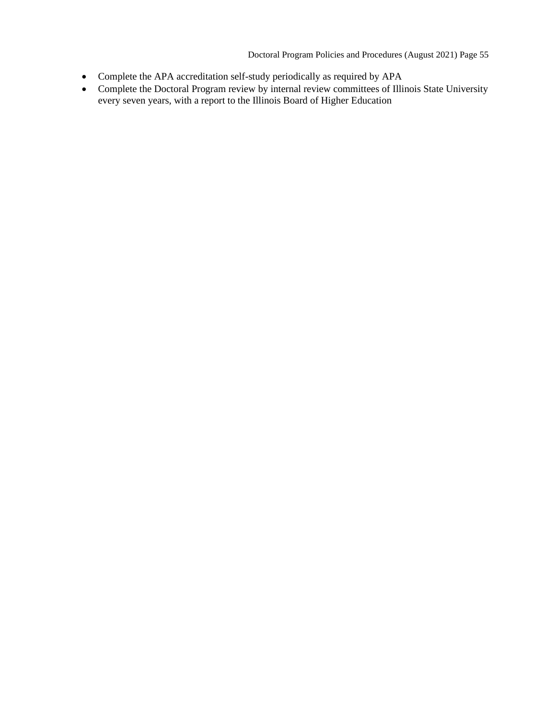Doctoral Program Policies and Procedures (August 2021) Page 55

- Complete the APA accreditation self-study periodically as required by APA
- Complete the Doctoral Program review by internal review committees of Illinois State University every seven years, with a report to the Illinois Board of Higher Education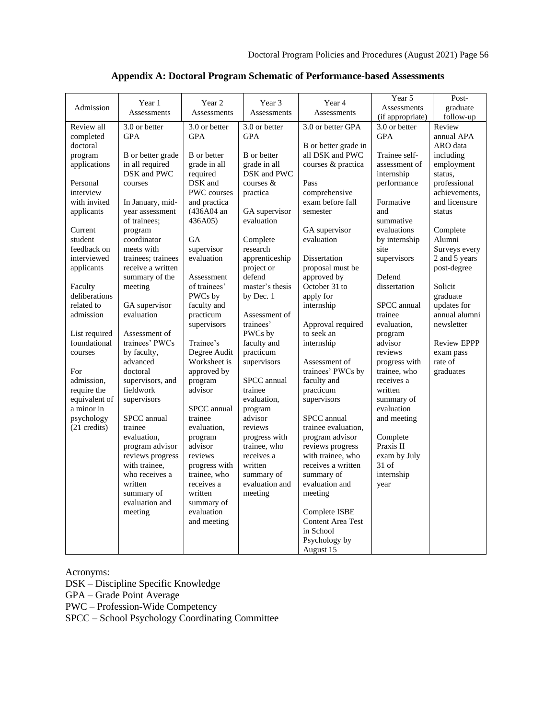<span id="page-55-0"></span>

| Admission     | Year 1                          | Year 2                 | Year 3                      | Year 4                                    | Year 5<br>Assessments         | Post-<br>graduate  |
|---------------|---------------------------------|------------------------|-----------------------------|-------------------------------------------|-------------------------------|--------------------|
|               | Assessments                     | <b>Assessments</b>     | Assessments                 | Assessments                               | (if appropriate)              | follow-up          |
| Review all    | 3.0 or better                   | 3.0 or better          | 3.0 or better               | 3.0 or better GPA                         | 3.0 or better                 | Review             |
| completed     | <b>GPA</b>                      | <b>GPA</b>             | <b>GPA</b>                  |                                           | <b>GPA</b>                    | annual APA         |
| doctoral      |                                 |                        |                             | B or better grade in                      |                               | ARO data           |
| program       | B or better grade               | <b>B</b> or better     | <b>B</b> or better          | all DSK and PWC                           | Trainee self-                 | including          |
| applications  | in all required                 | grade in all           | grade in all                | courses & practica                        | assessment of                 | employment         |
|               | DSK and PWC                     | required               | DSK and PWC                 |                                           | internship                    | status.            |
| Personal      | courses                         | DSK and                | courses &                   | Pass                                      | performance                   | professional       |
| interview     |                                 | <b>PWC</b> courses     | practica                    | comprehensive                             |                               | achievements,      |
| with invited  | In January, mid-                | and practica           |                             | exam before fall                          | Formative                     | and licensure      |
| applicants    | vear assessment<br>of trainees: | (436A04 an<br>436A05)  | GA supervisor<br>evaluation | semester                                  | and<br>summative              | status             |
| Current       | program                         |                        |                             | GA supervisor                             | evaluations                   | Complete           |
| student       | coordinator                     | <b>GA</b>              | Complete                    | evaluation                                | by internship                 | Alumni             |
| feedback on   | meets with                      | supervisor             | research                    |                                           | site                          | Surveys every      |
| interviewed   | trainees; trainees              | evaluation             | apprenticeship              | Dissertation                              | supervisors                   | 2 and 5 years      |
| applicants    | receive a written               |                        | project or                  | proposal must be                          |                               | post-degree        |
|               | summary of the                  | Assessment             | defend                      | approved by                               | Defend                        |                    |
| Faculty       | meeting                         | of trainees'           | master's thesis             | October 31 to                             | dissertation                  | Solicit            |
| deliberations |                                 | PWCs by                | by Dec. 1                   | apply for                                 |                               | graduate           |
| related to    | GA supervisor                   | faculty and            |                             | internship                                | SPCC annual                   | updates for        |
| admission     | evaluation                      | practicum              | Assessment of               |                                           | trainee                       | annual alumni      |
|               |                                 | supervisors            | trainees'                   | Approval required                         | evaluation,                   | newsletter         |
| List required | Assessment of                   |                        | PWCs by                     | to seek an                                | program                       |                    |
| foundational  | trainees' PWCs                  | Trainee's              | faculty and                 | internship                                | advisor                       | <b>Review EPPP</b> |
| courses       | by faculty,                     | Degree Audit           | practicum                   |                                           | reviews                       | exam pass          |
| For           | advanced<br>doctoral            | Worksheet is           | supervisors                 | Assessment of<br>trainees' PWCs by        | progress with<br>trainee, who | rate of            |
| admission,    | supervisors, and                | approved by<br>program | SPCC annual                 | faculty and                               | receives a                    | graduates          |
| require the   | fieldwork                       | advisor                | trainee                     | practicum                                 | written                       |                    |
| equivalent of | supervisors                     |                        | evaluation,                 | supervisors                               | summary of                    |                    |
| a minor in    |                                 | SPCC annual            | program                     |                                           | evaluation                    |                    |
| psychology    | SPCC annual                     | trainee                | advisor                     | SPCC annual                               | and meeting                   |                    |
| (21 credits)  | trainee                         | evaluation,            | reviews                     | trainee evaluation,                       |                               |                    |
|               | evaluation,                     | program                | progress with               | program advisor                           | Complete                      |                    |
|               | program advisor                 | advisor                | trainee, who                | reviews progress                          | Praxis II                     |                    |
|               | reviews progress                | reviews                | receives a                  | with trainee, who                         | exam by July                  |                    |
|               | with trainee,                   | progress with          | written                     | receives a written                        | $31$ of                       |                    |
|               | who receives a                  | trainee, who           | summary of                  | summary of                                | internship                    |                    |
|               | written                         | receives a             | evaluation and              | evaluation and                            | year                          |                    |
|               | summary of                      | written                | meeting                     | meeting                                   |                               |                    |
|               | evaluation and                  | summary of             |                             |                                           |                               |                    |
|               | meeting                         | evaluation             |                             | Complete ISBE<br><b>Content Area Test</b> |                               |                    |
|               |                                 | and meeting            |                             | in School                                 |                               |                    |
|               |                                 |                        |                             | Psychology by                             |                               |                    |
|               |                                 |                        |                             | August 15                                 |                               |                    |

# **Appendix A: Doctoral Program Schematic of Performance-based Assessments**

Acronyms:

DSK – Discipline Specific Knowledge

GPA – Grade Point Average

PWC – Profession-Wide Competency

SPCC – School Psychology Coordinating Committee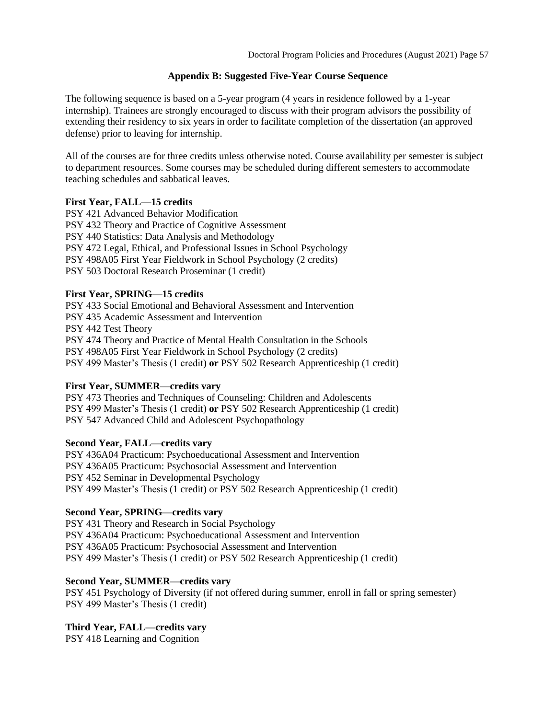## **Appendix B: Suggested Five-Year Course Sequence**

<span id="page-56-0"></span>The following sequence is based on a 5-year program (4 years in residence followed by a 1-year internship). Trainees are strongly encouraged to discuss with their program advisors the possibility of extending their residency to six years in order to facilitate completion of the dissertation (an approved defense) prior to leaving for internship.

All of the courses are for three credits unless otherwise noted. Course availability per semester is subject to department resources. Some courses may be scheduled during different semesters to accommodate teaching schedules and sabbatical leaves.

## **First Year, FALL—15 credits**

PSY 421 Advanced Behavior Modification PSY 432 Theory and Practice of Cognitive Assessment PSY 440 Statistics: Data Analysis and Methodology PSY 472 Legal, Ethical, and Professional Issues in School Psychology PSY 498A05 First Year Fieldwork in School Psychology (2 credits) PSY 503 Doctoral Research Proseminar (1 credit)

# **First Year, SPRING—15 credits**

PSY 433 Social Emotional and Behavioral Assessment and Intervention PSY 435 Academic Assessment and Intervention PSY 442 Test Theory PSY 474 Theory and Practice of Mental Health Consultation in the Schools PSY 498A05 First Year Fieldwork in School Psychology (2 credits) PSY 499 Master's Thesis (1 credit) **or** PSY 502 Research Apprenticeship (1 credit)

## **First Year, SUMMER—credits vary**

PSY 473 Theories and Techniques of Counseling: Children and Adolescents PSY 499 Master's Thesis (1 credit) **or** PSY 502 Research Apprenticeship (1 credit) PSY 547 Advanced Child and Adolescent Psychopathology

## **Second Year, FALL—credits vary**

PSY 436A04 Practicum: Psychoeducational Assessment and Intervention PSY 436A05 Practicum: Psychosocial Assessment and Intervention PSY 452 Seminar in Developmental Psychology PSY 499 Master's Thesis (1 credit) or PSY 502 Research Apprenticeship (1 credit)

# **Second Year, SPRING—credits vary**

PSY 431 Theory and Research in Social Psychology PSY 436A04 Practicum: Psychoeducational Assessment and Intervention PSY 436A05 Practicum: Psychosocial Assessment and Intervention PSY 499 Master's Thesis (1 credit) or PSY 502 Research Apprenticeship (1 credit)

# **Second Year, SUMMER—credits vary**

PSY 451 Psychology of Diversity (if not offered during summer, enroll in fall or spring semester) PSY 499 Master's Thesis (1 credit)

# **Third Year, FALL—credits vary**

PSY 418 Learning and Cognition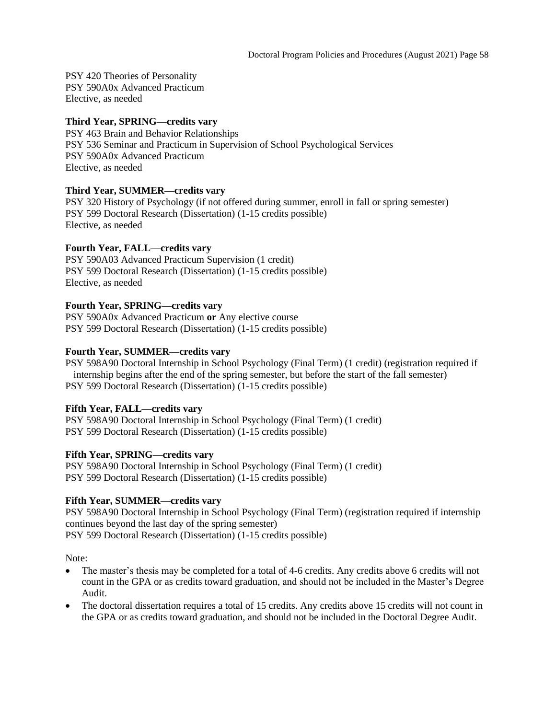PSY 420 Theories of Personality PSY 590A0x Advanced Practicum Elective, as needed

#### **Third Year, SPRING—credits vary**

PSY 463 Brain and Behavior Relationships PSY 536 Seminar and Practicum in Supervision of School Psychological Services PSY 590A0x Advanced Practicum Elective, as needed

## **Third Year, SUMMER—credits vary**

PSY 320 History of Psychology (if not offered during summer, enroll in fall or spring semester) PSY 599 Doctoral Research (Dissertation) (1-15 credits possible) Elective, as needed

#### **Fourth Year, FALL—credits vary**

PSY 590A03 Advanced Practicum Supervision (1 credit) PSY 599 Doctoral Research (Dissertation) (1-15 credits possible) Elective, as needed

#### **Fourth Year, SPRING—credits vary**

PSY 590A0x Advanced Practicum **or** Any elective course PSY 599 Doctoral Research (Dissertation) (1-15 credits possible)

#### **Fourth Year, SUMMER—credits vary**

PSY 598A90 Doctoral Internship in School Psychology (Final Term) (1 credit) (registration required if internship begins after the end of the spring semester, but before the start of the fall semester) PSY 599 Doctoral Research (Dissertation) (1-15 credits possible)

#### **Fifth Year, FALL—credits vary**

PSY 598A90 Doctoral Internship in School Psychology (Final Term) (1 credit) PSY 599 Doctoral Research (Dissertation) (1-15 credits possible)

#### **Fifth Year, SPRING—credits vary**

PSY 598A90 Doctoral Internship in School Psychology (Final Term) (1 credit) PSY 599 Doctoral Research (Dissertation) (1-15 credits possible)

#### **Fifth Year, SUMMER—credits vary**

PSY 598A90 Doctoral Internship in School Psychology (Final Term) (registration required if internship continues beyond the last day of the spring semester) PSY 599 Doctoral Research (Dissertation) (1-15 credits possible)

Note:

- The master's thesis may be completed for a total of 4-6 credits. Any credits above 6 credits will not count in the GPA or as credits toward graduation, and should not be included in the Master's Degree Audit.
- The doctoral dissertation requires a total of 15 credits. Any credits above 15 credits will not count in the GPA or as credits toward graduation, and should not be included in the Doctoral Degree Audit.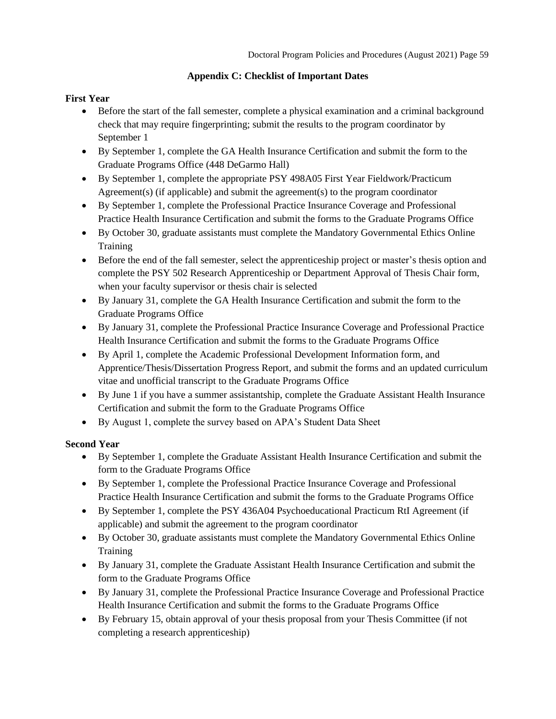## **Appendix C: Checklist of Important Dates**

## <span id="page-58-0"></span>**First Year**

- Before the start of the fall semester, complete a physical examination and a criminal background check that may require fingerprinting; submit the results to the program coordinator by September 1
- By September 1, complete the GA Health Insurance Certification and submit the form to the Graduate Programs Office (448 DeGarmo Hall)
- By September 1, complete the appropriate PSY 498A05 First Year Fieldwork/Practicum Agreement(s) (if applicable) and submit the agreement(s) to the program coordinator
- By September 1, complete the Professional Practice Insurance Coverage and Professional Practice Health Insurance Certification and submit the forms to the Graduate Programs Office
- By October 30, graduate assistants must complete the Mandatory Governmental Ethics Online Training
- Before the end of the fall semester, select the apprenticeship project or master's thesis option and complete the PSY 502 Research Apprenticeship or Department Approval of Thesis Chair form, when your faculty supervisor or thesis chair is selected
- By January 31, complete the GA Health Insurance Certification and submit the form to the Graduate Programs Office
- By January 31, complete the Professional Practice Insurance Coverage and Professional Practice Health Insurance Certification and submit the forms to the Graduate Programs Office
- By April 1, complete the Academic Professional Development Information form, and Apprentice/Thesis/Dissertation Progress Report, and submit the forms and an updated curriculum vitae and unofficial transcript to the Graduate Programs Office
- By June 1 if you have a summer assistantship, complete the Graduate Assistant Health Insurance Certification and submit the form to the Graduate Programs Office
- By August 1, complete the survey based on APA's Student Data Sheet

# **Second Year**

- By September 1, complete the Graduate Assistant Health Insurance Certification and submit the form to the Graduate Programs Office
- By September 1, complete the Professional Practice Insurance Coverage and Professional Practice Health Insurance Certification and submit the forms to the Graduate Programs Office
- By September 1, complete the PSY 436A04 Psychoeducational Practicum RtI Agreement (if applicable) and submit the agreement to the program coordinator
- By October 30, graduate assistants must complete the Mandatory Governmental Ethics Online Training
- By January 31, complete the Graduate Assistant Health Insurance Certification and submit the form to the Graduate Programs Office
- By January 31, complete the Professional Practice Insurance Coverage and Professional Practice Health Insurance Certification and submit the forms to the Graduate Programs Office
- By February 15, obtain approval of your thesis proposal from your Thesis Committee (if not completing a research apprenticeship)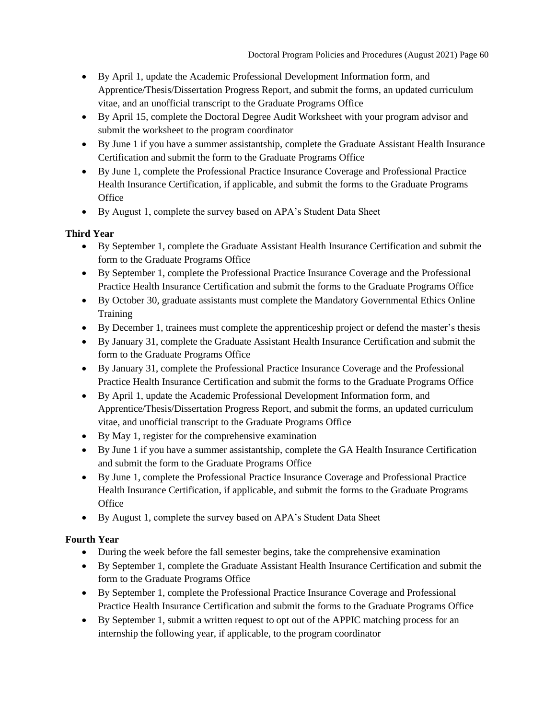- By April 1, update the Academic Professional Development Information form, and Apprentice/Thesis/Dissertation Progress Report, and submit the forms, an updated curriculum vitae, and an unofficial transcript to the Graduate Programs Office
- By April 15, complete the Doctoral Degree Audit Worksheet with your program advisor and submit the worksheet to the program coordinator
- By June 1 if you have a summer assistantship, complete the Graduate Assistant Health Insurance Certification and submit the form to the Graduate Programs Office
- By June 1, complete the Professional Practice Insurance Coverage and Professional Practice Health Insurance Certification, if applicable, and submit the forms to the Graduate Programs **Office**
- By August 1, complete the survey based on APA's Student Data Sheet

# **Third Year**

- By September 1, complete the Graduate Assistant Health Insurance Certification and submit the form to the Graduate Programs Office
- By September 1, complete the Professional Practice Insurance Coverage and the Professional Practice Health Insurance Certification and submit the forms to the Graduate Programs Office
- By October 30, graduate assistants must complete the Mandatory Governmental Ethics Online **Training**
- By December 1, trainees must complete the apprentices hip project or defend the master's thesis
- By January 31, complete the Graduate Assistant Health Insurance Certification and submit the form to the Graduate Programs Office
- By January 31, complete the Professional Practice Insurance Coverage and the Professional Practice Health Insurance Certification and submit the forms to the Graduate Programs Office
- By April 1, update the Academic Professional Development Information form, and Apprentice/Thesis/Dissertation Progress Report, and submit the forms, an updated curriculum vitae, and unofficial transcript to the Graduate Programs Office
- By May 1, register for the comprehensive examination
- By June 1 if you have a summer assistantship, complete the GA Health Insurance Certification and submit the form to the Graduate Programs Office
- By June 1, complete the Professional Practice Insurance Coverage and Professional Practice Health Insurance Certification, if applicable, and submit the forms to the Graduate Programs **Office**
- By August 1, complete the survey based on APA's Student Data Sheet

# **Fourth Year**

- During the week before the fall semester begins, take the comprehensive examination
- By September 1, complete the Graduate Assistant Health Insurance Certification and submit the form to the Graduate Programs Office
- By September 1, complete the Professional Practice Insurance Coverage and Professional Practice Health Insurance Certification and submit the forms to the Graduate Programs Office
- By September 1, submit a written request to opt out of the APPIC matching process for an internship the following year, if applicable, to the program coordinator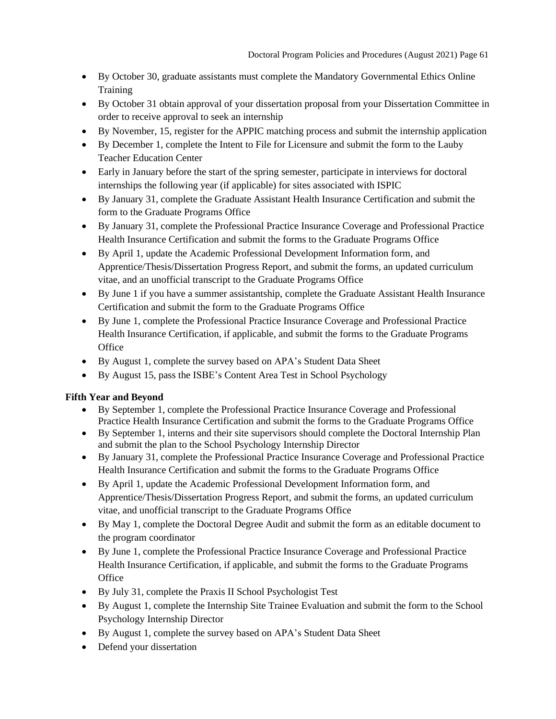- By October 30, graduate assistants must complete the Mandatory Governmental Ethics Online **Training**
- By October 31 obtain approval of your dissertation proposal from your Dissertation Committee in order to receive approval to seek an internship
- By November, 15, register for the APPIC matching process and submit the internship application
- By December 1, complete the Intent to File for Licensure and submit the form to the Lauby Teacher Education Center
- Early in January before the start of the spring semester, participate in interviews for doctoral internships the following year (if applicable) for sites associated with ISPIC
- By January 31, complete the Graduate Assistant Health Insurance Certification and submit the form to the Graduate Programs Office
- By January 31, complete the Professional Practice Insurance Coverage and Professional Practice Health Insurance Certification and submit the forms to the Graduate Programs Office
- By April 1, update the Academic Professional Development Information form, and Apprentice/Thesis/Dissertation Progress Report, and submit the forms, an updated curriculum vitae, and an unofficial transcript to the Graduate Programs Office
- By June 1 if you have a summer assistantship, complete the Graduate Assistant Health Insurance Certification and submit the form to the Graduate Programs Office
- By June 1, complete the Professional Practice Insurance Coverage and Professional Practice Health Insurance Certification, if applicable, and submit the forms to the Graduate Programs **Office**
- By August 1, complete the survey based on APA's Student Data Sheet
- By August 15, pass the ISBE's Content Area Test in School Psychology

# **Fifth Year and Beyond**

- By September 1, complete the Professional Practice Insurance Coverage and Professional Practice Health Insurance Certification and submit the forms to the Graduate Programs Office
- By September 1, interns and their site supervisors should complete the Doctoral Internship Plan and submit the plan to the School Psychology Internship Director
- By January 31, complete the Professional Practice Insurance Coverage and Professional Practice Health Insurance Certification and submit the forms to the Graduate Programs Office
- By April 1, update the Academic Professional Development Information form, and Apprentice/Thesis/Dissertation Progress Report, and submit the forms, an updated curriculum vitae, and unofficial transcript to the Graduate Programs Office
- By May 1, complete the Doctoral Degree Audit and submit the form as an editable document to the program coordinator
- By June 1, complete the Professional Practice Insurance Coverage and Professional Practice Health Insurance Certification, if applicable, and submit the forms to the Graduate Programs **Office**
- By July 31, complete the Praxis II School Psychologist Test
- By August 1, complete the Internship Site Trainee Evaluation and submit the form to the School Psychology Internship Director
- By August 1, complete the survey based on APA's Student Data Sheet
- Defend your dissertation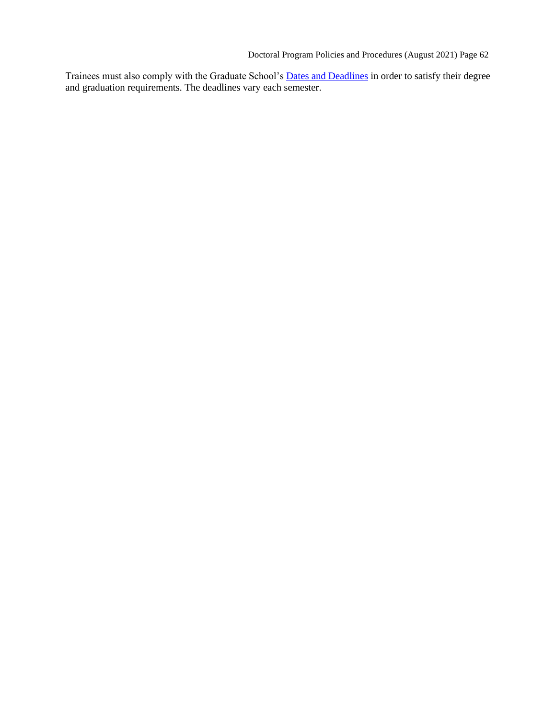Doctoral Program Policies and Procedures (August 2021) Page 62

Trainees must also comply with the Graduate School's **Dates and Deadlines** in order to satisfy their degree and graduation requirements. The deadlines vary each semester.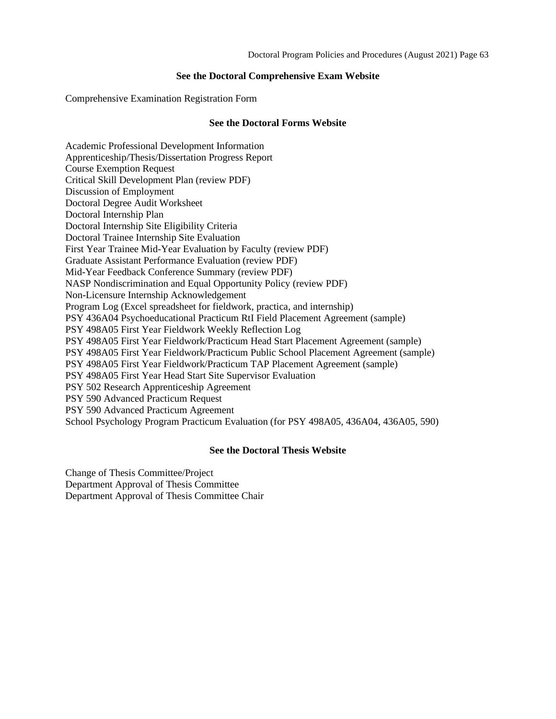#### **See the Doctoral Comprehensive Exam Website**

<span id="page-62-30"></span><span id="page-62-29"></span><span id="page-62-0"></span>Comprehensive Examination Registration Form

#### **See the [Doctoral Forms](#page-62-29) [Website](#page-62-29)**

<span id="page-62-15"></span><span id="page-62-14"></span><span id="page-62-13"></span><span id="page-62-12"></span><span id="page-62-11"></span><span id="page-62-10"></span><span id="page-62-9"></span><span id="page-62-8"></span><span id="page-62-7"></span><span id="page-62-6"></span><span id="page-62-5"></span><span id="page-62-4"></span><span id="page-62-3"></span><span id="page-62-2"></span><span id="page-62-1"></span>Academic Professional Development Information Apprenticeship/Thesis/Dissertation Progress Report Course Exemption Request Critical Skill Development Plan (review PDF) Discussion of Employment Doctoral Degree Audit Worksheet Doctoral Internship Plan Doctoral Internship Site Eligibility Criteria Doctoral Trainee Internship Site Evaluation First Year Trainee Mid-Year Evaluation by Faculty (review PDF) Graduate Assistant Performance Evaluation (review PDF) Mid-Year Feedback Conference Summary (review PDF) NASP Nondiscrimination and Equal Opportunity Policy (review PDF) Non-Licensure Internship Acknowledgement Program Log (Excel spreadsheet for fieldwork, practica, and internship) PSY 436A04 Psychoeducational Practicum RtI Field Placement Agreement (sample) PSY 498A05 First Year Fieldwork Weekly Reflection Log PSY 498A05 First Year Fieldwork/Practicum Head Start Placement Agreement (sample) PSY 498A05 First Year Fieldwork/Practicum Public School Placement Agreement (sample) PSY 498A05 First Year Fieldwork/Practicum TAP Placement Agreement (sample) PSY 498A05 First Year Head Start Site Supervisor Evaluation PSY 502 Research Apprenticeship Agreement PSY 590 Advanced Practicum Request PSY 590 Advanced Practicum Agreement School Psychology Program Practicum Evaluation (for PSY 498A05, 436A04, 436A05, 590)

#### **See the [Doctoral Thesis](#page-62-31) Website**

<span id="page-62-31"></span><span id="page-62-28"></span><span id="page-62-27"></span><span id="page-62-26"></span><span id="page-62-25"></span><span id="page-62-24"></span><span id="page-62-23"></span><span id="page-62-22"></span><span id="page-62-21"></span><span id="page-62-20"></span><span id="page-62-19"></span><span id="page-62-18"></span><span id="page-62-17"></span><span id="page-62-16"></span>Change of Thesis Committee/Project Department Approval of Thesis Committee Department Approval of Thesis Committee Chair